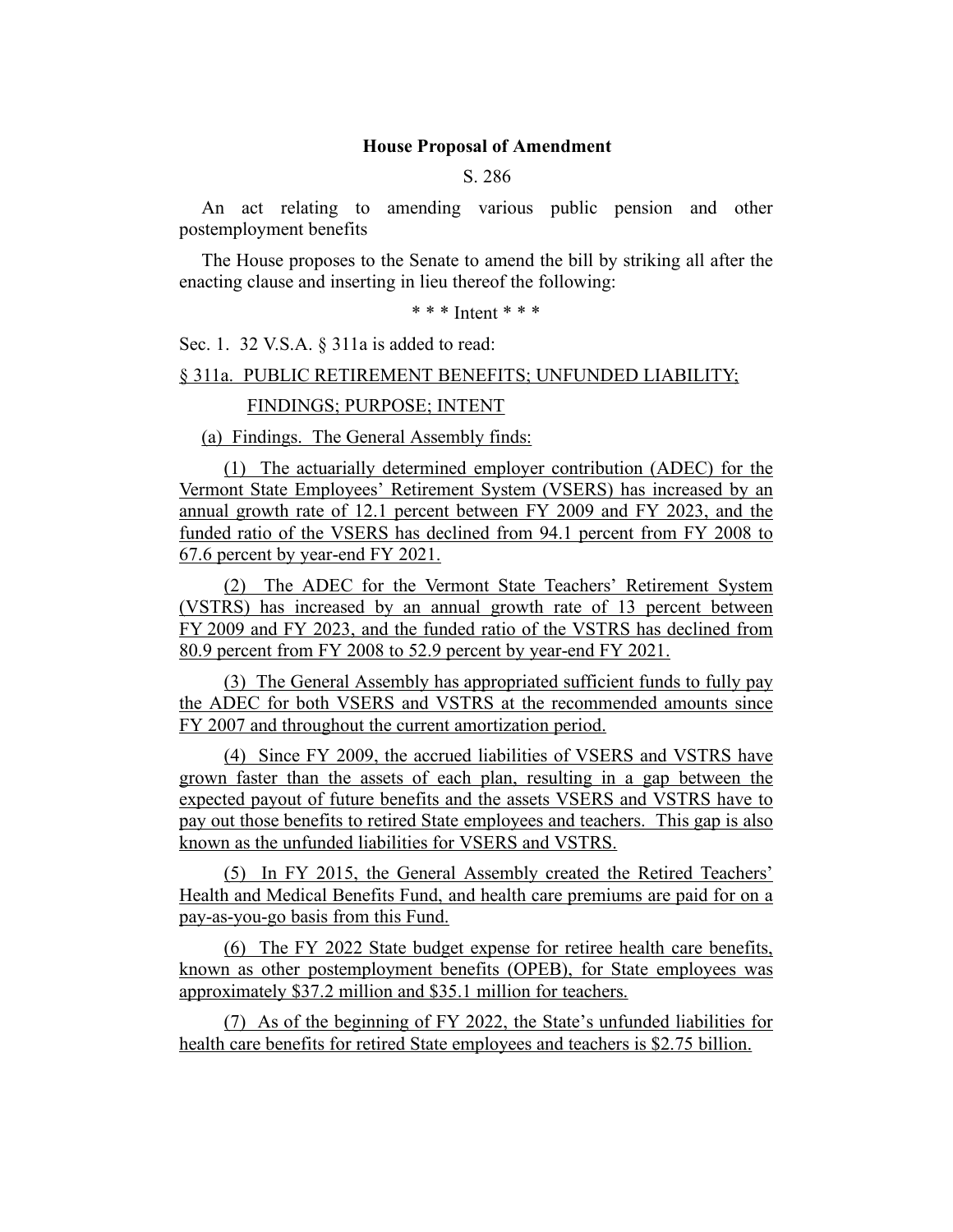#### **House Proposal of Amendment**

S. 286

An act relating to amending various public pension and other postemployment benefits

The House proposes to the Senate to amend the bill by striking all after the enacting clause and inserting in lieu thereof the following:

\* \* \* Intent \* \* \*

Sec. 1. 32 V.S.A. § 311a is added to read:

§ 311a. PUBLIC RETIREMENT BENEFITS; UNFUNDED LIABILITY;

FINDINGS; PURPOSE; INTENT

(a) Findings. The General Assembly finds:

(1) The actuarially determined employer contribution (ADEC) for the Vermont State Employees' Retirement System (VSERS) has increased by an annual growth rate of 12.1 percent between FY 2009 and FY 2023, and the funded ratio of the VSERS has declined from 94.1 percent from FY 2008 to 67.6 percent by year-end FY 2021.

(2) The ADEC for the Vermont State Teachers' Retirement System (VSTRS) has increased by an annual growth rate of 13 percent between FY 2009 and FY 2023, and the funded ratio of the VSTRS has declined from 80.9 percent from FY 2008 to 52.9 percent by year-end FY 2021.

(3) The General Assembly has appropriated sufficient funds to fully pay the ADEC for both VSERS and VSTRS at the recommended amounts since FY 2007 and throughout the current amortization period.

(4) Since FY 2009, the accrued liabilities of VSERS and VSTRS have grown faster than the assets of each plan, resulting in a gap between the expected payout of future benefits and the assets VSERS and VSTRS have to pay out those benefits to retired State employees and teachers. This gap is also known as the unfunded liabilities for VSERS and VSTRS.

(5) In FY 2015, the General Assembly created the Retired Teachers' Health and Medical Benefits Fund, and health care premiums are paid for on a pay-as-you-go basis from this Fund.

(6) The FY 2022 State budget expense for retiree health care benefits, known as other postemployment benefits (OPEB), for State employees was approximately \$37.2 million and \$35.1 million for teachers.

(7) As of the beginning of FY 2022, the State's unfunded liabilities for health care benefits for retired State employees and teachers is \$2.75 billion.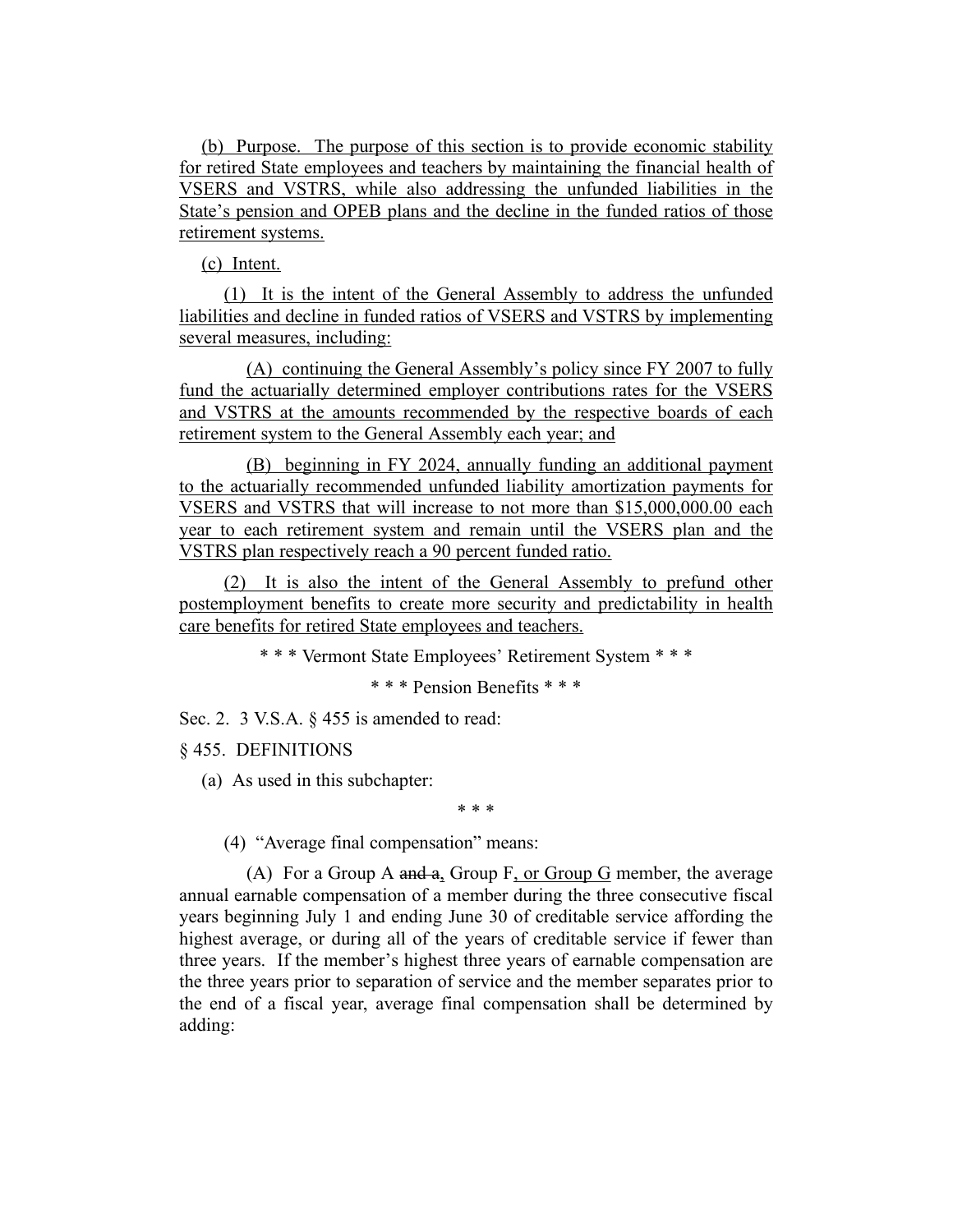(b) Purpose. The purpose of this section is to provide economic stability for retired State employees and teachers by maintaining the financial health of VSERS and VSTRS, while also addressing the unfunded liabilities in the State's pension and OPEB plans and the decline in the funded ratios of those retirement systems.

(c) Intent.

(1) It is the intent of the General Assembly to address the unfunded liabilities and decline in funded ratios of VSERS and VSTRS by implementing several measures, including:

(A) continuing the General Assembly's policy since FY 2007 to fully fund the actuarially determined employer contributions rates for the VSERS and VSTRS at the amounts recommended by the respective boards of each retirement system to the General Assembly each year; and

(B) beginning in FY 2024, annually funding an additional payment to the actuarially recommended unfunded liability amortization payments for VSERS and VSTRS that will increase to not more than \$15,000,000.00 each year to each retirement system and remain until the VSERS plan and the VSTRS plan respectively reach a 90 percent funded ratio.

(2) It is also the intent of the General Assembly to prefund other postemployment benefits to create more security and predictability in health care benefits for retired State employees and teachers.

\* \* \* Vermont State Employees' Retirement System \* \* \*

\* \* \* Pension Benefits \* \* \*

Sec. 2. 3 V.S.A. § 455 is amended to read:

§ 455. DEFINITIONS

(a) As used in this subchapter:

\* \* \*

(4) "Average final compensation" means:

(A) For a Group A and  $a_2$ , Group F, or Group G member, the average annual earnable compensation of a member during the three consecutive fiscal years beginning July 1 and ending June 30 of creditable service affording the highest average, or during all of the years of creditable service if fewer than three years. If the member's highest three years of earnable compensation are the three years prior to separation of service and the member separates prior to the end of a fiscal year, average final compensation shall be determined by adding: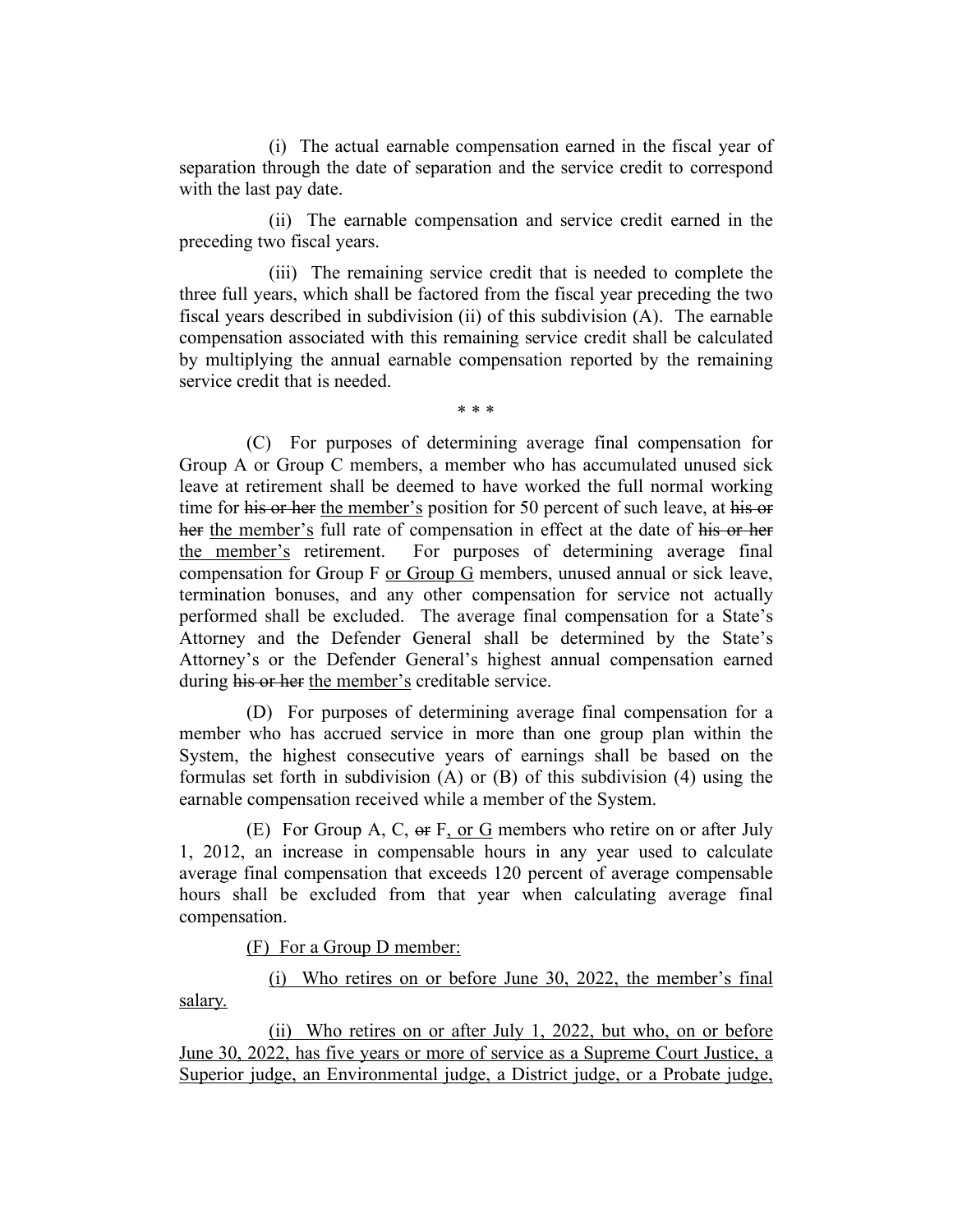(i) The actual earnable compensation earned in the fiscal year of separation through the date of separation and the service credit to correspond with the last pay date.

(ii) The earnable compensation and service credit earned in the preceding two fiscal years.

(iii) The remaining service credit that is needed to complete the three full years, which shall be factored from the fiscal year preceding the two fiscal years described in subdivision (ii) of this subdivision (A). The earnable compensation associated with this remaining service credit shall be calculated by multiplying the annual earnable compensation reported by the remaining service credit that is needed.

\* \* \*

(C) For purposes of determining average final compensation for Group A or Group C members, a member who has accumulated unused sick leave at retirement shall be deemed to have worked the full normal working time for his or her the member's position for 50 percent of such leave, at his or her the member's full rate of compensation in effect at the date of his or her the member's retirement. For purposes of determining average final compensation for Group F or Group G members, unused annual or sick leave, termination bonuses, and any other compensation for service not actually performed shall be excluded. The average final compensation for a State's Attorney and the Defender General shall be determined by the State's Attorney's or the Defender General's highest annual compensation earned during his or her the member's creditable service.

(D) For purposes of determining average final compensation for a member who has accrued service in more than one group plan within the System, the highest consecutive years of earnings shall be based on the formulas set forth in subdivision (A) or (B) of this subdivision (4) using the earnable compensation received while a member of the System.

(E) For Group A, C, or F, or G members who retire on or after July 1, 2012, an increase in compensable hours in any year used to calculate average final compensation that exceeds 120 percent of average compensable hours shall be excluded from that year when calculating average final compensation.

(F) For a Group D member:

(i) Who retires on or before June 30, 2022, the member's final salary.

(ii) Who retires on or after July 1, 2022, but who, on or before June 30, 2022, has five years or more of service as a Supreme Court Justice, a Superior judge, an Environmental judge, a District judge, or a Probate judge,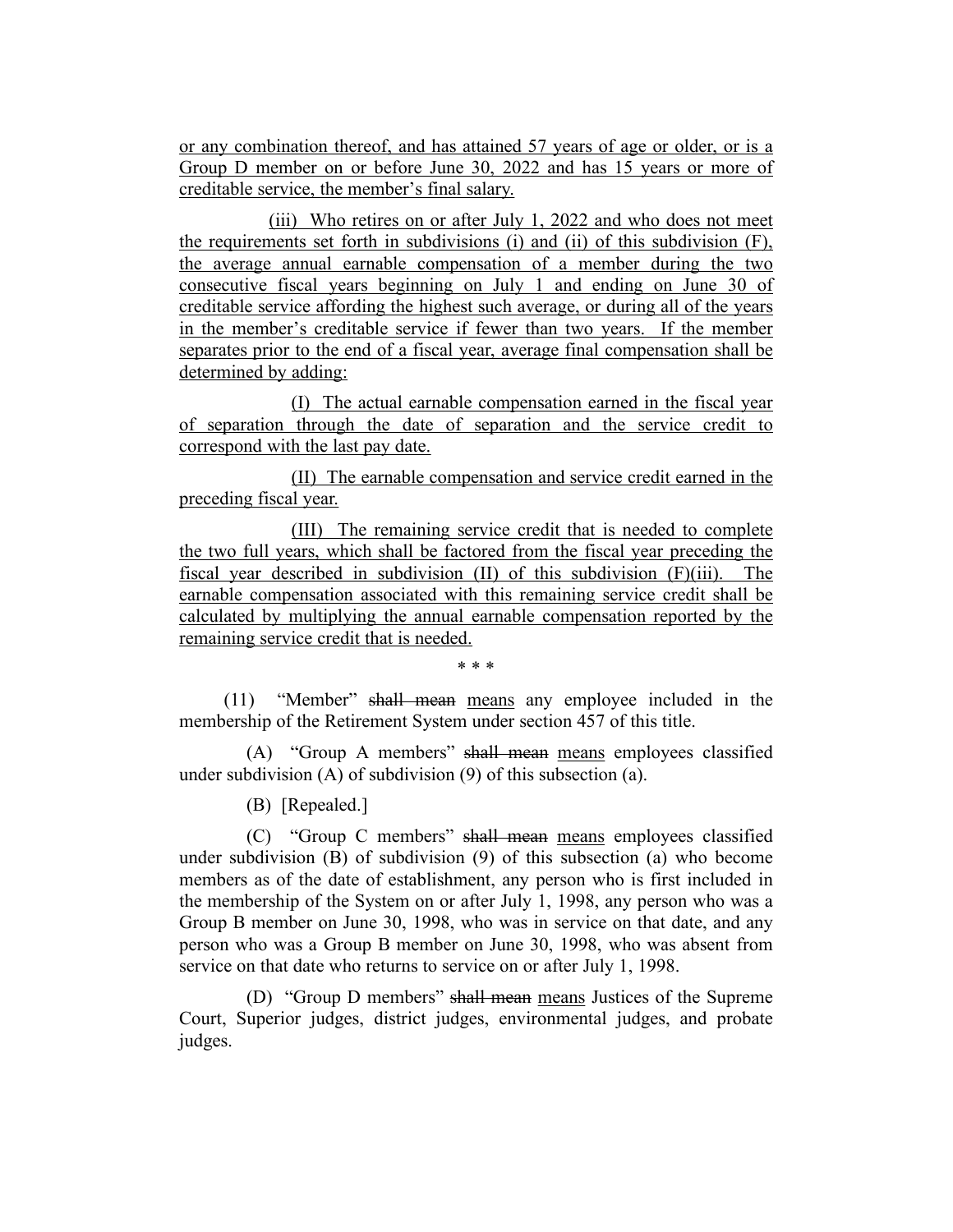or any combination thereof, and has attained 57 years of age or older, or is a Group D member on or before June 30, 2022 and has 15 years or more of creditable service, the member's final salary.

(iii) Who retires on or after July 1, 2022 and who does not meet the requirements set forth in subdivisions (i) and (ii) of this subdivision (F), the average annual earnable compensation of a member during the two consecutive fiscal years beginning on July 1 and ending on June 30 of creditable service affording the highest such average, or during all of the years in the member's creditable service if fewer than two years. If the member separates prior to the end of a fiscal year, average final compensation shall be determined by adding:

(I) The actual earnable compensation earned in the fiscal year of separation through the date of separation and the service credit to correspond with the last pay date.

(II) The earnable compensation and service credit earned in the preceding fiscal year.

(III) The remaining service credit that is needed to complete the two full years, which shall be factored from the fiscal year preceding the fiscal year described in subdivision (II) of this subdivision (F)(iii). The earnable compensation associated with this remaining service credit shall be calculated by multiplying the annual earnable compensation reported by the remaining service credit that is needed.

\* \* \*

(11) "Member" shall mean means any employee included in the membership of the Retirement System under section 457 of this title.

(A) "Group A members" shall mean means employees classified under subdivision (A) of subdivision (9) of this subsection (a).

(B) [Repealed.]

(C) "Group C members" shall mean means employees classified under subdivision (B) of subdivision (9) of this subsection (a) who become members as of the date of establishment, any person who is first included in the membership of the System on or after July 1, 1998, any person who was a Group B member on June 30, 1998, who was in service on that date, and any person who was a Group B member on June 30, 1998, who was absent from service on that date who returns to service on or after July 1, 1998.

(D) "Group D members" shall mean means Justices of the Supreme Court, Superior judges, district judges, environmental judges, and probate judges.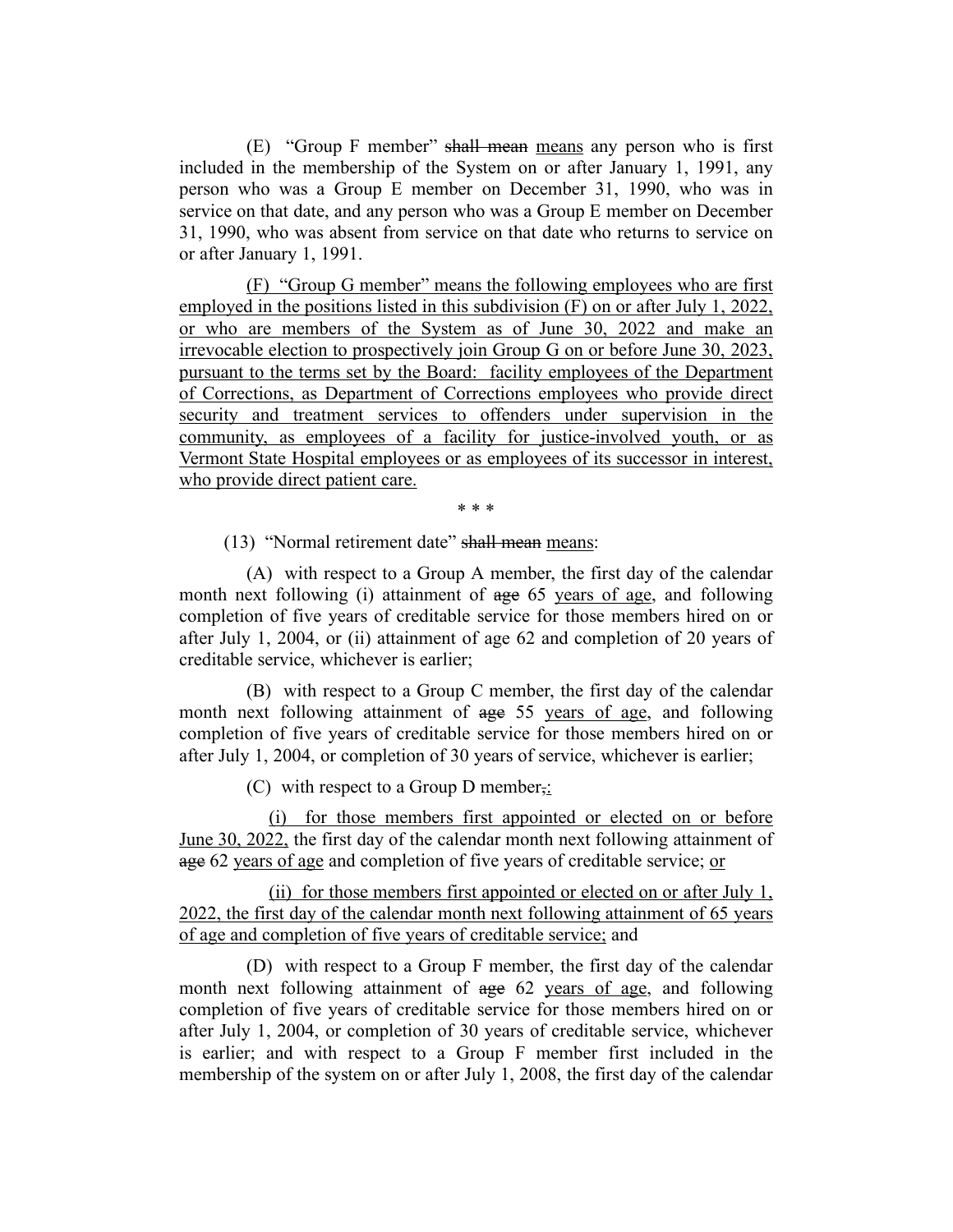(E) "Group F member" shall mean means any person who is first included in the membership of the System on or after January 1, 1991, any person who was a Group E member on December 31, 1990, who was in service on that date, and any person who was a Group E member on December 31, 1990, who was absent from service on that date who returns to service on or after January 1, 1991.

(F) "Group G member" means the following employees who are first employed in the positions listed in this subdivision (F) on or after July 1, 2022, or who are members of the System as of June 30, 2022 and make an irrevocable election to prospectively join Group G on or before June 30, 2023, pursuant to the terms set by the Board: facility employees of the Department of Corrections, as Department of Corrections employees who provide direct security and treatment services to offenders under supervision in the community, as employees of a facility for justice-involved youth, or as Vermont State Hospital employees or as employees of its successor in interest, who provide direct patient care.

\* \* \*

(13) "Normal retirement date" shall mean means:

(A) with respect to a Group A member, the first day of the calendar month next following (i) attainment of age 65 years of age, and following completion of five years of creditable service for those members hired on or after July 1, 2004, or (ii) attainment of age 62 and completion of 20 years of creditable service, whichever is earlier;

(B) with respect to a Group C member, the first day of the calendar month next following attainment of age 55 years of age, and following completion of five years of creditable service for those members hired on or after July 1, 2004, or completion of 30 years of service, whichever is earlier;

(C) with respect to a Group D member<sub>5</sub>:

(i) for those members first appointed or elected on or before June 30, 2022, the first day of the calendar month next following attainment of age 62 years of age and completion of five years of creditable service; or

(ii) for those members first appointed or elected on or after July 1, 2022, the first day of the calendar month next following attainment of 65 years of age and completion of five years of creditable service; and

(D) with respect to a Group F member, the first day of the calendar month next following attainment of age 62 years of age, and following completion of five years of creditable service for those members hired on or after July 1, 2004, or completion of 30 years of creditable service, whichever is earlier; and with respect to a Group F member first included in the membership of the system on or after July 1, 2008, the first day of the calendar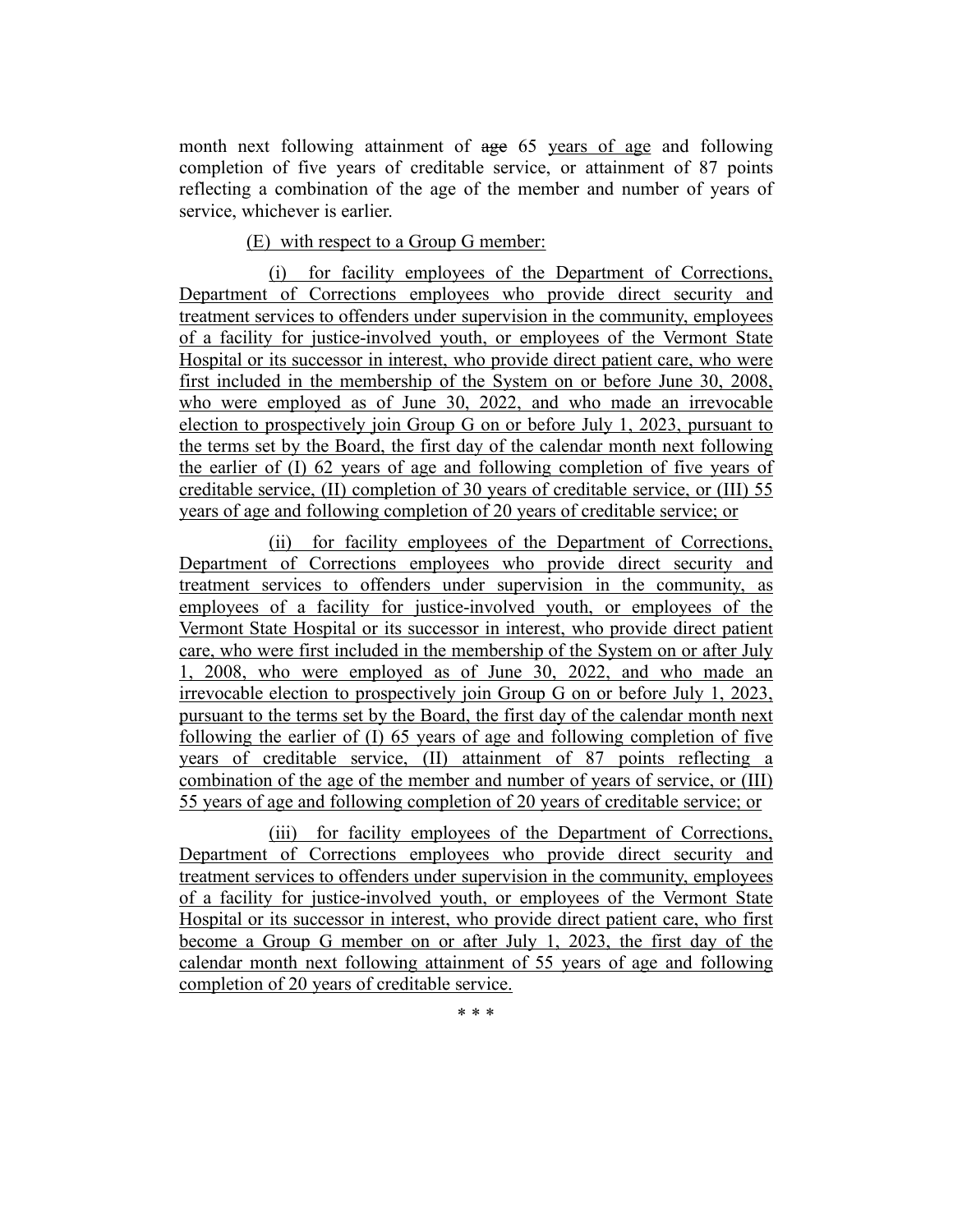month next following attainment of age 65 years of age and following completion of five years of creditable service, or attainment of 87 points reflecting a combination of the age of the member and number of years of service, whichever is earlier.

# (E) with respect to a Group G member:

(i) for facility employees of the Department of Corrections, Department of Corrections employees who provide direct security and treatment services to offenders under supervision in the community, employees of a facility for justice-involved youth, or employees of the Vermont State Hospital or its successor in interest, who provide direct patient care, who were first included in the membership of the System on or before June 30, 2008, who were employed as of June 30, 2022, and who made an irrevocable election to prospectively join Group G on or before July 1, 2023, pursuant to the terms set by the Board, the first day of the calendar month next following the earlier of (I) 62 years of age and following completion of five years of creditable service, (II) completion of 30 years of creditable service, or (III) 55 years of age and following completion of 20 years of creditable service; or

(ii) for facility employees of the Department of Corrections, Department of Corrections employees who provide direct security and treatment services to offenders under supervision in the community, as employees of a facility for justice-involved youth, or employees of the Vermont State Hospital or its successor in interest, who provide direct patient care, who were first included in the membership of the System on or after July 1, 2008, who were employed as of June 30, 2022, and who made an irrevocable election to prospectively join Group G on or before July 1, 2023, pursuant to the terms set by the Board, the first day of the calendar month next following the earlier of (I) 65 years of age and following completion of five years of creditable service, (II) attainment of 87 points reflecting a combination of the age of the member and number of years of service, or (III) 55 years of age and following completion of 20 years of creditable service; or

(iii) for facility employees of the Department of Corrections, Department of Corrections employees who provide direct security and treatment services to offenders under supervision in the community, employees of a facility for justice-involved youth, or employees of the Vermont State Hospital or its successor in interest, who provide direct patient care, who first become a Group G member on or after July 1, 2023, the first day of the calendar month next following attainment of 55 years of age and following completion of 20 years of creditable service.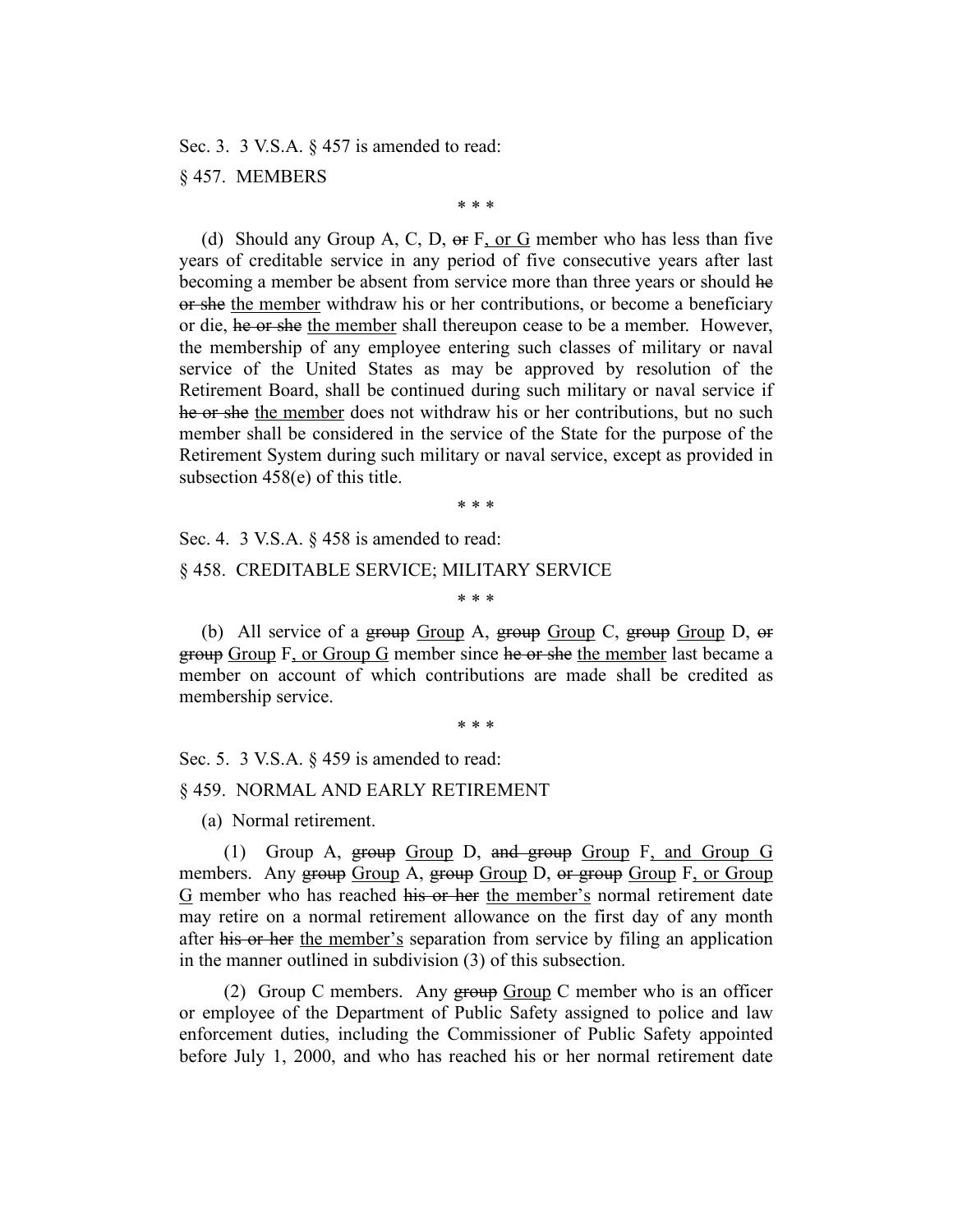Sec. 3. 3 V.S.A. § 457 is amended to read:

#### § 457. MEMBERS

\* \* \*

(d) Should any Group A, C, D,  $\Theta$  F, or G member who has less than five years of creditable service in any period of five consecutive years after last becoming a member be absent from service more than three years or should he or she the member withdraw his or her contributions, or become a beneficiary or die, he or she the member shall thereupon cease to be a member. However, the membership of any employee entering such classes of military or naval service of the United States as may be approved by resolution of the Retirement Board, shall be continued during such military or naval service if he or she the member does not withdraw his or her contributions, but no such member shall be considered in the service of the State for the purpose of the Retirement System during such military or naval service, except as provided in subsection 458(e) of this title.

\* \* \*

Sec. 4. 3 V.S.A. § 458 is amended to read:

#### § 458. CREDITABLE SERVICE; MILITARY SERVICE

\* \* \*

(b) All service of a group  $Group A$ , group  $Group C$ , group  $Group D$ , or group Group F, or Group G member since he or she the member last became a member on account of which contributions are made shall be credited as membership service.

\* \* \*

Sec. 5. 3 V.S.A. § 459 is amended to read:

#### § 459. NORMAL AND EARLY RETIREMENT

(a) Normal retirement.

(1) Group A, group Group D, and group Group F, and Group G members. Any group Group A, group Group D, or group Group F, or Group G member who has reached his or her the member's normal retirement date may retire on a normal retirement allowance on the first day of any month after his or her the member's separation from service by filing an application in the manner outlined in subdivision (3) of this subsection.

(2) Group C members. Any  $\frac{1}{2}$  Group C member who is an officer or employee of the Department of Public Safety assigned to police and law enforcement duties, including the Commissioner of Public Safety appointed before July 1, 2000, and who has reached his or her normal retirement date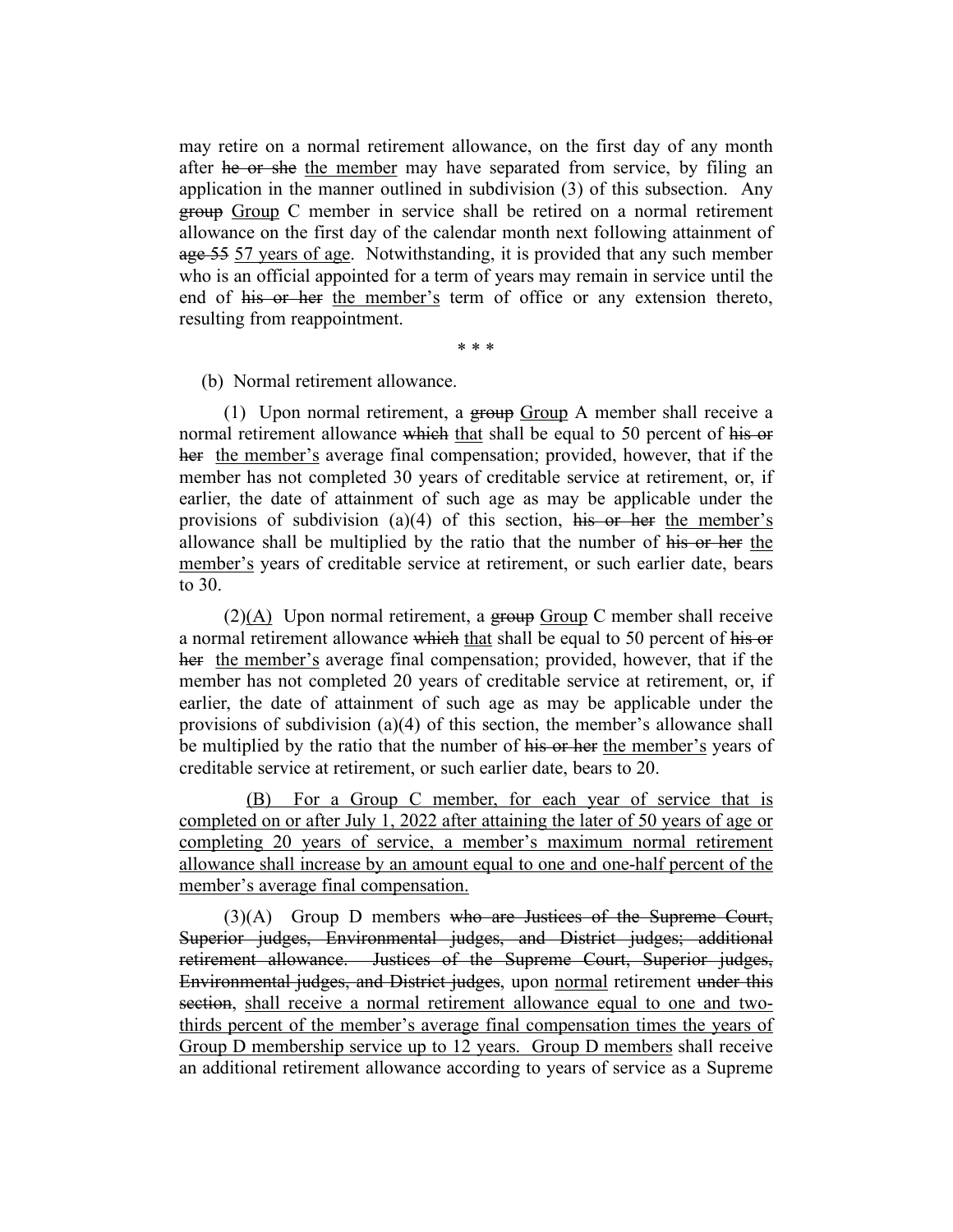may retire on a normal retirement allowance, on the first day of any month after he or she the member may have separated from service, by filing an application in the manner outlined in subdivision (3) of this subsection. Any group Group C member in service shall be retired on a normal retirement allowance on the first day of the calendar month next following attainment of age 55 57 years of age. Notwithstanding, it is provided that any such member who is an official appointed for a term of years may remain in service until the end of his or her the member's term of office or any extension thereto, resulting from reappointment.

\* \* \*

#### (b) Normal retirement allowance.

(1) Upon normal retirement, a group Group A member shall receive a normal retirement allowance which that shall be equal to 50 percent of his or her the member's average final compensation; provided, however, that if the member has not completed 30 years of creditable service at retirement, or, if earlier, the date of attainment of such age as may be applicable under the provisions of subdivision (a)(4) of this section, his or her the member's allowance shall be multiplied by the ratio that the number of his or her the member's years of creditable service at retirement, or such earlier date, bears to 30.

 $(2)(A)$  Upon normal retirement, a group Group C member shall receive a normal retirement allowance which that shall be equal to 50 percent of his or her the member's average final compensation; provided, however, that if the member has not completed 20 years of creditable service at retirement, or, if earlier, the date of attainment of such age as may be applicable under the provisions of subdivision (a)(4) of this section, the member's allowance shall be multiplied by the ratio that the number of his or her the member's years of creditable service at retirement, or such earlier date, bears to 20.

(B) For a Group C member, for each year of service that is completed on or after July 1, 2022 after attaining the later of 50 years of age or completing 20 years of service, a member's maximum normal retirement allowance shall increase by an amount equal to one and one-half percent of the member's average final compensation.

(3)(A) Group D members who are Justices of the Supreme Court, Superior judges, Environmental judges, and District judges; additional retirement allowance. Justices of the Supreme Court, Superior judges, Environmental judges, and District judges, upon normal retirement under this section, shall receive a normal retirement allowance equal to one and twothirds percent of the member's average final compensation times the years of Group D membership service up to 12 years. Group D members shall receive an additional retirement allowance according to years of service as a Supreme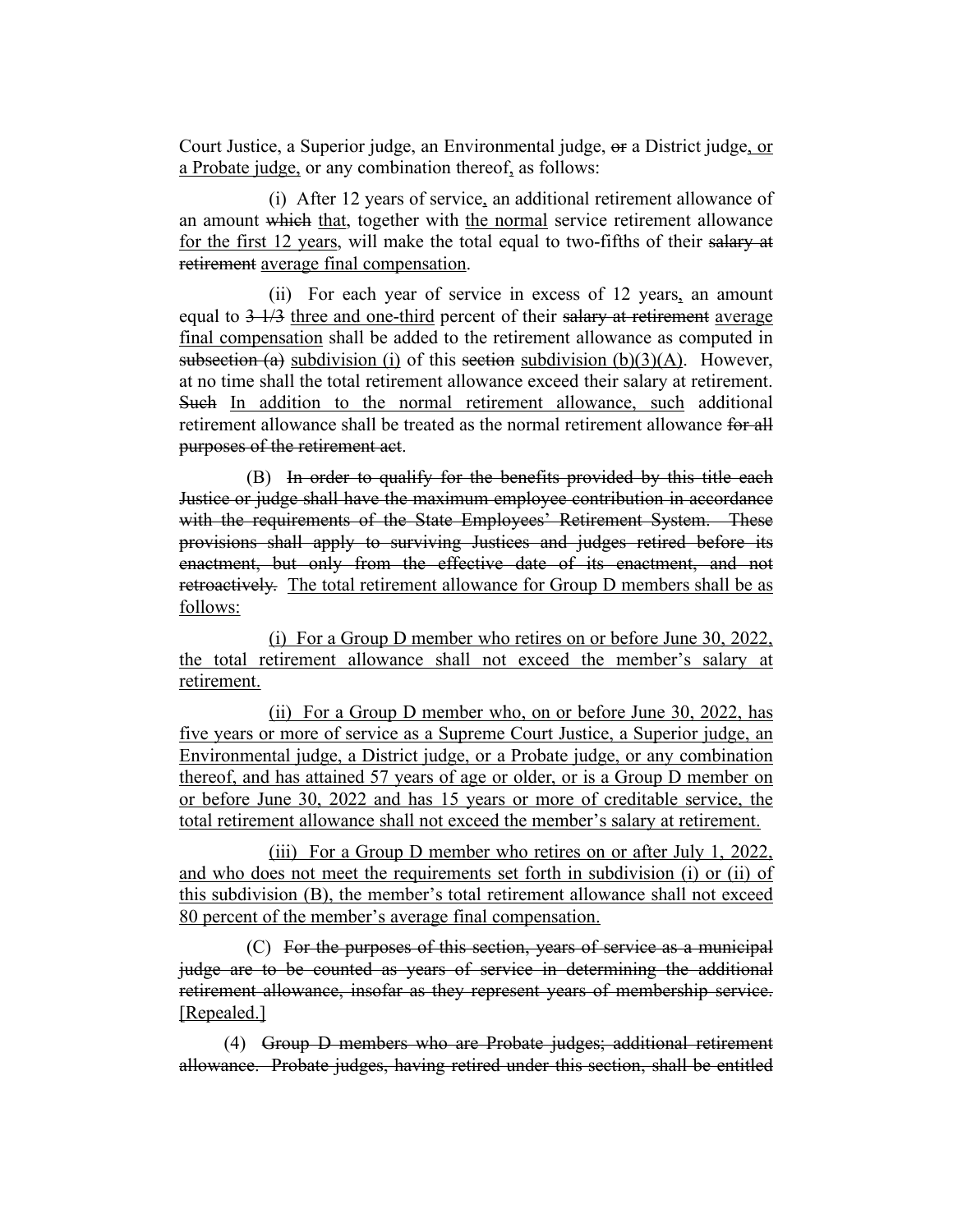Court Justice, a Superior judge, an Environmental judge, or a District judge, or a Probate judge, or any combination thereof, as follows:

(i) After 12 years of service, an additional retirement allowance of an amount which that, together with the normal service retirement allowance for the first 12 years, will make the total equal to two-fifths of their salary at retirement average final compensation.

(ii) For each year of service in excess of 12 years, an amount equal to  $3\frac{1}{3}$  three and one-third percent of their salary at retirement average final compensation shall be added to the retirement allowance as computed in subsection (a) subdivision (i) of this section subdivision  $(b)(3)(A)$ . However, at no time shall the total retirement allowance exceed their salary at retirement. Such In addition to the normal retirement allowance, such additional retirement allowance shall be treated as the normal retirement allowance for all purposes of the retirement act.

(B) In order to qualify for the benefits provided by this title each Justice or judge shall have the maximum employee contribution in accordance with the requirements of the State Employees' Retirement System. These provisions shall apply to surviving Justices and judges retired before its enactment, but only from the effective date of its enactment, and not retroactively. The total retirement allowance for Group D members shall be as follows:

(i) For a Group D member who retires on or before June 30, 2022, the total retirement allowance shall not exceed the member's salary at retirement.

(ii) For a Group D member who, on or before June 30, 2022, has five years or more of service as a Supreme Court Justice, a Superior judge, an Environmental judge, a District judge, or a Probate judge, or any combination thereof, and has attained 57 years of age or older, or is a Group D member on or before June 30, 2022 and has 15 years or more of creditable service, the total retirement allowance shall not exceed the member's salary at retirement.

(iii) For a Group D member who retires on or after July 1, 2022, and who does not meet the requirements set forth in subdivision (i) or (ii) of this subdivision (B), the member's total retirement allowance shall not exceed 80 percent of the member's average final compensation.

(C) For the purposes of this section, years of service as a municipal judge are to be counted as years of service in determining the additional retirement allowance, insofar as they represent years of membership service. [Repealed.]

(4) Group D members who are Probate judges; additional retirement allowance. Probate judges, having retired under this section, shall be entitled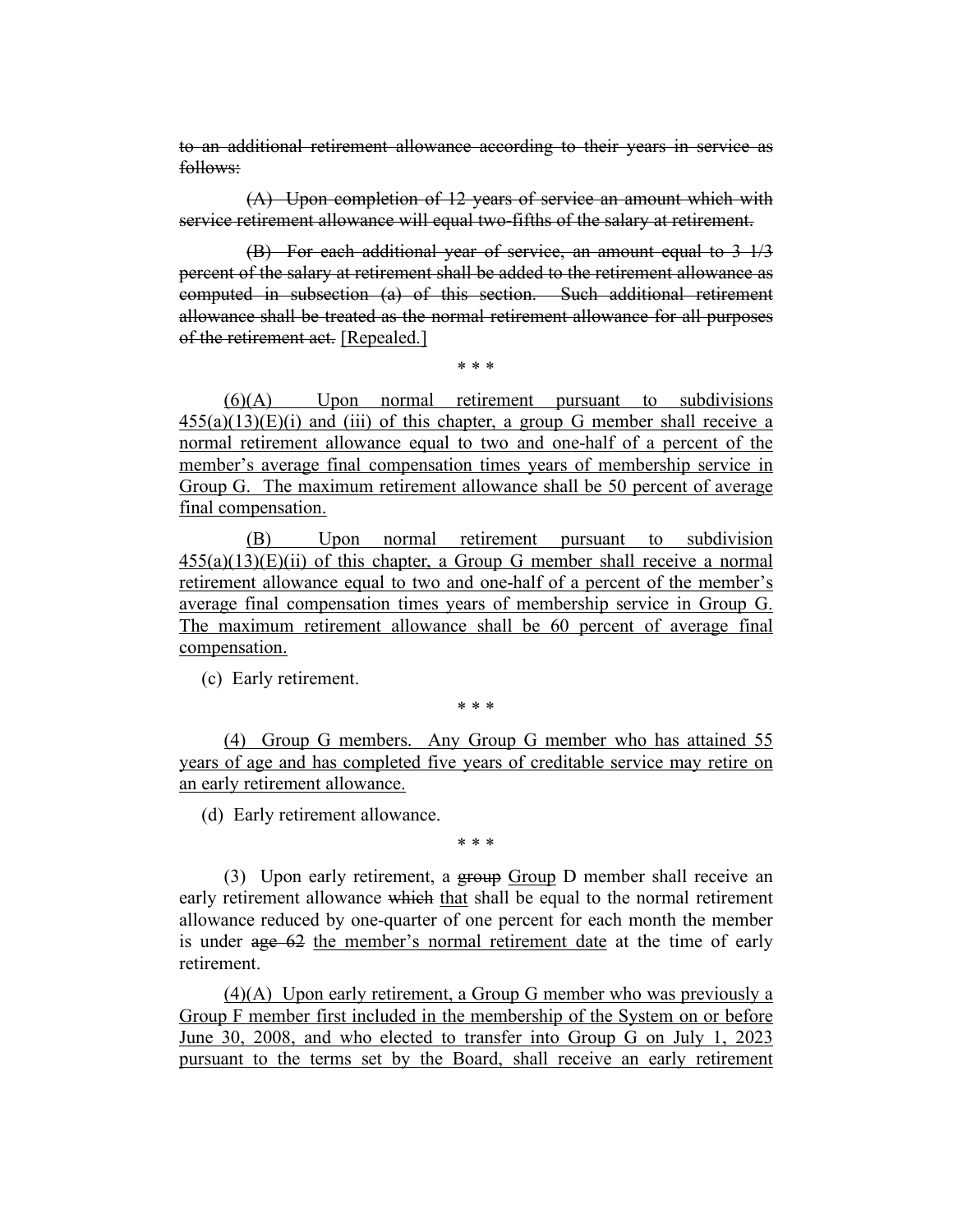to an additional retirement allowance according to their years in service as follows:

(A) Upon completion of 12 years of service an amount which with service retirement allowance will equal two-fifths of the salary at retirement.

(B) For each additional year of service, an amount equal to 3 1/3 percent of the salary at retirement shall be added to the retirement allowance as computed in subsection (a) of this section. Such additional retirement allowance shall be treated as the normal retirement allowance for all purposes of the retirement act. [Repealed.]

\* \* \*

(6)(A) Upon normal retirement pursuant to subdivisions  $455(a)(13)(E)(i)$  and (iii) of this chapter, a group G member shall receive a normal retirement allowance equal to two and one-half of a percent of the member's average final compensation times years of membership service in Group G. The maximum retirement allowance shall be 50 percent of average final compensation.

(B) Upon normal retirement pursuant to subdivision  $455(a)(13)(E)(ii)$  of this chapter, a Group G member shall receive a normal retirement allowance equal to two and one-half of a percent of the member's average final compensation times years of membership service in Group G. The maximum retirement allowance shall be 60 percent of average final compensation.

(c) Early retirement.

\* \* \*

(4) Group G members. Any Group G member who has attained 55 years of age and has completed five years of creditable service may retire on an early retirement allowance.

(d) Early retirement allowance.

\* \* \*

(3) Upon early retirement, a group Group D member shall receive an early retirement allowance which that shall be equal to the normal retirement allowance reduced by one-quarter of one percent for each month the member is under age 62 the member's normal retirement date at the time of early retirement.

(4)(A) Upon early retirement, a Group G member who was previously a Group F member first included in the membership of the System on or before June 30, 2008, and who elected to transfer into Group G on July 1, 2023 pursuant to the terms set by the Board, shall receive an early retirement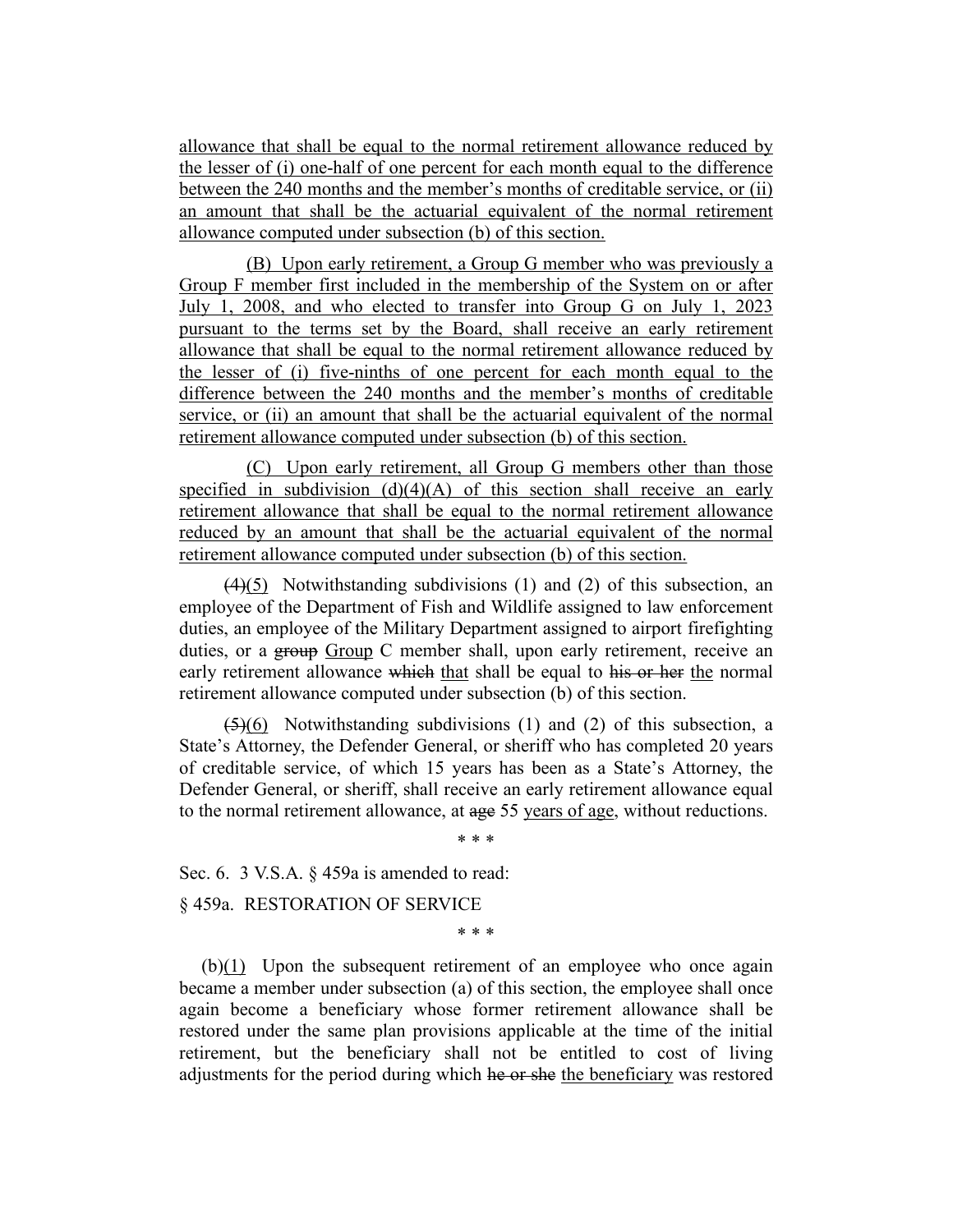allowance that shall be equal to the normal retirement allowance reduced by the lesser of (i) one-half of one percent for each month equal to the difference between the 240 months and the member's months of creditable service, or (ii) an amount that shall be the actuarial equivalent of the normal retirement allowance computed under subsection (b) of this section.

(B) Upon early retirement, a Group G member who was previously a Group F member first included in the membership of the System on or after July 1, 2008, and who elected to transfer into Group G on July 1, 2023 pursuant to the terms set by the Board, shall receive an early retirement allowance that shall be equal to the normal retirement allowance reduced by the lesser of (i) five-ninths of one percent for each month equal to the difference between the 240 months and the member's months of creditable service, or (ii) an amount that shall be the actuarial equivalent of the normal retirement allowance computed under subsection (b) of this section.

(C) Upon early retirement, all Group G members other than those specified in subdivision  $(d)(4)(A)$  of this section shall receive an early retirement allowance that shall be equal to the normal retirement allowance reduced by an amount that shall be the actuarial equivalent of the normal retirement allowance computed under subsection (b) of this section.

 $(4)(5)$  Notwithstanding subdivisions (1) and (2) of this subsection, an employee of the Department of Fish and Wildlife assigned to law enforcement duties, an employee of the Military Department assigned to airport firefighting duties, or a group Group C member shall, upon early retirement, receive an early retirement allowance which that shall be equal to his or her the normal retirement allowance computed under subsection (b) of this section.

 $(5)(6)$  Notwithstanding subdivisions (1) and (2) of this subsection, a State's Attorney, the Defender General, or sheriff who has completed 20 years of creditable service, of which 15 years has been as a State's Attorney, the Defender General, or sheriff, shall receive an early retirement allowance equal to the normal retirement allowance, at age 55 years of age, without reductions.

\* \* \*

Sec. 6. 3 V.S.A. § 459a is amended to read:

§ 459a. RESTORATION OF SERVICE

\* \* \*

(b)(1) Upon the subsequent retirement of an employee who once again became a member under subsection (a) of this section, the employee shall once again become a beneficiary whose former retirement allowance shall be restored under the same plan provisions applicable at the time of the initial retirement, but the beneficiary shall not be entitled to cost of living adjustments for the period during which he or she the beneficiary was restored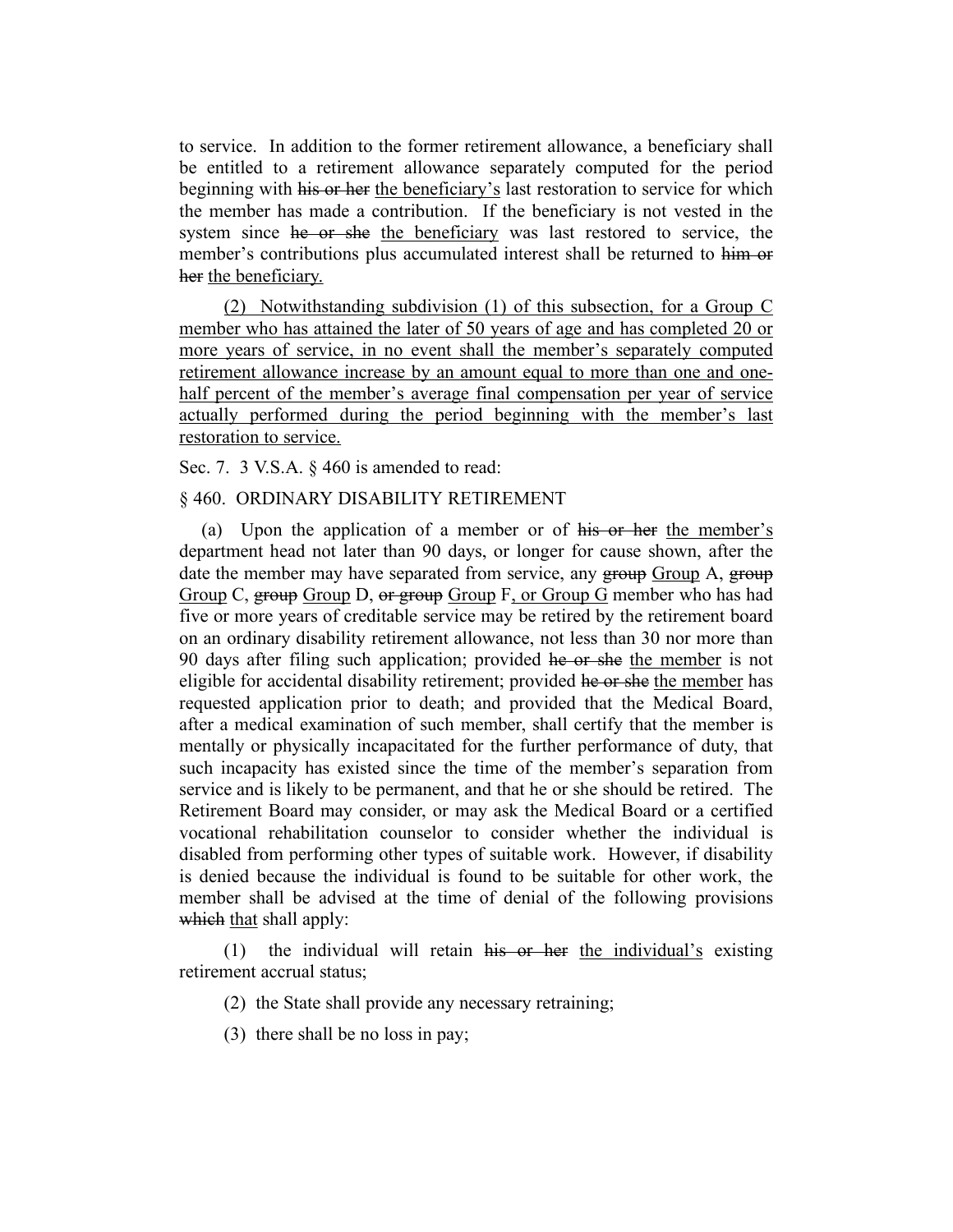to service. In addition to the former retirement allowance, a beneficiary shall be entitled to a retirement allowance separately computed for the period beginning with his or her the beneficiary's last restoration to service for which the member has made a contribution. If the beneficiary is not vested in the system since he or she the beneficiary was last restored to service, the member's contributions plus accumulated interest shall be returned to him or her the beneficiary.

(2) Notwithstanding subdivision (1) of this subsection, for a Group C member who has attained the later of 50 years of age and has completed 20 or more years of service, in no event shall the member's separately computed retirement allowance increase by an amount equal to more than one and onehalf percent of the member's average final compensation per year of service actually performed during the period beginning with the member's last restoration to service.

Sec. 7. 3 V.S.A. § 460 is amended to read:

# § 460. ORDINARY DISABILITY RETIREMENT

(a) Upon the application of a member or of his or her the member's department head not later than 90 days, or longer for cause shown, after the date the member may have separated from service, any group Group A, group Group C, group Group D, or group Group F, or Group G member who has had five or more years of creditable service may be retired by the retirement board on an ordinary disability retirement allowance, not less than 30 nor more than 90 days after filing such application; provided he or she the member is not eligible for accidental disability retirement; provided he or she the member has requested application prior to death; and provided that the Medical Board, after a medical examination of such member, shall certify that the member is mentally or physically incapacitated for the further performance of duty, that such incapacity has existed since the time of the member's separation from service and is likely to be permanent, and that he or she should be retired. The Retirement Board may consider, or may ask the Medical Board or a certified vocational rehabilitation counselor to consider whether the individual is disabled from performing other types of suitable work. However, if disability is denied because the individual is found to be suitable for other work, the member shall be advised at the time of denial of the following provisions which that shall apply:

(1) the individual will retain his or her the individual's existing retirement accrual status;

(2) the State shall provide any necessary retraining;

(3) there shall be no loss in pay;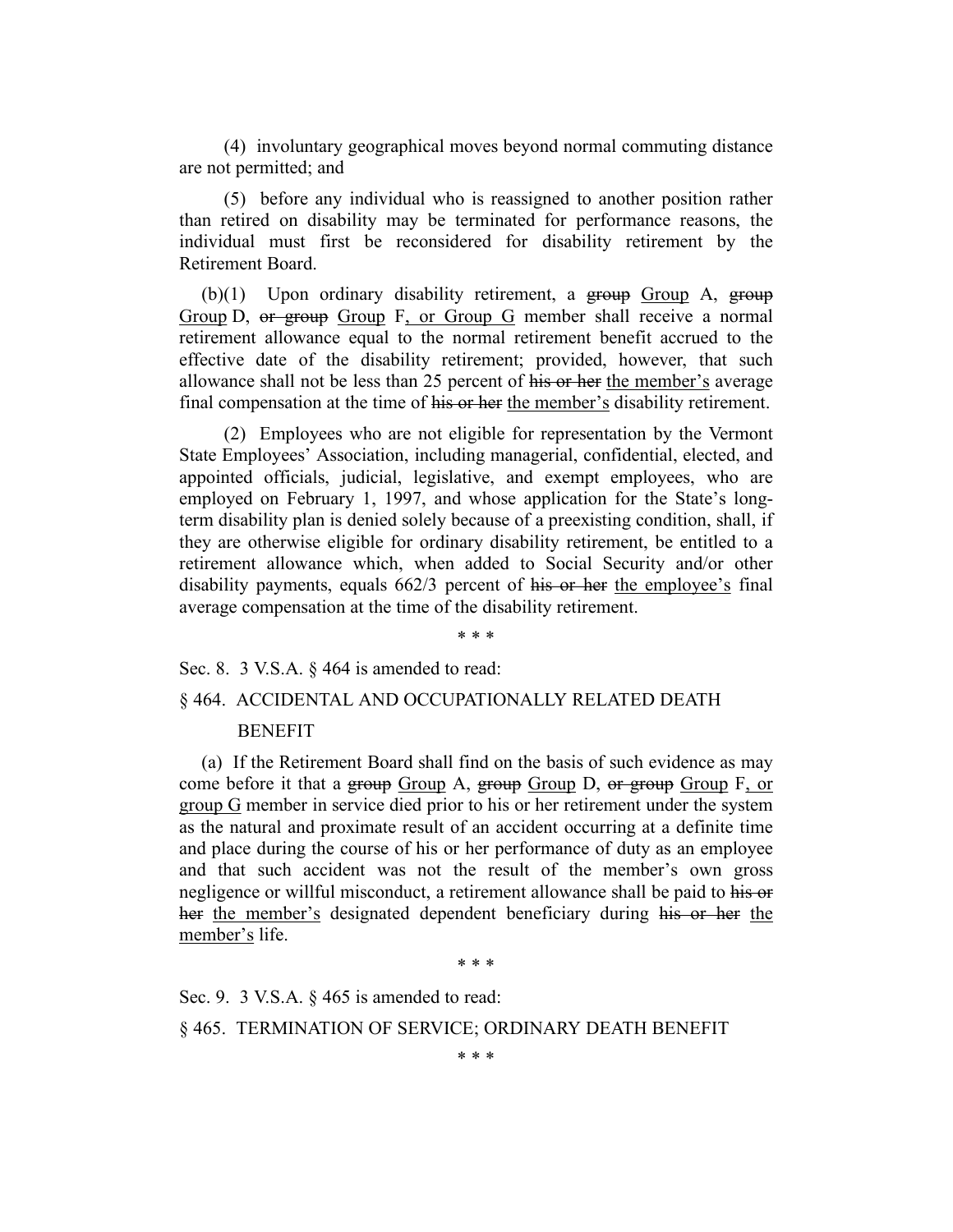(4) involuntary geographical moves beyond normal commuting distance are not permitted; and

(5) before any individual who is reassigned to another position rather than retired on disability may be terminated for performance reasons, the individual must first be reconsidered for disability retirement by the Retirement Board.

 $(b)(1)$  Upon ordinary disability retirement, a group Group A, group Group D, or group Group F, or Group G member shall receive a normal retirement allowance equal to the normal retirement benefit accrued to the effective date of the disability retirement; provided, however, that such allowance shall not be less than 25 percent of his or her the member's average final compensation at the time of his or her the member's disability retirement.

(2) Employees who are not eligible for representation by the Vermont State Employees' Association, including managerial, confidential, elected, and appointed officials, judicial, legislative, and exempt employees, who are employed on February 1, 1997, and whose application for the State's longterm disability plan is denied solely because of a preexisting condition, shall, if they are otherwise eligible for ordinary disability retirement, be entitled to a retirement allowance which, when added to Social Security and/or other disability payments, equals 662/3 percent of his or her the employee's final average compensation at the time of the disability retirement.

\* \* \*

Sec. 8. 3 V.S.A. § 464 is amended to read:

#### § 464. ACCIDENTAL AND OCCUPATIONALLY RELATED DEATH

#### BENEFIT

(a) If the Retirement Board shall find on the basis of such evidence as may come before it that a group Group A, group Group D, or group Group F, or group G member in service died prior to his or her retirement under the system as the natural and proximate result of an accident occurring at a definite time and place during the course of his or her performance of duty as an employee and that such accident was not the result of the member's own gross negligence or willful misconduct, a retirement allowance shall be paid to his or her the member's designated dependent beneficiary during his or her the member's life.

\* \* \*

Sec. 9. 3 V.S.A. § 465 is amended to read: § 465. TERMINATION OF SERVICE; ORDINARY DEATH BENEFIT

\* \* \*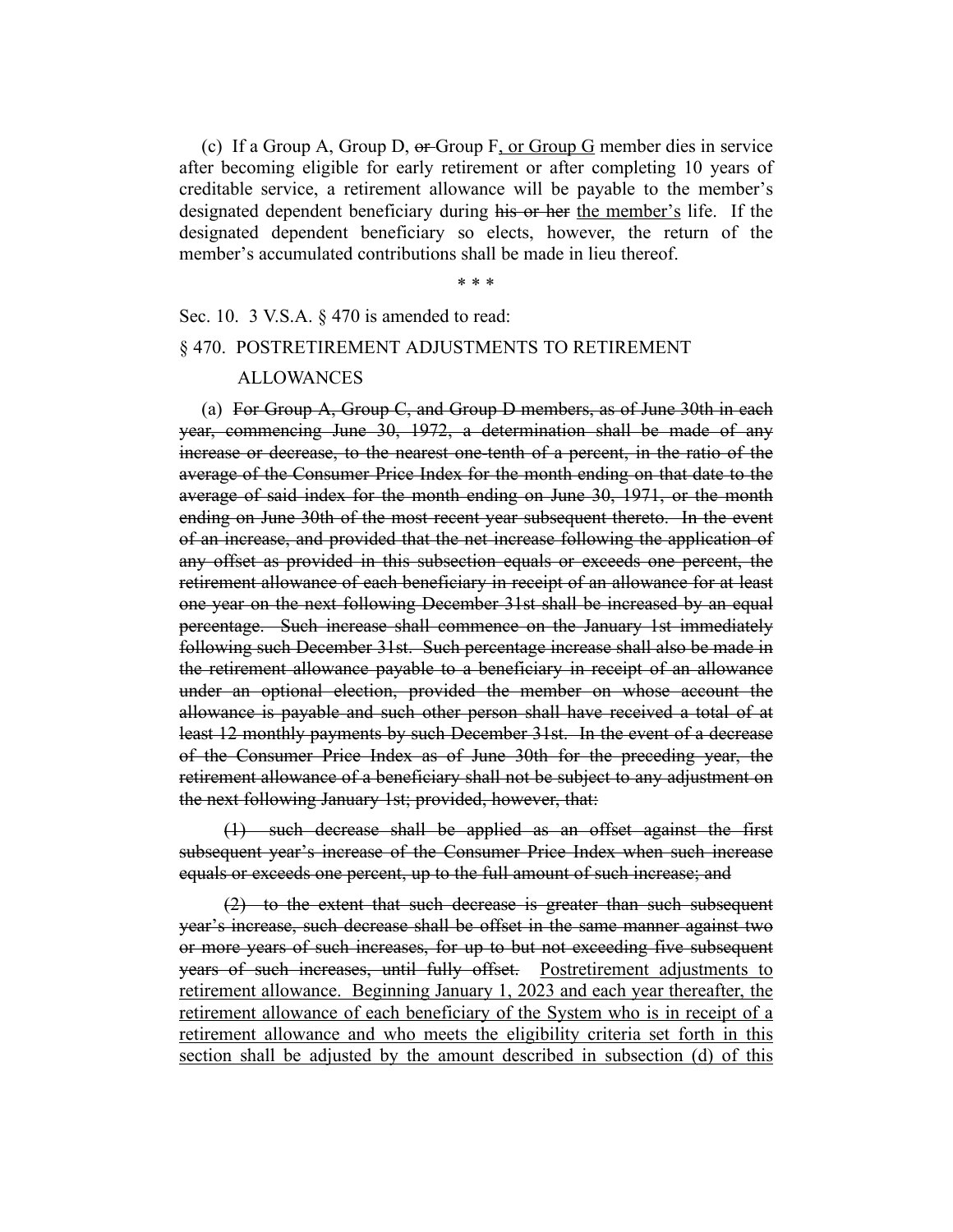(c) If a Group A, Group D, or Group F, or Group G member dies in service after becoming eligible for early retirement or after completing 10 years of creditable service, a retirement allowance will be payable to the member's designated dependent beneficiary during his or her the member's life. If the designated dependent beneficiary so elects, however, the return of the member's accumulated contributions shall be made in lieu thereof.

\* \* \*

# Sec. 10. 3 V.S.A. § 470 is amended to read:

#### § 470. POSTRETIREMENT ADJUSTMENTS TO RETIREMENT

#### ALLOWANCES

(a) For Group A, Group C, and Group D members, as of June 30th in each year, commencing June 30, 1972, a determination shall be made of any increase or decrease, to the nearest one-tenth of a percent, in the ratio of the average of the Consumer Price Index for the month ending on that date to the average of said index for the month ending on June 30, 1971, or the month ending on June 30th of the most recent year subsequent thereto. In the event of an increase, and provided that the net increase following the application of any offset as provided in this subsection equals or exceeds one percent, the retirement allowance of each beneficiary in receipt of an allowance for at least one year on the next following December 31st shall be increased by an equal percentage. Such increase shall commence on the January 1st immediately following such December 31st. Such percentage increase shall also be made in the retirement allowance payable to a beneficiary in receipt of an allowance under an optional election, provided the member on whose account the allowance is payable and such other person shall have received a total of at least 12 monthly payments by such December 31st. In the event of a decrease of the Consumer Price Index as of June 30th for the preceding year, the retirement allowance of a beneficiary shall not be subject to any adjustment on the next following January 1st; provided, however, that:

(1) such decrease shall be applied as an offset against the first subsequent year's increase of the Consumer Price Index when such increase equals or exceeds one percent, up to the full amount of such increase; and

(2) to the extent that such decrease is greater than such subsequent year's increase, such decrease shall be offset in the same manner against two or more years of such increases, for up to but not exceeding five subsequent years of such increases, until fully offset. Postretirement adjustments to retirement allowance. Beginning January 1, 2023 and each year thereafter, the retirement allowance of each beneficiary of the System who is in receipt of a retirement allowance and who meets the eligibility criteria set forth in this section shall be adjusted by the amount described in subsection (d) of this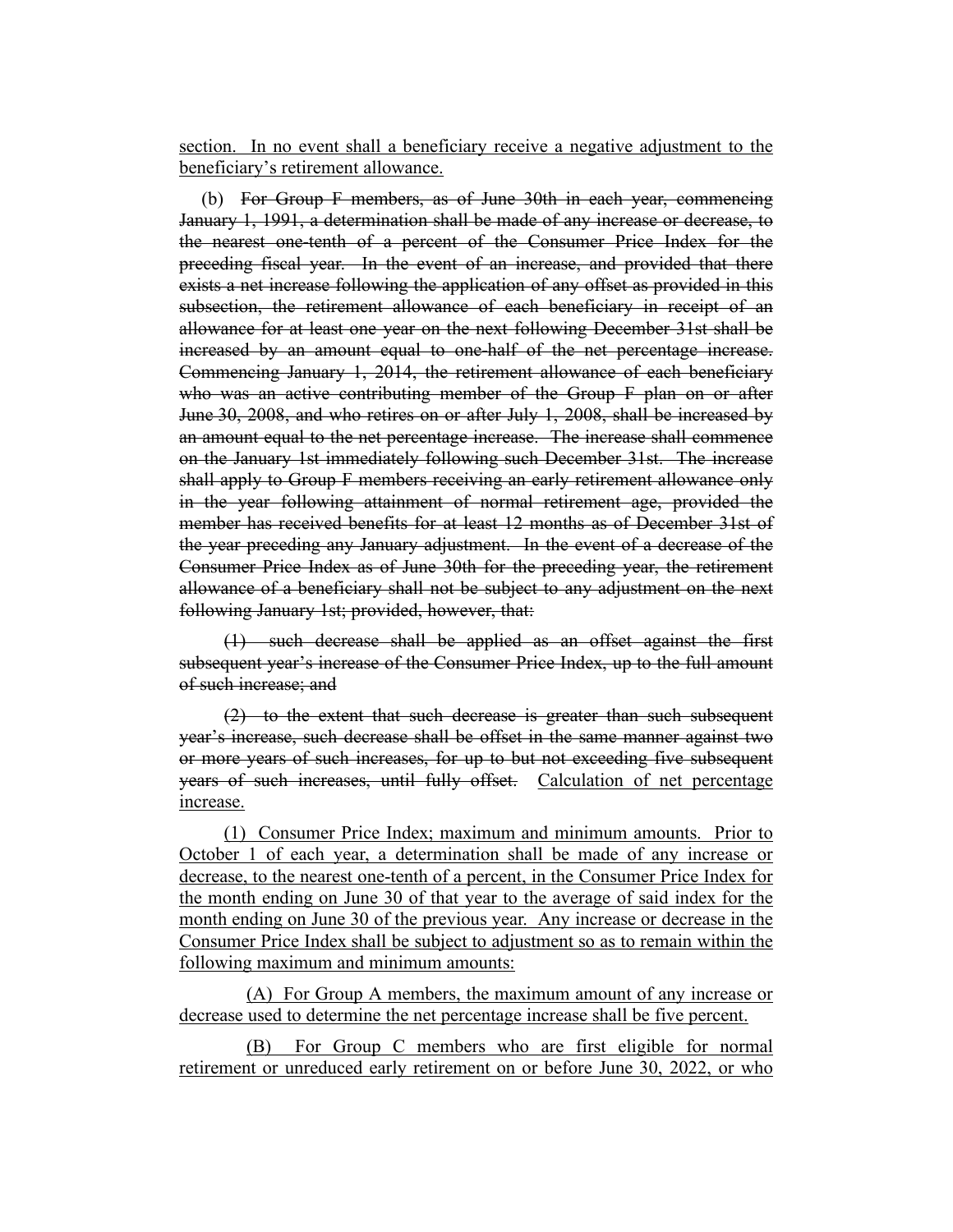section. In no event shall a beneficiary receive a negative adjustment to the beneficiary's retirement allowance.

(b) For Group F members, as of June 30th in each year, commencing January 1, 1991, a determination shall be made of any increase or decrease, to the nearest one-tenth of a percent of the Consumer Price Index for the preceding fiscal year. In the event of an increase, and provided that there exists a net increase following the application of any offset as provided in this subsection, the retirement allowance of each beneficiary in receipt of an allowance for at least one year on the next following December 31st shall be increased by an amount equal to one-half of the net percentage increase. Commencing January 1, 2014, the retirement allowance of each beneficiary who was an active contributing member of the Group F plan on or after June 30, 2008, and who retires on or after July 1, 2008, shall be increased by an amount equal to the net percentage increase. The increase shall commence on the January 1st immediately following such December 31st. The increase shall apply to Group F members receiving an early retirement allowance only in the year following attainment of normal retirement age, provided the member has received benefits for at least 12 months as of December 31st of the year preceding any January adjustment. In the event of a decrease of the Consumer Price Index as of June 30th for the preceding year, the retirement allowance of a beneficiary shall not be subject to any adjustment on the next following January 1st; provided, however, that:

(1) such decrease shall be applied as an offset against the first subsequent year's increase of the Consumer Price Index, up to the full amount of such increase; and

(2) to the extent that such decrease is greater than such subsequent year's increase, such decrease shall be offset in the same manner against two or more years of such increases, for up to but not exceeding five subsequent years of such increases, until fully offset. Calculation of net percentage increase.

(1) Consumer Price Index; maximum and minimum amounts. Prior to October 1 of each year, a determination shall be made of any increase or decrease, to the nearest one-tenth of a percent, in the Consumer Price Index for the month ending on June 30 of that year to the average of said index for the month ending on June 30 of the previous year. Any increase or decrease in the Consumer Price Index shall be subject to adjustment so as to remain within the following maximum and minimum amounts:

(A) For Group A members, the maximum amount of any increase or decrease used to determine the net percentage increase shall be five percent.

(B) For Group C members who are first eligible for normal retirement or unreduced early retirement on or before June 30, 2022, or who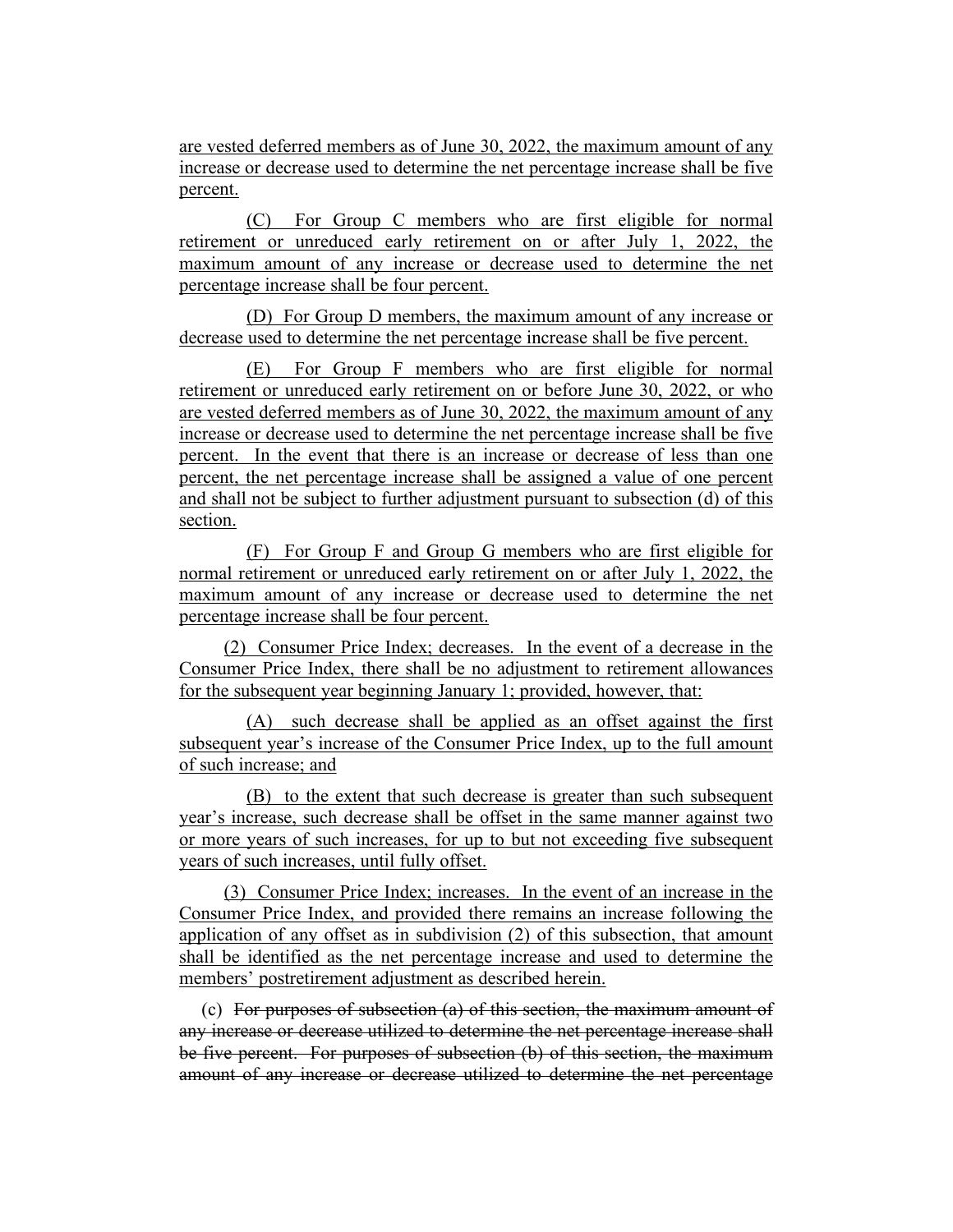are vested deferred members as of June 30, 2022, the maximum amount of any increase or decrease used to determine the net percentage increase shall be five percent.

(C) For Group C members who are first eligible for normal retirement or unreduced early retirement on or after July 1, 2022, the maximum amount of any increase or decrease used to determine the net percentage increase shall be four percent.

(D) For Group D members, the maximum amount of any increase or decrease used to determine the net percentage increase shall be five percent.

(E) For Group F members who are first eligible for normal retirement or unreduced early retirement on or before June 30, 2022, or who are vested deferred members as of June 30, 2022, the maximum amount of any increase or decrease used to determine the net percentage increase shall be five percent. In the event that there is an increase or decrease of less than one percent, the net percentage increase shall be assigned a value of one percent and shall not be subject to further adjustment pursuant to subsection (d) of this section.

(F) For Group F and Group G members who are first eligible for normal retirement or unreduced early retirement on or after July 1, 2022, the maximum amount of any increase or decrease used to determine the net percentage increase shall be four percent.

(2) Consumer Price Index; decreases. In the event of a decrease in the Consumer Price Index, there shall be no adjustment to retirement allowances for the subsequent year beginning January 1; provided, however, that:

(A) such decrease shall be applied as an offset against the first subsequent year's increase of the Consumer Price Index, up to the full amount of such increase; and

(B) to the extent that such decrease is greater than such subsequent year's increase, such decrease shall be offset in the same manner against two or more years of such increases, for up to but not exceeding five subsequent years of such increases, until fully offset.

(3) Consumer Price Index; increases. In the event of an increase in the Consumer Price Index, and provided there remains an increase following the application of any offset as in subdivision (2) of this subsection, that amount shall be identified as the net percentage increase and used to determine the members' postretirement adjustment as described herein.

(c) For purposes of subsection (a) of this section, the maximum amount of any increase or decrease utilized to determine the net percentage increase shall be five percent. For purposes of subsection (b) of this section, the maximum amount of any increase or decrease utilized to determine the net percentage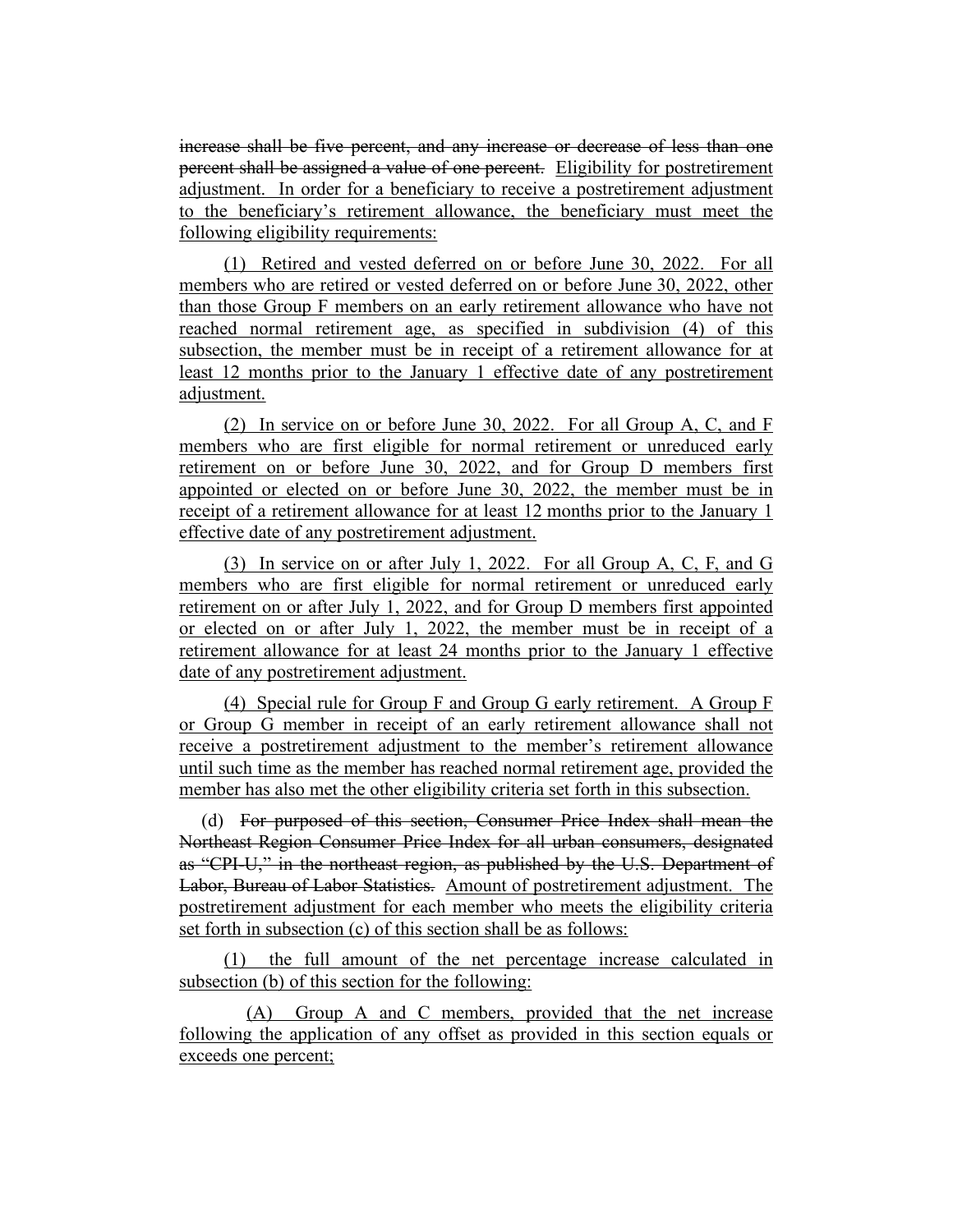increase shall be five percent, and any increase or decrease of less than one percent shall be assigned a value of one percent. Eligibility for postretirement adjustment. In order for a beneficiary to receive a postretirement adjustment to the beneficiary's retirement allowance, the beneficiary must meet the following eligibility requirements:

(1) Retired and vested deferred on or before June 30, 2022. For all members who are retired or vested deferred on or before June 30, 2022, other than those Group F members on an early retirement allowance who have not reached normal retirement age, as specified in subdivision (4) of this subsection, the member must be in receipt of a retirement allowance for at least 12 months prior to the January 1 effective date of any postretirement adjustment.

(2) In service on or before June 30, 2022. For all Group A, C, and F members who are first eligible for normal retirement or unreduced early retirement on or before June 30, 2022, and for Group D members first appointed or elected on or before June 30, 2022, the member must be in receipt of a retirement allowance for at least 12 months prior to the January 1 effective date of any postretirement adjustment.

(3) In service on or after July 1, 2022. For all Group A, C, F, and G members who are first eligible for normal retirement or unreduced early retirement on or after July 1, 2022, and for Group D members first appointed or elected on or after July 1, 2022, the member must be in receipt of a retirement allowance for at least 24 months prior to the January 1 effective date of any postretirement adjustment.

(4) Special rule for Group F and Group G early retirement. A Group F or Group G member in receipt of an early retirement allowance shall not receive a postretirement adjustment to the member's retirement allowance until such time as the member has reached normal retirement age, provided the member has also met the other eligibility criteria set forth in this subsection.

(d) For purposed of this section, Consumer Price Index shall mean the Northeast Region Consumer Price Index for all urban consumers, designated as "CPI-U," in the northeast region, as published by the U.S. Department of Labor, Bureau of Labor Statistics. Amount of postretirement adjustment. The postretirement adjustment for each member who meets the eligibility criteria set forth in subsection (c) of this section shall be as follows:

(1) the full amount of the net percentage increase calculated in subsection (b) of this section for the following:

(A) Group A and C members, provided that the net increase following the application of any offset as provided in this section equals or exceeds one percent;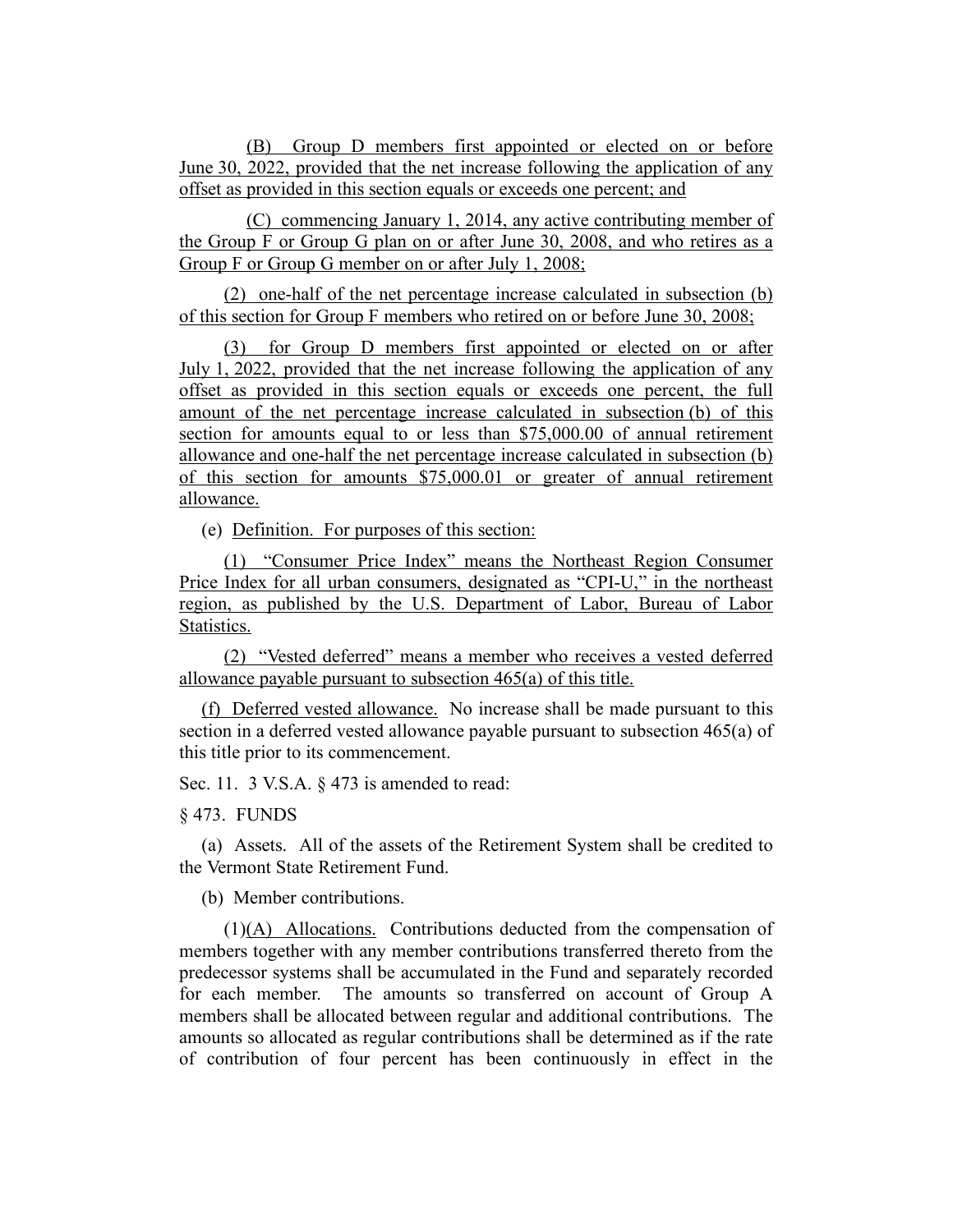(B) Group D members first appointed or elected on or before June 30, 2022, provided that the net increase following the application of any offset as provided in this section equals or exceeds one percent; and

(C) commencing January 1, 2014, any active contributing member of the Group F or Group G plan on or after June 30, 2008, and who retires as a Group F or Group G member on or after July 1, 2008;

(2) one-half of the net percentage increase calculated in subsection (b) of this section for Group F members who retired on or before June 30, 2008;

(3) for Group D members first appointed or elected on or after July 1, 2022, provided that the net increase following the application of any offset as provided in this section equals or exceeds one percent, the full amount of the net percentage increase calculated in subsection (b) of this section for amounts equal to or less than \$75,000.00 of annual retirement allowance and one-half the net percentage increase calculated in subsection (b) of this section for amounts \$75,000.01 or greater of annual retirement allowance.

(e) Definition. For purposes of this section:

(1) "Consumer Price Index" means the Northeast Region Consumer Price Index for all urban consumers, designated as "CPI-U," in the northeast region, as published by the U.S. Department of Labor, Bureau of Labor Statistics.

(2) "Vested deferred" means a member who receives a vested deferred allowance payable pursuant to subsection 465(a) of this title.

(f) Deferred vested allowance. No increase shall be made pursuant to this section in a deferred vested allowance payable pursuant to subsection 465(a) of this title prior to its commencement.

Sec. 11. 3 V.S.A. § 473 is amended to read:

§ 473. FUNDS

(a) Assets. All of the assets of the Retirement System shall be credited to the Vermont State Retirement Fund.

(b) Member contributions.

 $(1)(A)$  Allocations. Contributions deducted from the compensation of members together with any member contributions transferred thereto from the predecessor systems shall be accumulated in the Fund and separately recorded for each member. The amounts so transferred on account of Group A members shall be allocated between regular and additional contributions. The amounts so allocated as regular contributions shall be determined as if the rate of contribution of four percent has been continuously in effect in the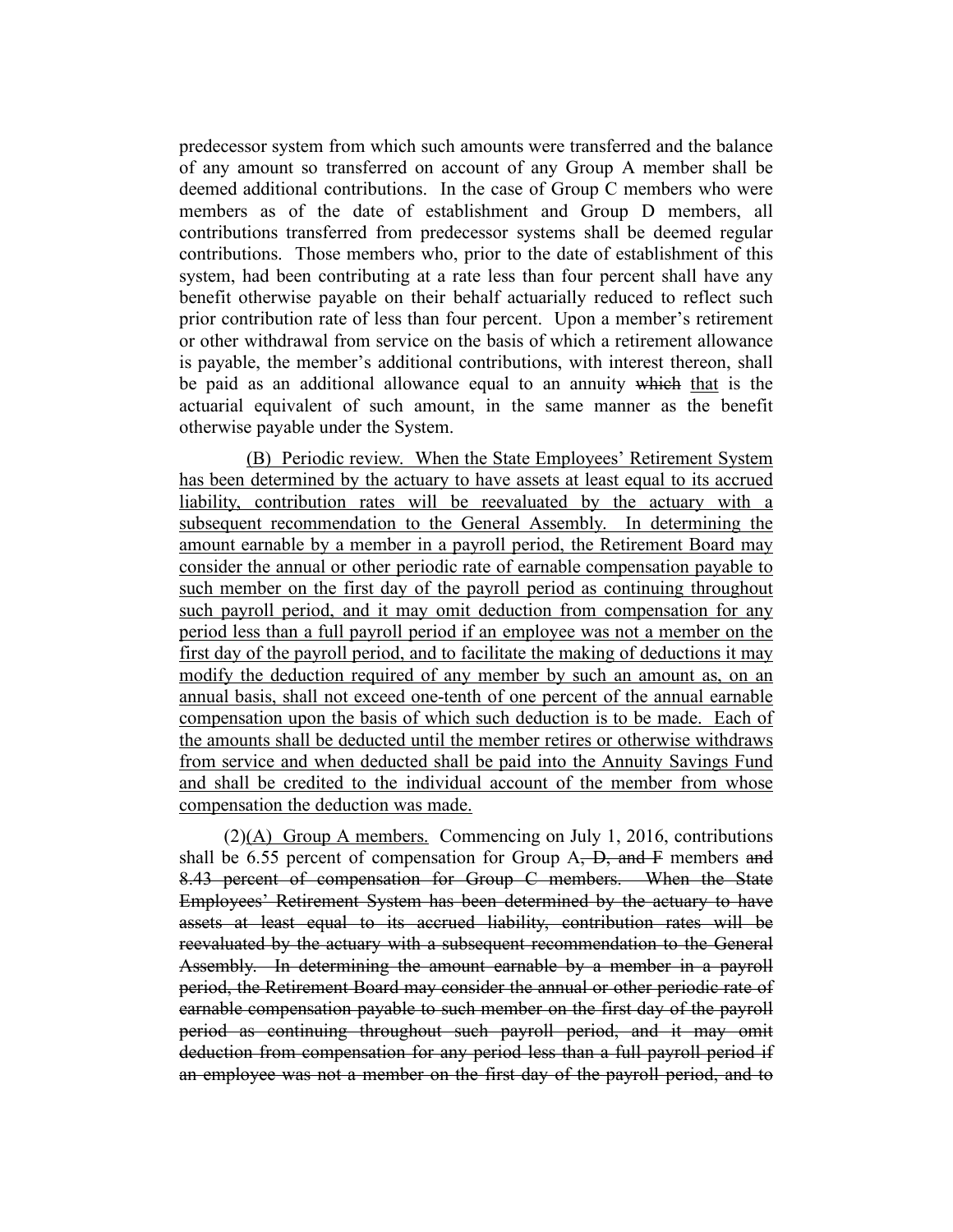predecessor system from which such amounts were transferred and the balance of any amount so transferred on account of any Group A member shall be deemed additional contributions. In the case of Group C members who were members as of the date of establishment and Group D members, all contributions transferred from predecessor systems shall be deemed regular contributions. Those members who, prior to the date of establishment of this system, had been contributing at a rate less than four percent shall have any benefit otherwise payable on their behalf actuarially reduced to reflect such prior contribution rate of less than four percent. Upon a member's retirement or other withdrawal from service on the basis of which a retirement allowance is payable, the member's additional contributions, with interest thereon, shall be paid as an additional allowance equal to an annuity which that is the actuarial equivalent of such amount, in the same manner as the benefit otherwise payable under the System.

(B) Periodic review. When the State Employees' Retirement System has been determined by the actuary to have assets at least equal to its accrued liability, contribution rates will be reevaluated by the actuary with a subsequent recommendation to the General Assembly. In determining the amount earnable by a member in a payroll period, the Retirement Board may consider the annual or other periodic rate of earnable compensation payable to such member on the first day of the payroll period as continuing throughout such payroll period, and it may omit deduction from compensation for any period less than a full payroll period if an employee was not a member on the first day of the payroll period, and to facilitate the making of deductions it may modify the deduction required of any member by such an amount as, on an annual basis, shall not exceed one-tenth of one percent of the annual earnable compensation upon the basis of which such deduction is to be made. Each of the amounts shall be deducted until the member retires or otherwise withdraws from service and when deducted shall be paid into the Annuity Savings Fund and shall be credited to the individual account of the member from whose compensation the deduction was made.

(2)(A) Group A members. Commencing on July 1, 2016, contributions shall be 6.55 percent of compensation for Group  $A$ ,  $D$ , and  $F$  members and 8.43 percent of compensation for Group C members. When the State Employees' Retirement System has been determined by the actuary to have assets at least equal to its accrued liability, contribution rates will be reevaluated by the actuary with a subsequent recommendation to the General Assembly. In determining the amount earnable by a member in a payroll period, the Retirement Board may consider the annual or other periodic rate of earnable compensation payable to such member on the first day of the payroll period as continuing throughout such payroll period, and it may omit deduction from compensation for any period less than a full payroll period if an employee was not a member on the first day of the payroll period, and to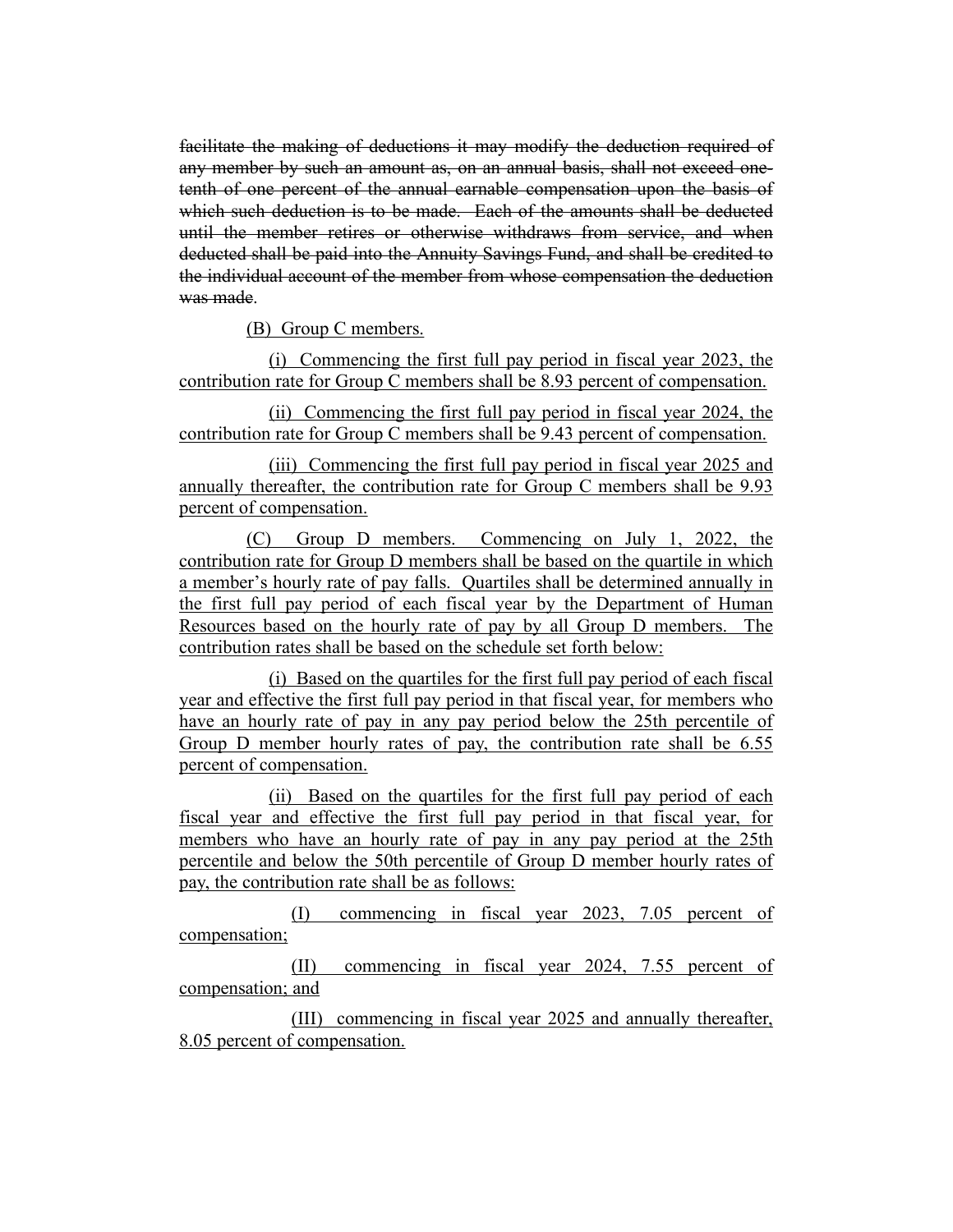facilitate the making of deductions it may modify the deduction required of any member by such an amount as, on an annual basis, shall not exceed onetenth of one percent of the annual earnable compensation upon the basis of which such deduction is to be made. Each of the amounts shall be deducted until the member retires or otherwise withdraws from service, and when deducted shall be paid into the Annuity Savings Fund, and shall be credited to the individual account of the member from whose compensation the deduction was made.

(B) Group C members.

(i) Commencing the first full pay period in fiscal year 2023, the contribution rate for Group C members shall be 8.93 percent of compensation.

(ii) Commencing the first full pay period in fiscal year 2024, the contribution rate for Group C members shall be 9.43 percent of compensation.

(iii) Commencing the first full pay period in fiscal year 2025 and annually thereafter, the contribution rate for Group C members shall be 9.93 percent of compensation.

(C) Group D members. Commencing on July 1, 2022, the contribution rate for Group D members shall be based on the quartile in which a member's hourly rate of pay falls. Quartiles shall be determined annually in the first full pay period of each fiscal year by the Department of Human Resources based on the hourly rate of pay by all Group D members. The contribution rates shall be based on the schedule set forth below:

(i) Based on the quartiles for the first full pay period of each fiscal year and effective the first full pay period in that fiscal year, for members who have an hourly rate of pay in any pay period below the 25th percentile of Group D member hourly rates of pay, the contribution rate shall be 6.55 percent of compensation.

(ii) Based on the quartiles for the first full pay period of each fiscal year and effective the first full pay period in that fiscal year, for members who have an hourly rate of pay in any pay period at the 25th percentile and below the 50th percentile of Group D member hourly rates of pay, the contribution rate shall be as follows:

(I) commencing in fiscal year 2023, 7.05 percent of compensation;

(II) commencing in fiscal year 2024, 7.55 percent of compensation; and

(III) commencing in fiscal year 2025 and annually thereafter, 8.05 percent of compensation.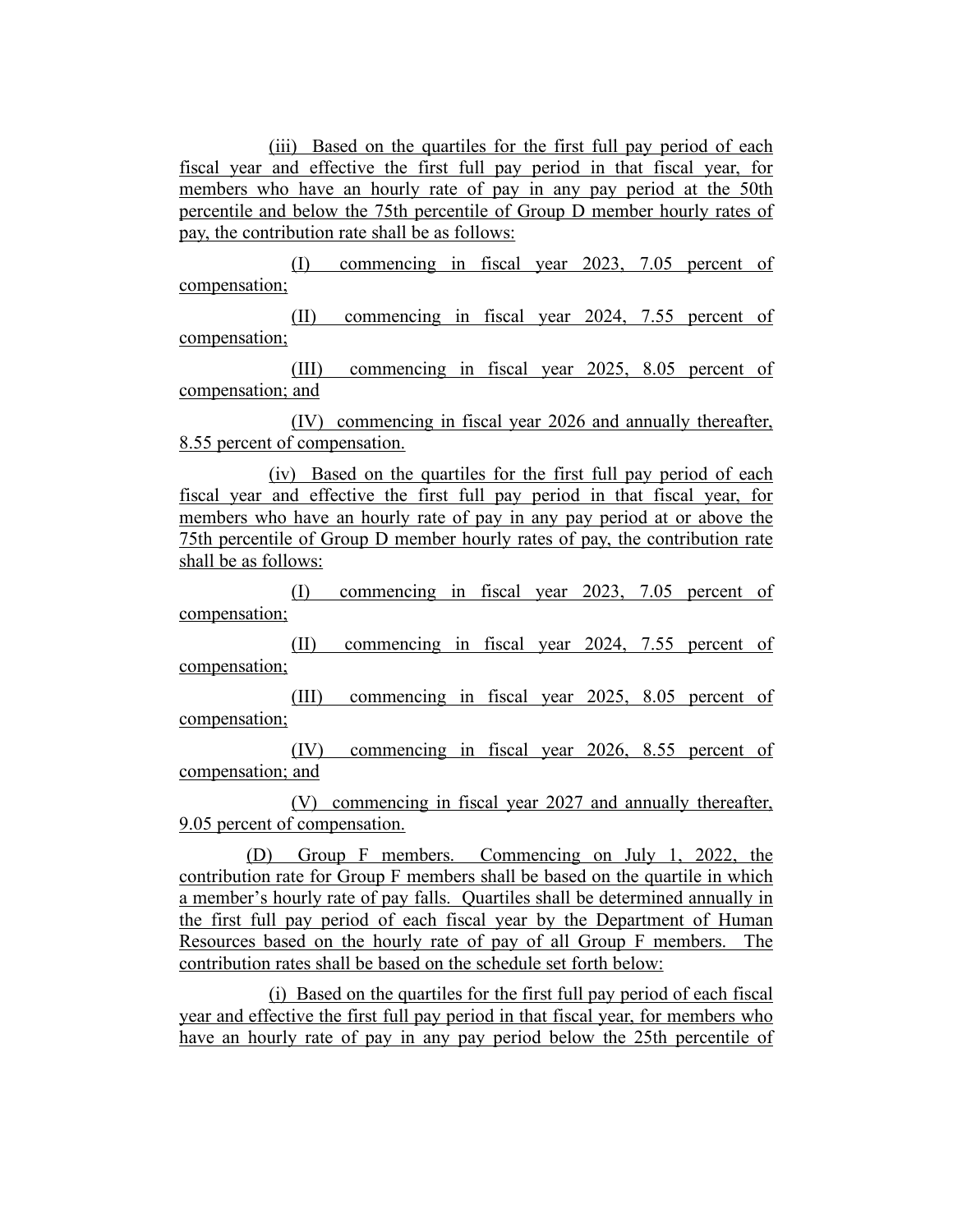(iii) Based on the quartiles for the first full pay period of each fiscal year and effective the first full pay period in that fiscal year, for members who have an hourly rate of pay in any pay period at the 50th percentile and below the 75th percentile of Group D member hourly rates of pay, the contribution rate shall be as follows:

(I) commencing in fiscal year 2023, 7.05 percent of compensation;

(II) commencing in fiscal year 2024, 7.55 percent of compensation;

(III) commencing in fiscal year 2025, 8.05 percent of compensation; and

(IV) commencing in fiscal year 2026 and annually thereafter, 8.55 percent of compensation.

(iv) Based on the quartiles for the first full pay period of each fiscal year and effective the first full pay period in that fiscal year, for members who have an hourly rate of pay in any pay period at or above the 75th percentile of Group D member hourly rates of pay, the contribution rate shall be as follows:

(I) commencing in fiscal year 2023, 7.05 percent of compensation;

(II) commencing in fiscal year 2024, 7.55 percent of compensation;

(III) commencing in fiscal year 2025, 8.05 percent of compensation;

(IV) commencing in fiscal year 2026, 8.55 percent of compensation; and

(V) commencing in fiscal year 2027 and annually thereafter, 9.05 percent of compensation.

(D) Group F members. Commencing on July 1, 2022, the contribution rate for Group F members shall be based on the quartile in which a member's hourly rate of pay falls. Quartiles shall be determined annually in the first full pay period of each fiscal year by the Department of Human Resources based on the hourly rate of pay of all Group F members. The contribution rates shall be based on the schedule set forth below:

(i) Based on the quartiles for the first full pay period of each fiscal year and effective the first full pay period in that fiscal year, for members who have an hourly rate of pay in any pay period below the 25th percentile of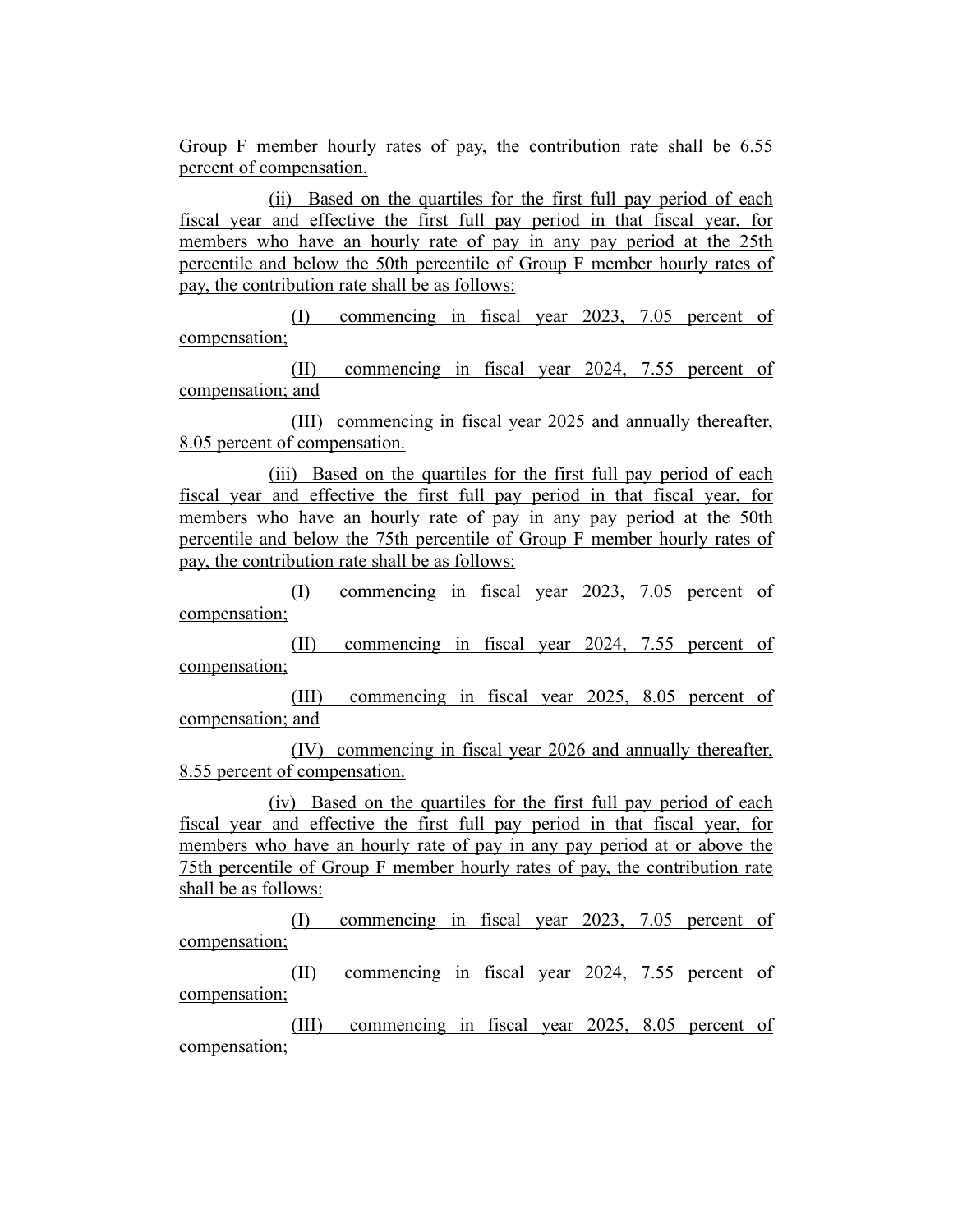Group F member hourly rates of pay, the contribution rate shall be 6.55 percent of compensation.

(ii) Based on the quartiles for the first full pay period of each fiscal year and effective the first full pay period in that fiscal year, for members who have an hourly rate of pay in any pay period at the 25th percentile and below the 50th percentile of Group F member hourly rates of pay, the contribution rate shall be as follows:

(I) commencing in fiscal year 2023, 7.05 percent of compensation;

(II) commencing in fiscal year 2024, 7.55 percent of compensation; and

(III) commencing in fiscal year 2025 and annually thereafter, 8.05 percent of compensation.

(iii) Based on the quartiles for the first full pay period of each fiscal year and effective the first full pay period in that fiscal year, for members who have an hourly rate of pay in any pay period at the 50th percentile and below the 75th percentile of Group F member hourly rates of pay, the contribution rate shall be as follows:

(I) commencing in fiscal year 2023, 7.05 percent of compensation;

(II) commencing in fiscal year 2024, 7.55 percent of compensation;

(III) commencing in fiscal year 2025, 8.05 percent of compensation; and

(IV) commencing in fiscal year 2026 and annually thereafter, 8.55 percent of compensation.

(iv) Based on the quartiles for the first full pay period of each fiscal year and effective the first full pay period in that fiscal year, for members who have an hourly rate of pay in any pay period at or above the 75th percentile of Group F member hourly rates of pay, the contribution rate shall be as follows:

(I) commencing in fiscal year 2023, 7.05 percent of compensation;

(II) commencing in fiscal year 2024, 7.55 percent of compensation;

(III) commencing in fiscal year 2025, 8.05 percent of compensation;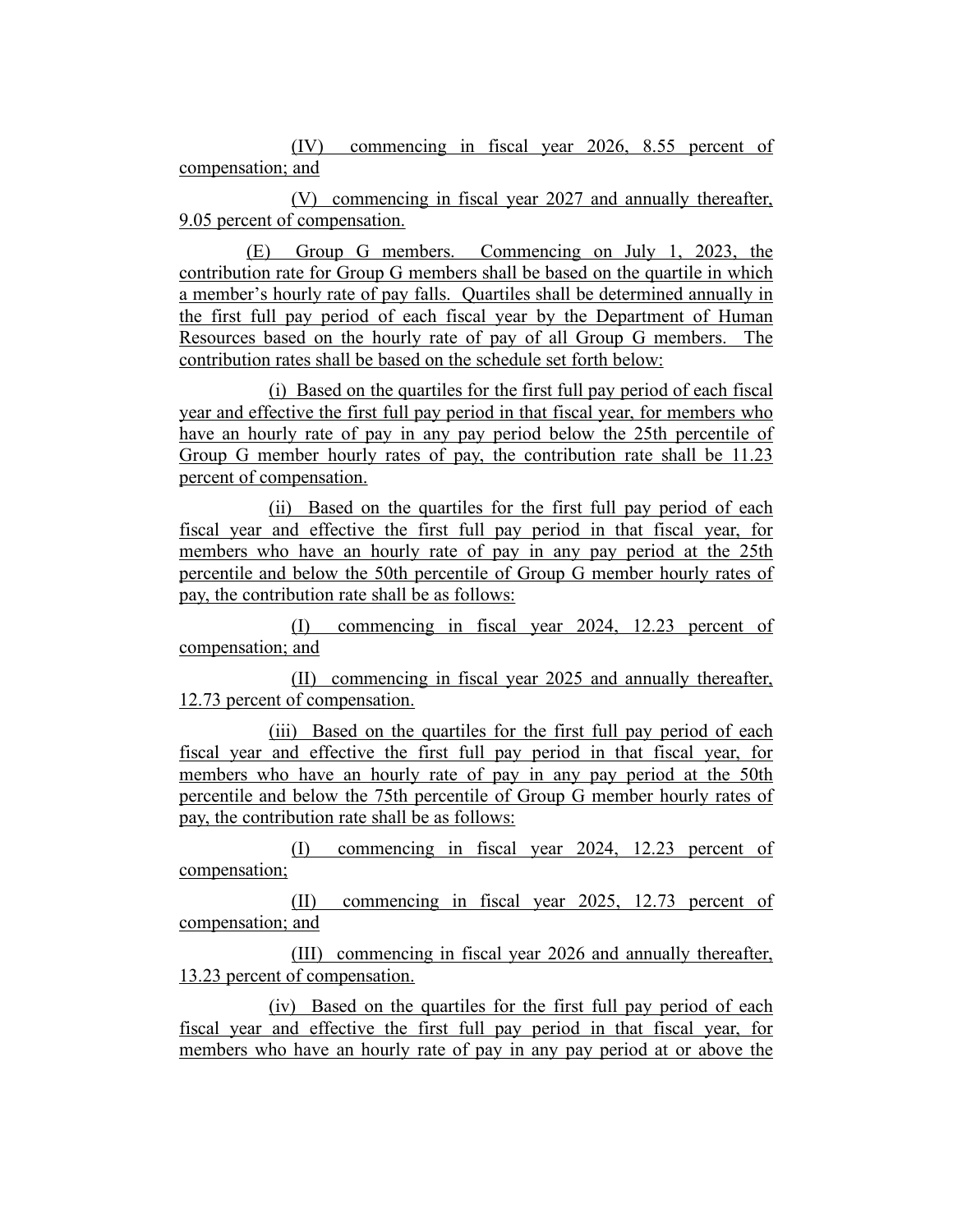(IV) commencing in fiscal year 2026, 8.55 percent of compensation; and

(V) commencing in fiscal year 2027 and annually thereafter, 9.05 percent of compensation.

(E) Group G members. Commencing on July 1, 2023, the contribution rate for Group G members shall be based on the quartile in which a member's hourly rate of pay falls. Quartiles shall be determined annually in the first full pay period of each fiscal year by the Department of Human Resources based on the hourly rate of pay of all Group G members. The contribution rates shall be based on the schedule set forth below:

(i) Based on the quartiles for the first full pay period of each fiscal year and effective the first full pay period in that fiscal year, for members who have an hourly rate of pay in any pay period below the 25th percentile of Group G member hourly rates of pay, the contribution rate shall be 11.23 percent of compensation.

(ii) Based on the quartiles for the first full pay period of each fiscal year and effective the first full pay period in that fiscal year, for members who have an hourly rate of pay in any pay period at the 25th percentile and below the 50th percentile of Group G member hourly rates of pay, the contribution rate shall be as follows:

(I) commencing in fiscal year 2024, 12.23 percent of compensation; and

(II) commencing in fiscal year 2025 and annually thereafter, 12.73 percent of compensation.

(iii) Based on the quartiles for the first full pay period of each fiscal year and effective the first full pay period in that fiscal year, for members who have an hourly rate of pay in any pay period at the 50th percentile and below the 75th percentile of Group G member hourly rates of pay, the contribution rate shall be as follows:

(I) commencing in fiscal year 2024, 12.23 percent of compensation;

(II) commencing in fiscal year 2025, 12.73 percent of compensation; and

(III) commencing in fiscal year 2026 and annually thereafter, 13.23 percent of compensation.

(iv) Based on the quartiles for the first full pay period of each fiscal year and effective the first full pay period in that fiscal year, for members who have an hourly rate of pay in any pay period at or above the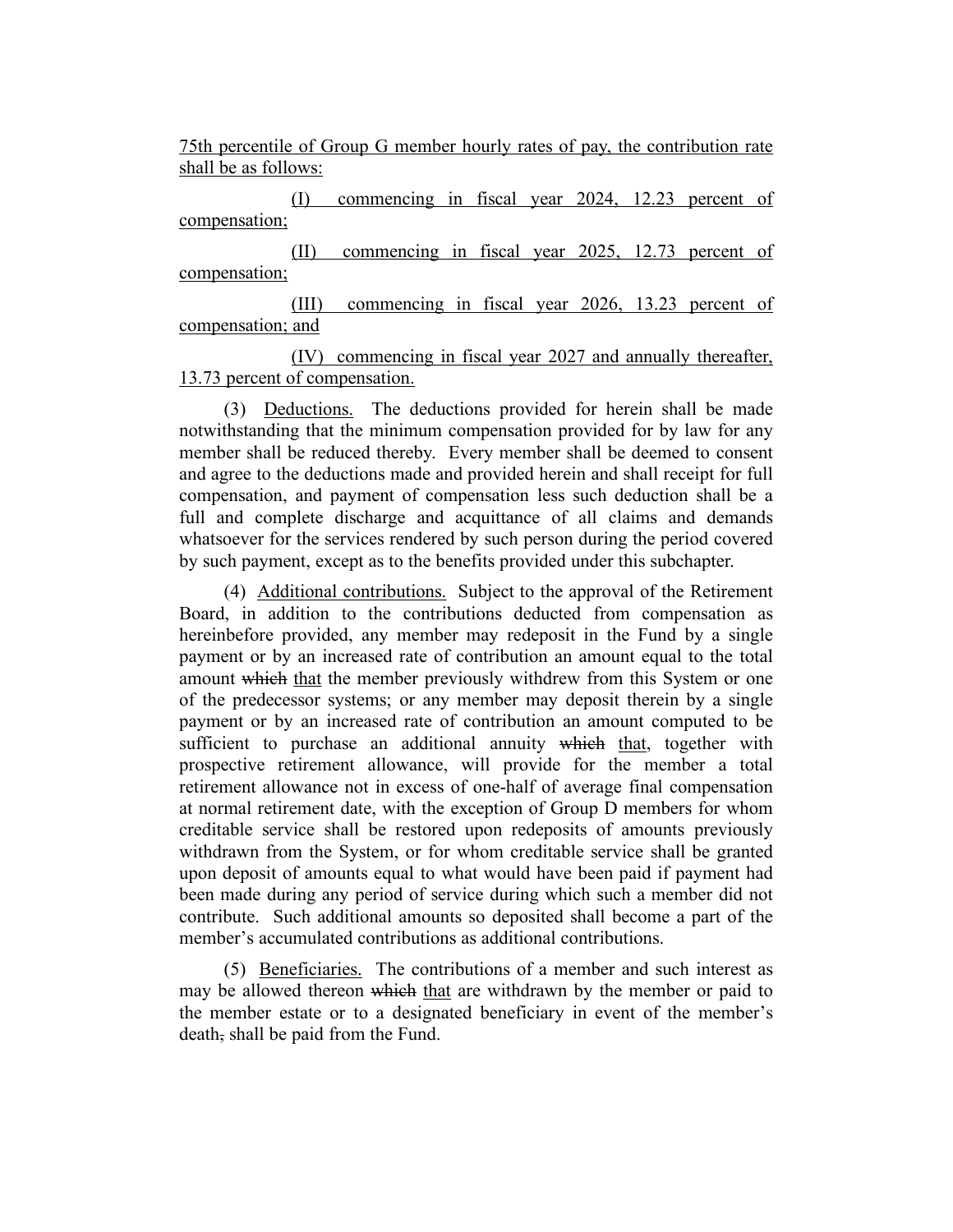75th percentile of Group G member hourly rates of pay, the contribution rate shall be as follows:

(I) commencing in fiscal year 2024, 12.23 percent of compensation;

(II) commencing in fiscal year 2025, 12.73 percent of compensation;

(III) commencing in fiscal year 2026, 13.23 percent of compensation; and

(IV) commencing in fiscal year 2027 and annually thereafter, 13.73 percent of compensation.

(3) Deductions. The deductions provided for herein shall be made notwithstanding that the minimum compensation provided for by law for any member shall be reduced thereby. Every member shall be deemed to consent and agree to the deductions made and provided herein and shall receipt for full compensation, and payment of compensation less such deduction shall be a full and complete discharge and acquittance of all claims and demands whatsoever for the services rendered by such person during the period covered by such payment, except as to the benefits provided under this subchapter.

(4) Additional contributions. Subject to the approval of the Retirement Board, in addition to the contributions deducted from compensation as hereinbefore provided, any member may redeposit in the Fund by a single payment or by an increased rate of contribution an amount equal to the total amount which that the member previously withdrew from this System or one of the predecessor systems; or any member may deposit therein by a single payment or by an increased rate of contribution an amount computed to be sufficient to purchase an additional annuity which that, together with prospective retirement allowance, will provide for the member a total retirement allowance not in excess of one-half of average final compensation at normal retirement date, with the exception of Group D members for whom creditable service shall be restored upon redeposits of amounts previously withdrawn from the System, or for whom creditable service shall be granted upon deposit of amounts equal to what would have been paid if payment had been made during any period of service during which such a member did not contribute. Such additional amounts so deposited shall become a part of the member's accumulated contributions as additional contributions.

(5) Beneficiaries. The contributions of a member and such interest as may be allowed thereon which that are withdrawn by the member or paid to the member estate or to a designated beneficiary in event of the member's death, shall be paid from the Fund.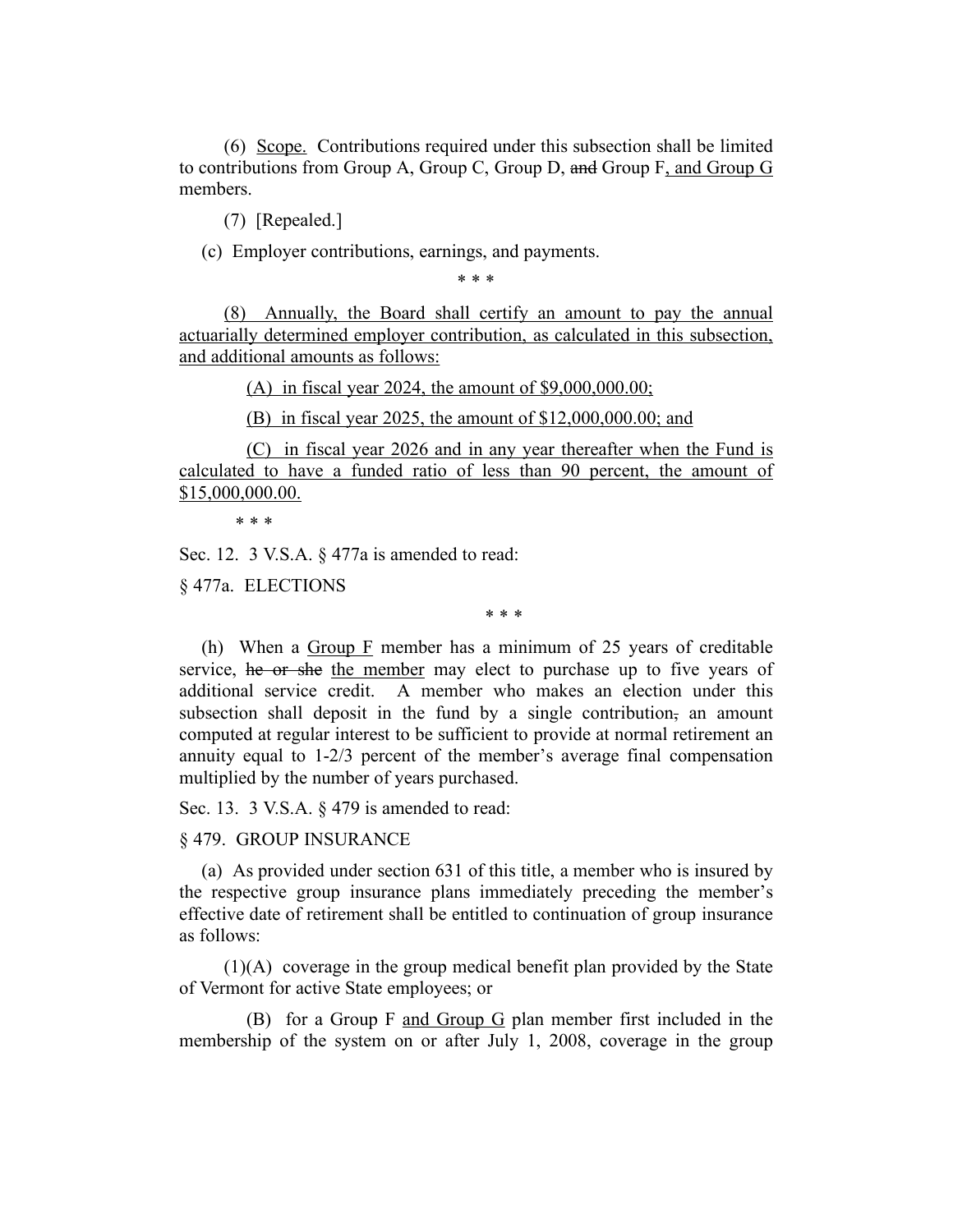(6) Scope. Contributions required under this subsection shall be limited to contributions from Group A, Group C, Group D, and Group F, and Group G members.

(7) [Repealed.]

(c) Employer contributions, earnings, and payments.

\* \* \*

(8) Annually, the Board shall certify an amount to pay the annual actuarially determined employer contribution, as calculated in this subsection, and additional amounts as follows:

(A) in fiscal year 2024, the amount of \$9,000,000.00;

(B) in fiscal year 2025, the amount of \$12,000,000.00; and

(C) in fiscal year 2026 and in any year thereafter when the Fund is calculated to have a funded ratio of less than 90 percent, the amount of \$15,000,000.00.

\* \* \*

Sec. 12. 3 V.S.A. § 477a is amended to read:

§ 477a. ELECTIONS

\* \* \*

(h) When a  $Group F$  member has a minimum of 25 years of creditable service, he or she the member may elect to purchase up to five years of additional service credit. A member who makes an election under this subsection shall deposit in the fund by a single contribution, an amount computed at regular interest to be sufficient to provide at normal retirement an annuity equal to 1-2/3 percent of the member's average final compensation multiplied by the number of years purchased.

Sec. 13. 3 V.S.A. § 479 is amended to read:

# § 479. GROUP INSURANCE

(a) As provided under section 631 of this title, a member who is insured by the respective group insurance plans immediately preceding the member's effective date of retirement shall be entitled to continuation of group insurance as follows:

(1)(A) coverage in the group medical benefit plan provided by the State of Vermont for active State employees; or

(B) for a Group F and Group G plan member first included in the membership of the system on or after July 1, 2008, coverage in the group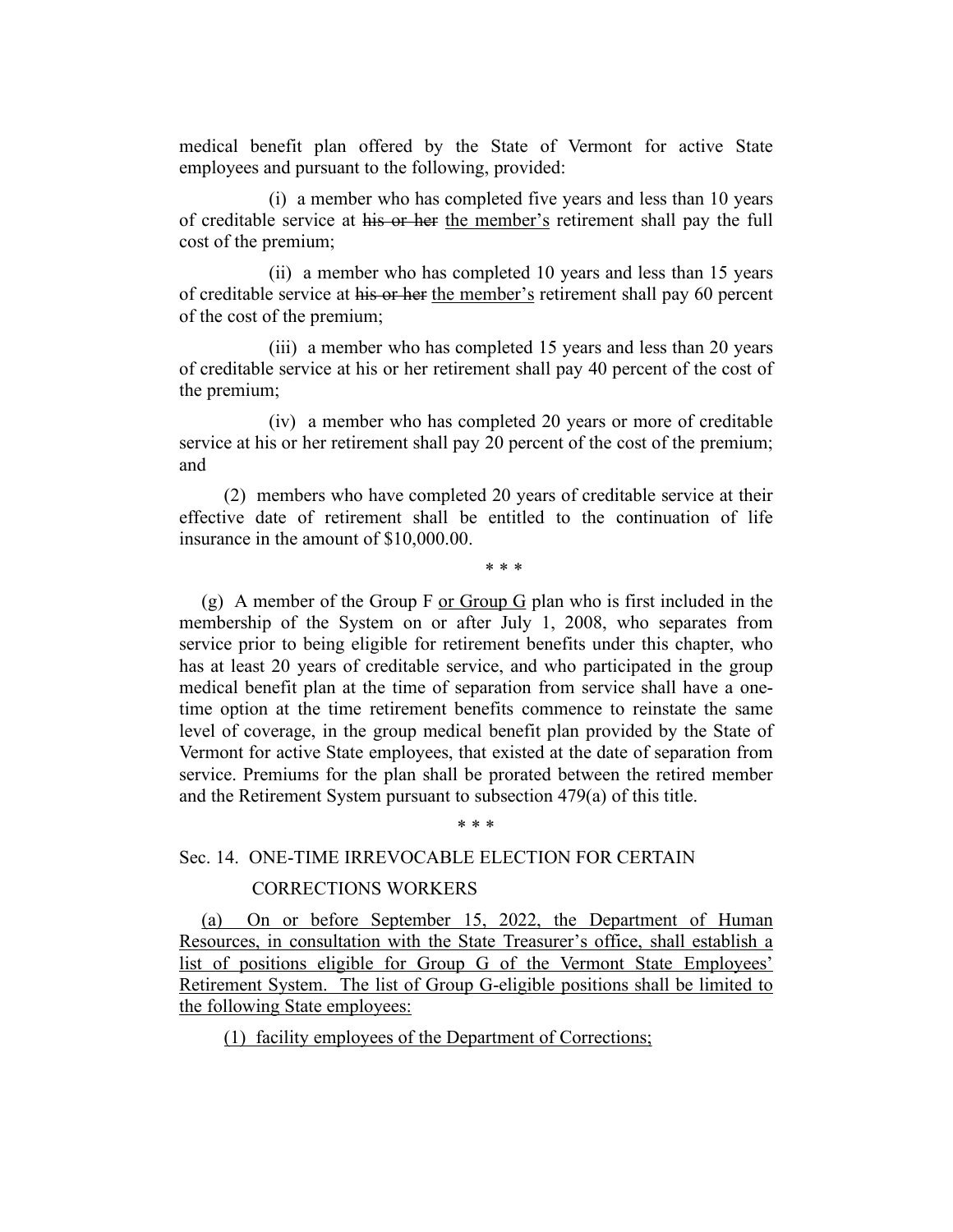medical benefit plan offered by the State of Vermont for active State employees and pursuant to the following, provided:

(i) a member who has completed five years and less than 10 years of creditable service at his or her the member's retirement shall pay the full cost of the premium;

(ii) a member who has completed 10 years and less than 15 years of creditable service at his or her the member's retirement shall pay 60 percent of the cost of the premium;

(iii) a member who has completed 15 years and less than 20 years of creditable service at his or her retirement shall pay 40 percent of the cost of the premium;

(iv) a member who has completed 20 years or more of creditable service at his or her retirement shall pay 20 percent of the cost of the premium; and

(2) members who have completed 20 years of creditable service at their effective date of retirement shall be entitled to the continuation of life insurance in the amount of \$10,000.00.

\* \* \*

(g) A member of the Group F or Group G plan who is first included in the membership of the System on or after July 1, 2008, who separates from service prior to being eligible for retirement benefits under this chapter, who has at least 20 years of creditable service, and who participated in the group medical benefit plan at the time of separation from service shall have a onetime option at the time retirement benefits commence to reinstate the same level of coverage, in the group medical benefit plan provided by the State of Vermont for active State employees, that existed at the date of separation from service. Premiums for the plan shall be prorated between the retired member and the Retirement System pursuant to subsection 479(a) of this title.

#### \* \* \*

#### Sec. 14. ONE-TIME IRREVOCABLE ELECTION FOR CERTAIN

#### CORRECTIONS WORKERS

(a) On or before September 15, 2022, the Department of Human Resources, in consultation with the State Treasurer's office, shall establish a list of positions eligible for Group G of the Vermont State Employees' Retirement System. The list of Group G-eligible positions shall be limited to the following State employees:

(1) facility employees of the Department of Corrections;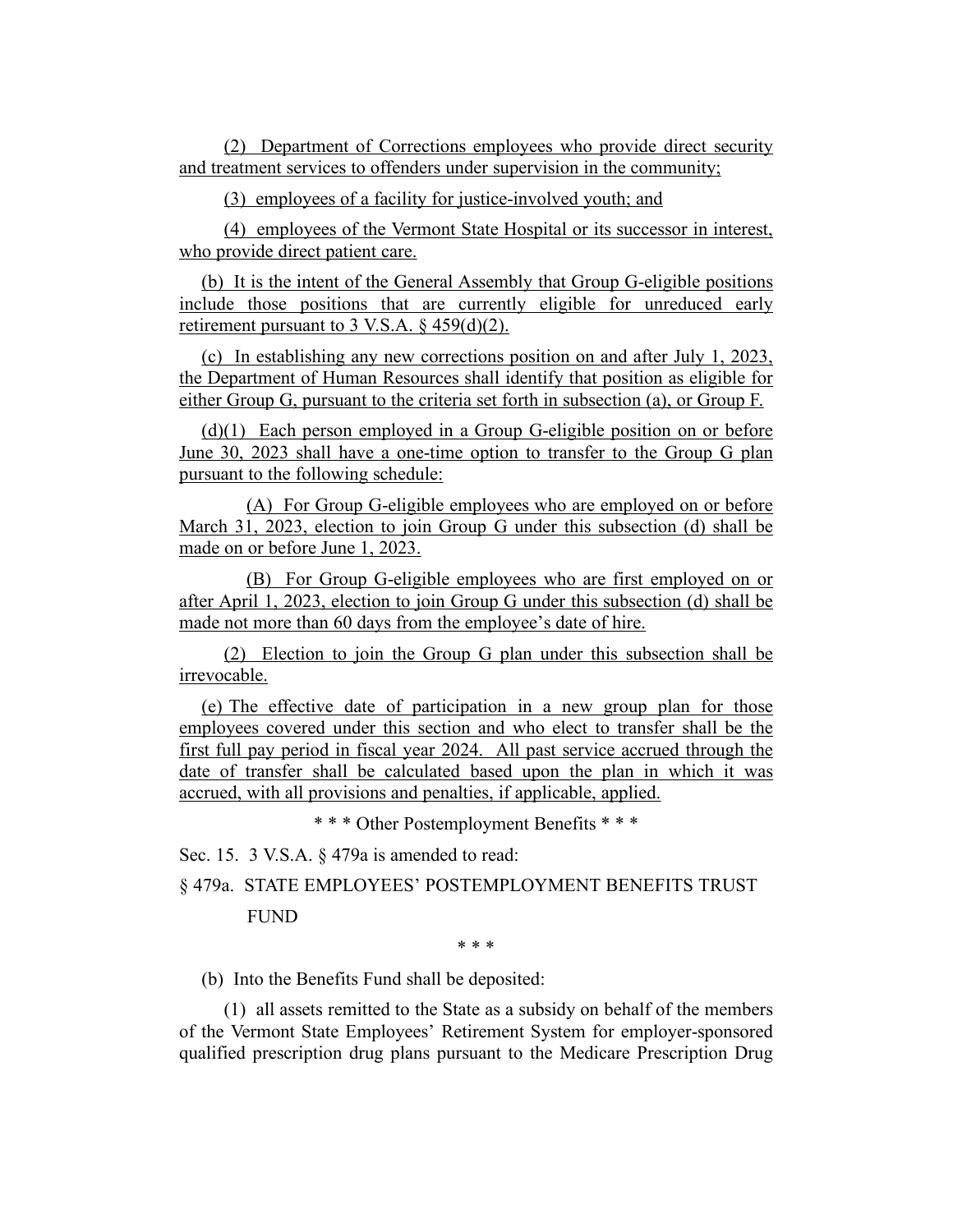(2) Department of Corrections employees who provide direct security and treatment services to offenders under supervision in the community;

(3) employees of a facility for justice-involved youth; and

(4) employees of the Vermont State Hospital or its successor in interest, who provide direct patient care.

(b) It is the intent of the General Assembly that Group G-eligible positions include those positions that are currently eligible for unreduced early retirement pursuant to 3 V.S.A.  $\S$  459(d)(2).

(c) In establishing any new corrections position on and after July 1, 2023, the Department of Human Resources shall identify that position as eligible for either Group G, pursuant to the criteria set forth in subsection (a), or Group F.

(d)(1) Each person employed in a Group G-eligible position on or before June 30, 2023 shall have a one-time option to transfer to the Group G plan pursuant to the following schedule:

(A) For Group G-eligible employees who are employed on or before March 31, 2023, election to join Group G under this subsection (d) shall be made on or before June 1, 2023.

(B) For Group G-eligible employees who are first employed on or after April 1, 2023, election to join Group G under this subsection (d) shall be made not more than 60 days from the employee's date of hire.

(2) Election to join the Group G plan under this subsection shall be irrevocable.

(e) The effective date of participation in a new group plan for those employees covered under this section and who elect to transfer shall be the first full pay period in fiscal year 2024. All past service accrued through the date of transfer shall be calculated based upon the plan in which it was accrued, with all provisions and penalties, if applicable, applied.

\* \* \* Other Postemployment Benefits \* \* \*

Sec. 15. 3 V.S.A. § 479a is amended to read:

§ 479a. STATE EMPLOYEES' POSTEMPLOYMENT BENEFITS TRUST FUND

\* \* \*

(b) Into the Benefits Fund shall be deposited:

(1) all assets remitted to the State as a subsidy on behalf of the members of the Vermont State Employees' Retirement System for employer-sponsored qualified prescription drug plans pursuant to the Medicare Prescription Drug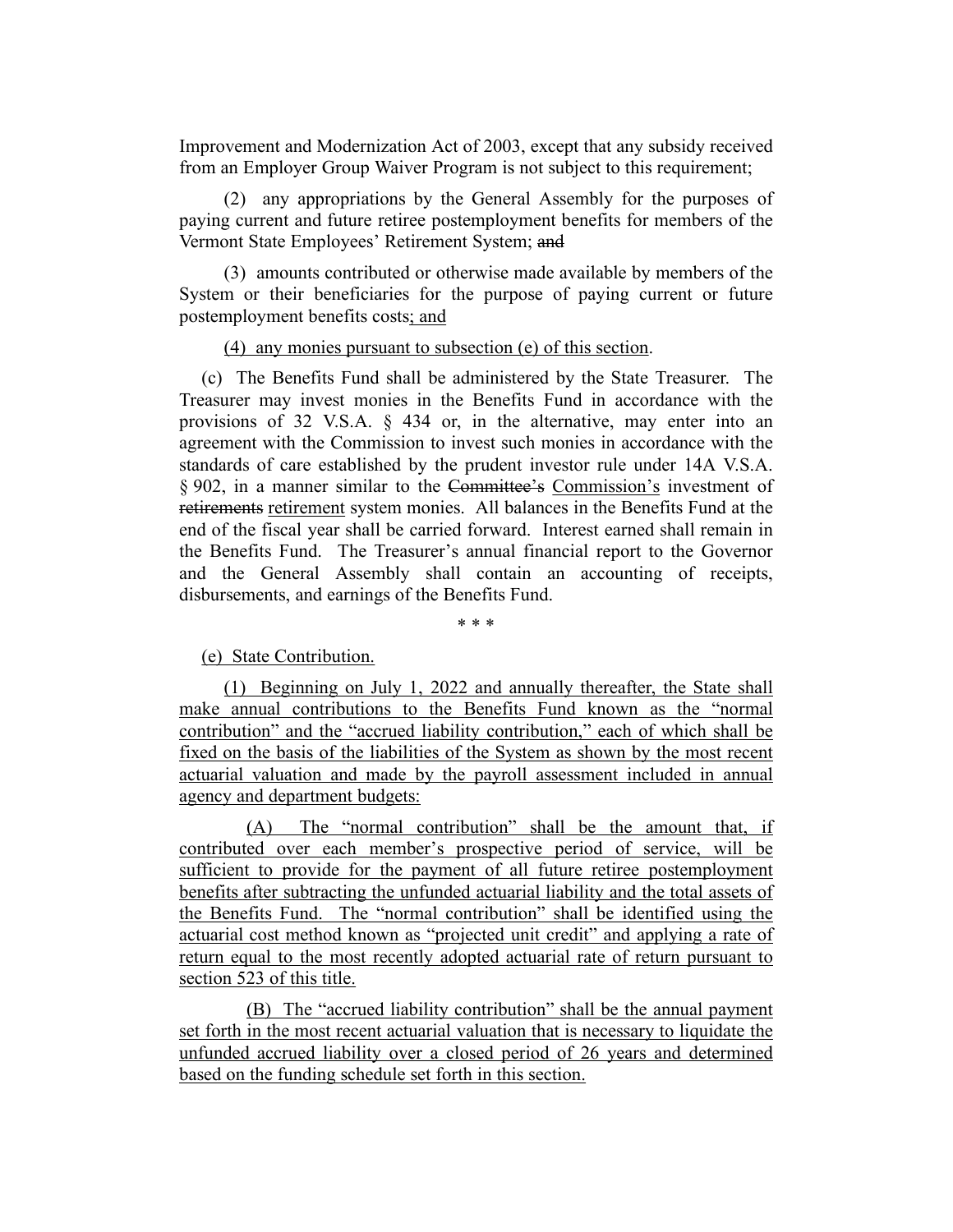Improvement and Modernization Act of 2003, except that any subsidy received from an Employer Group Waiver Program is not subject to this requirement;

(2) any appropriations by the General Assembly for the purposes of paying current and future retiree postemployment benefits for members of the Vermont State Employees' Retirement System; and

(3) amounts contributed or otherwise made available by members of the System or their beneficiaries for the purpose of paying current or future postemployment benefits costs; and

#### (4) any monies pursuant to subsection (e) of this section.

(c) The Benefits Fund shall be administered by the State Treasurer. The Treasurer may invest monies in the Benefits Fund in accordance with the provisions of 32 V.S.A. § 434 or, in the alternative, may enter into an agreement with the Commission to invest such monies in accordance with the standards of care established by the prudent investor rule under 14A V.S.A. § 902, in a manner similar to the Committee's Commission's investment of retirements retirement system monies. All balances in the Benefits Fund at the end of the fiscal year shall be carried forward. Interest earned shall remain in the Benefits Fund. The Treasurer's annual financial report to the Governor and the General Assembly shall contain an accounting of receipts, disbursements, and earnings of the Benefits Fund.

\* \* \*

# (e) State Contribution.

(1) Beginning on July 1, 2022 and annually thereafter, the State shall make annual contributions to the Benefits Fund known as the "normal contribution" and the "accrued liability contribution," each of which shall be fixed on the basis of the liabilities of the System as shown by the most recent actuarial valuation and made by the payroll assessment included in annual agency and department budgets:

(A) The "normal contribution" shall be the amount that, if contributed over each member's prospective period of service, will be sufficient to provide for the payment of all future retiree postemployment benefits after subtracting the unfunded actuarial liability and the total assets of the Benefits Fund. The "normal contribution" shall be identified using the actuarial cost method known as "projected unit credit" and applying a rate of return equal to the most recently adopted actuarial rate of return pursuant to section 523 of this title.

(B) The "accrued liability contribution" shall be the annual payment set forth in the most recent actuarial valuation that is necessary to liquidate the unfunded accrued liability over a closed period of 26 years and determined based on the funding schedule set forth in this section.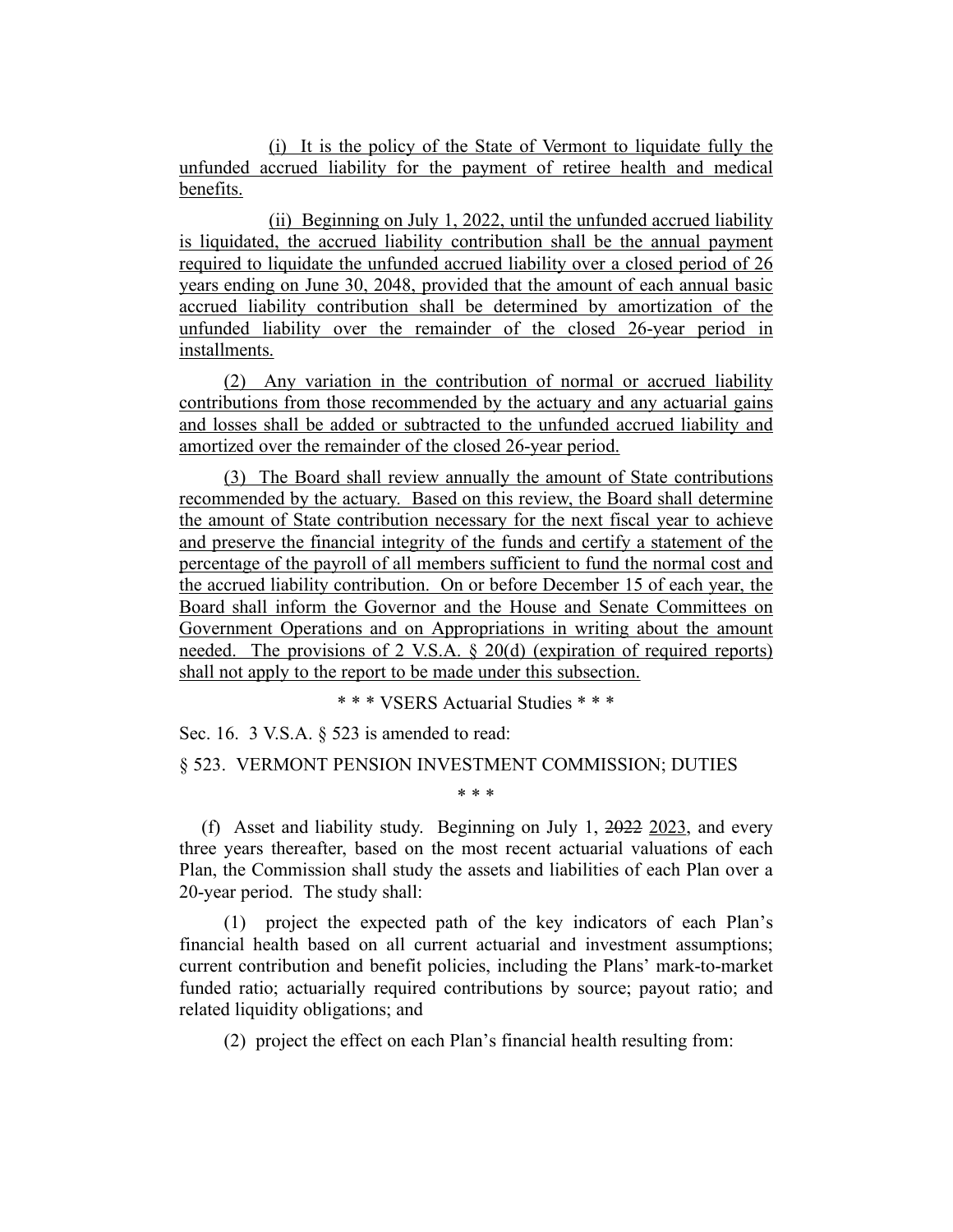(i) It is the policy of the State of Vermont to liquidate fully the unfunded accrued liability for the payment of retiree health and medical benefits.

(ii) Beginning on July 1, 2022, until the unfunded accrued liability is liquidated, the accrued liability contribution shall be the annual payment required to liquidate the unfunded accrued liability over a closed period of 26 years ending on June 30, 2048, provided that the amount of each annual basic accrued liability contribution shall be determined by amortization of the unfunded liability over the remainder of the closed 26-year period in installments.

(2) Any variation in the contribution of normal or accrued liability contributions from those recommended by the actuary and any actuarial gains and losses shall be added or subtracted to the unfunded accrued liability and amortized over the remainder of the closed 26-year period.

(3) The Board shall review annually the amount of State contributions recommended by the actuary. Based on this review, the Board shall determine the amount of State contribution necessary for the next fiscal year to achieve and preserve the financial integrity of the funds and certify a statement of the percentage of the payroll of all members sufficient to fund the normal cost and the accrued liability contribution. On or before December 15 of each year, the Board shall inform the Governor and the House and Senate Committees on Government Operations and on Appropriations in writing about the amount needed. The provisions of 2 V.S.A. § 20(d) (expiration of required reports) shall not apply to the report to be made under this subsection.

\* \* \* VSERS Actuarial Studies \* \* \*

Sec. 16. 3 V.S.A. § 523 is amended to read:

#### § 523. VERMONT PENSION INVESTMENT COMMISSION; DUTIES

(f) Asset and liability study. Beginning on July 1, 2022 2023, and every three years thereafter, based on the most recent actuarial valuations of each Plan, the Commission shall study the assets and liabilities of each Plan over a 20-year period. The study shall:

\* \* \*

(1) project the expected path of the key indicators of each Plan's financial health based on all current actuarial and investment assumptions; current contribution and benefit policies, including the Plans' mark-to-market funded ratio; actuarially required contributions by source; payout ratio; and related liquidity obligations; and

(2) project the effect on each Plan's financial health resulting from: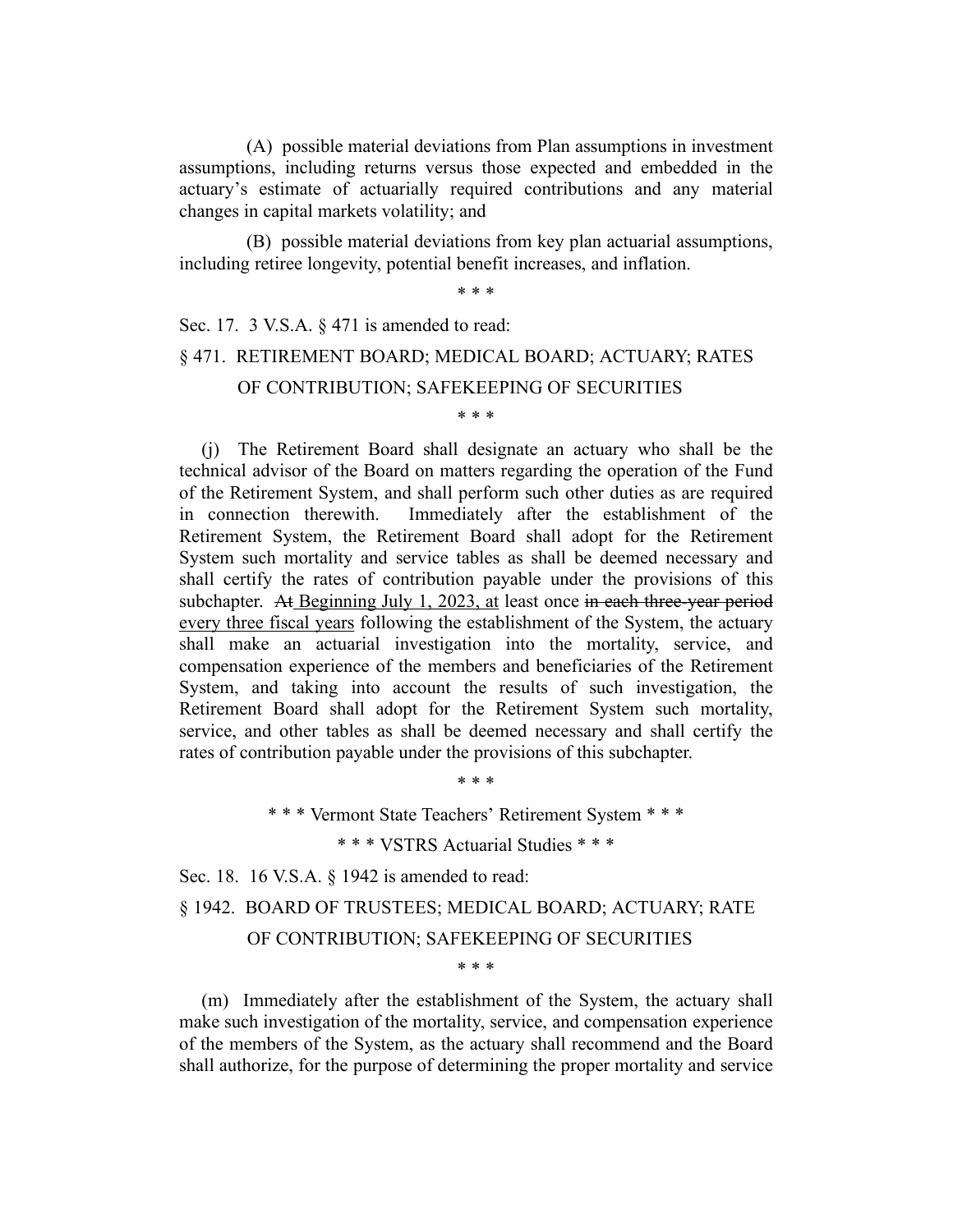(A) possible material deviations from Plan assumptions in investment assumptions, including returns versus those expected and embedded in the actuary's estimate of actuarially required contributions and any material changes in capital markets volatility; and

(B) possible material deviations from key plan actuarial assumptions, including retiree longevity, potential benefit increases, and inflation.

\* \* \*

# Sec. 17. 3 V.S.A. § 471 is amended to read: § 471. RETIREMENT BOARD; MEDICAL BOARD; ACTUARY; RATES OF CONTRIBUTION; SAFEKEEPING OF SECURITIES

\* \* \*

(j) The Retirement Board shall designate an actuary who shall be the technical advisor of the Board on matters regarding the operation of the Fund of the Retirement System, and shall perform such other duties as are required in connection therewith. Immediately after the establishment of the Retirement System, the Retirement Board shall adopt for the Retirement System such mortality and service tables as shall be deemed necessary and shall certify the rates of contribution payable under the provisions of this subchapter. At Beginning July 1, 2023, at least once in each three-year period every three fiscal years following the establishment of the System, the actuary shall make an actuarial investigation into the mortality, service, and compensation experience of the members and beneficiaries of the Retirement System, and taking into account the results of such investigation, the Retirement Board shall adopt for the Retirement System such mortality, service, and other tables as shall be deemed necessary and shall certify the rates of contribution payable under the provisions of this subchapter.

\* \* \* Vermont State Teachers' Retirement System \* \* \*

\* \* \*

\* \* \* VSTRS Actuarial Studies \* \* \*

Sec. 18. 16 V.S.A. § 1942 is amended to read:

§ 1942. BOARD OF TRUSTEES; MEDICAL BOARD; ACTUARY; RATE

#### OF CONTRIBUTION; SAFEKEEPING OF SECURITIES

\* \* \*

(m) Immediately after the establishment of the System, the actuary shall make such investigation of the mortality, service, and compensation experience of the members of the System, as the actuary shall recommend and the Board shall authorize, for the purpose of determining the proper mortality and service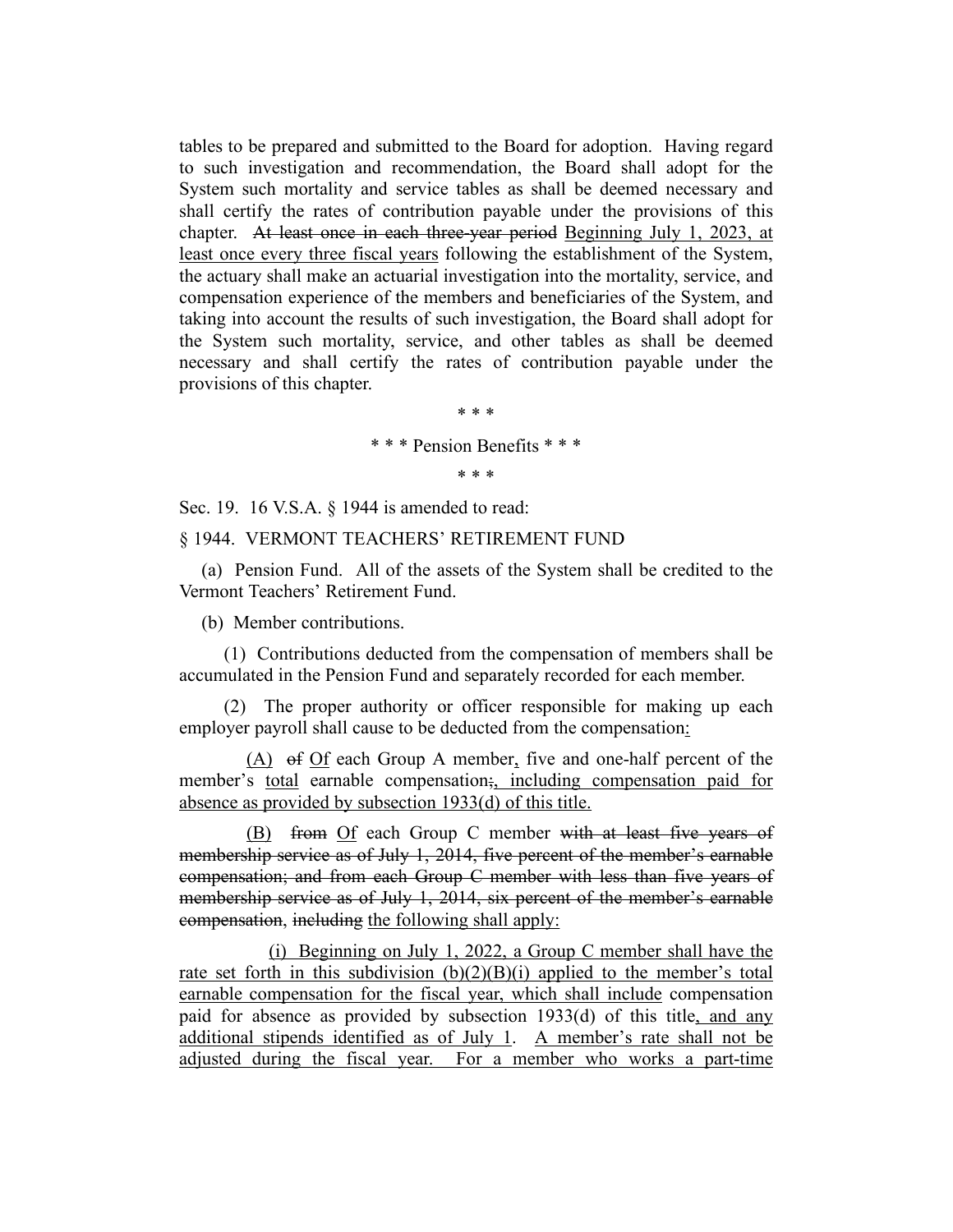tables to be prepared and submitted to the Board for adoption. Having regard to such investigation and recommendation, the Board shall adopt for the System such mortality and service tables as shall be deemed necessary and shall certify the rates of contribution payable under the provisions of this chapter. At least once in each three-year period Beginning July 1, 2023, at least once every three fiscal years following the establishment of the System, the actuary shall make an actuarial investigation into the mortality, service, and compensation experience of the members and beneficiaries of the System, and taking into account the results of such investigation, the Board shall adopt for the System such mortality, service, and other tables as shall be deemed necessary and shall certify the rates of contribution payable under the provisions of this chapter.

> \* \* \* \* \* \* Pension Benefits \* \* \* \* \* \*

Sec. 19. 16 V.S.A. § 1944 is amended to read:

§ 1944. VERMONT TEACHERS' RETIREMENT FUND

(a) Pension Fund. All of the assets of the System shall be credited to the Vermont Teachers' Retirement Fund.

(b) Member contributions.

(1) Contributions deducted from the compensation of members shall be accumulated in the Pension Fund and separately recorded for each member.

(2) The proper authority or officer responsible for making up each employer payroll shall cause to be deducted from the compensation:

(A) of Of each Group A member, five and one-half percent of the member's total earnable compensation;, including compensation paid for absence as provided by subsection 1933(d) of this title.

(B) from Of each Group C member with at least five years of membership service as of July 1, 2014, five percent of the member's earnable compensation; and from each Group C member with less than five years of membership service as of July 1, 2014, six percent of the member's earnable compensation, including the following shall apply:

(i) Beginning on July 1, 2022, a Group C member shall have the rate set forth in this subdivision  $(b)(2)(B)(i)$  applied to the member's total earnable compensation for the fiscal year, which shall include compensation paid for absence as provided by subsection 1933(d) of this title, and any additional stipends identified as of July 1. A member's rate shall not be adjusted during the fiscal year. For a member who works a part-time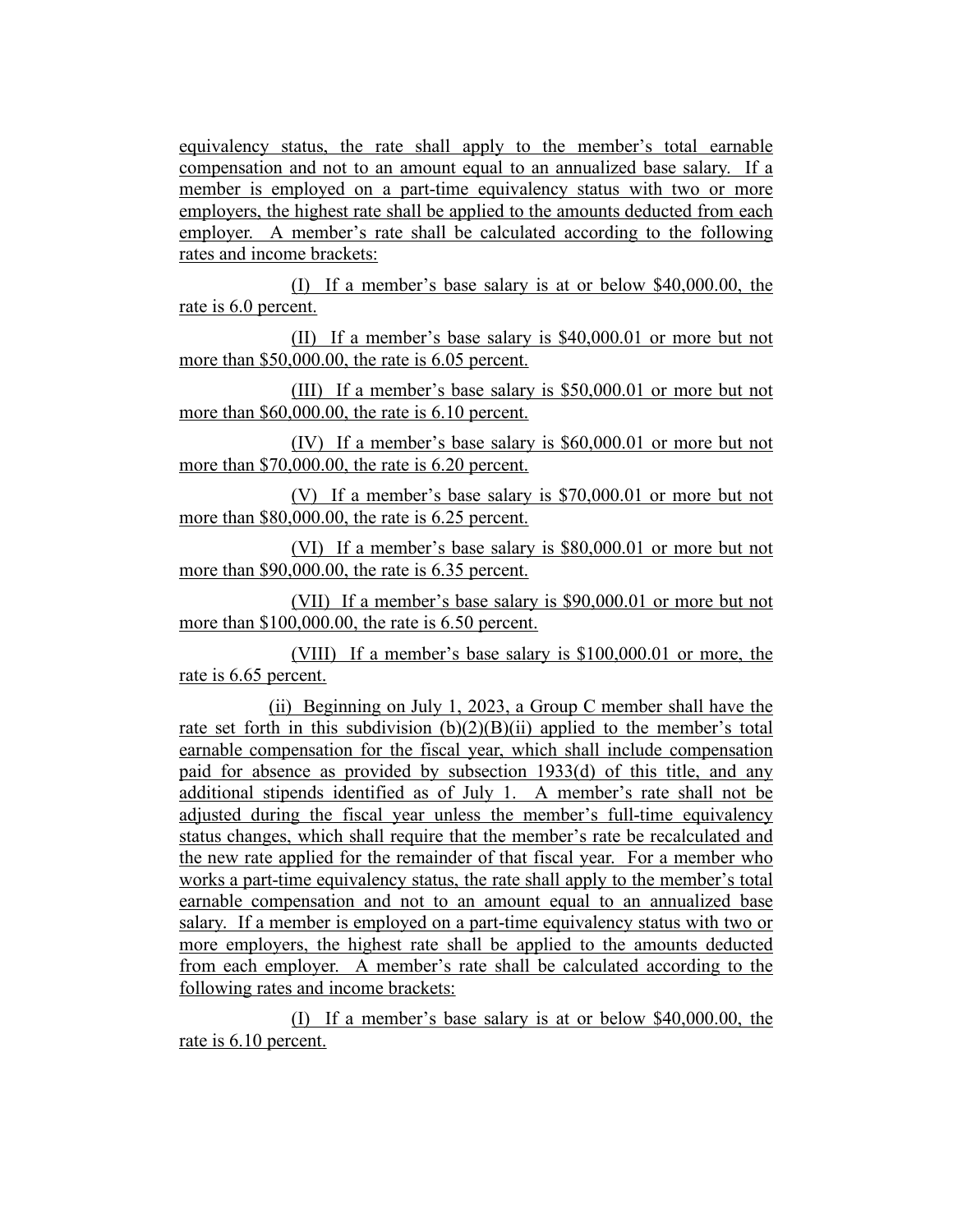equivalency status, the rate shall apply to the member's total earnable compensation and not to an amount equal to an annualized base salary. If a member is employed on a part-time equivalency status with two or more employers, the highest rate shall be applied to the amounts deducted from each employer. A member's rate shall be calculated according to the following rates and income brackets:

(I) If a member's base salary is at or below \$40,000.00, the rate is 6.0 percent.

(II) If a member's base salary is \$40,000.01 or more but not more than \$50,000.00, the rate is 6.05 percent.

(III) If a member's base salary is \$50,000.01 or more but not more than \$60,000.00, the rate is 6.10 percent.

(IV) If a member's base salary is \$60,000.01 or more but not more than \$70,000.00, the rate is 6.20 percent.

(V) If a member's base salary is \$70,000.01 or more but not more than \$80,000.00, the rate is 6.25 percent.

(VI) If a member's base salary is \$80,000.01 or more but not more than \$90,000.00, the rate is 6.35 percent.

(VII) If a member's base salary is \$90,000.01 or more but not more than \$100,000.00, the rate is 6.50 percent.

(VIII) If a member's base salary is \$100,000.01 or more, the rate is 6.65 percent.

(ii) Beginning on July 1, 2023, a Group C member shall have the rate set forth in this subdivision  $(b)(2)(B)(ii)$  applied to the member's total earnable compensation for the fiscal year, which shall include compensation paid for absence as provided by subsection 1933(d) of this title, and any additional stipends identified as of July 1. A member's rate shall not be adjusted during the fiscal year unless the member's full-time equivalency status changes, which shall require that the member's rate be recalculated and the new rate applied for the remainder of that fiscal year. For a member who works a part-time equivalency status, the rate shall apply to the member's total earnable compensation and not to an amount equal to an annualized base salary. If a member is employed on a part-time equivalency status with two or more employers, the highest rate shall be applied to the amounts deducted from each employer. A member's rate shall be calculated according to the following rates and income brackets:

(I) If a member's base salary is at or below \$40,000.00, the rate is 6.10 percent.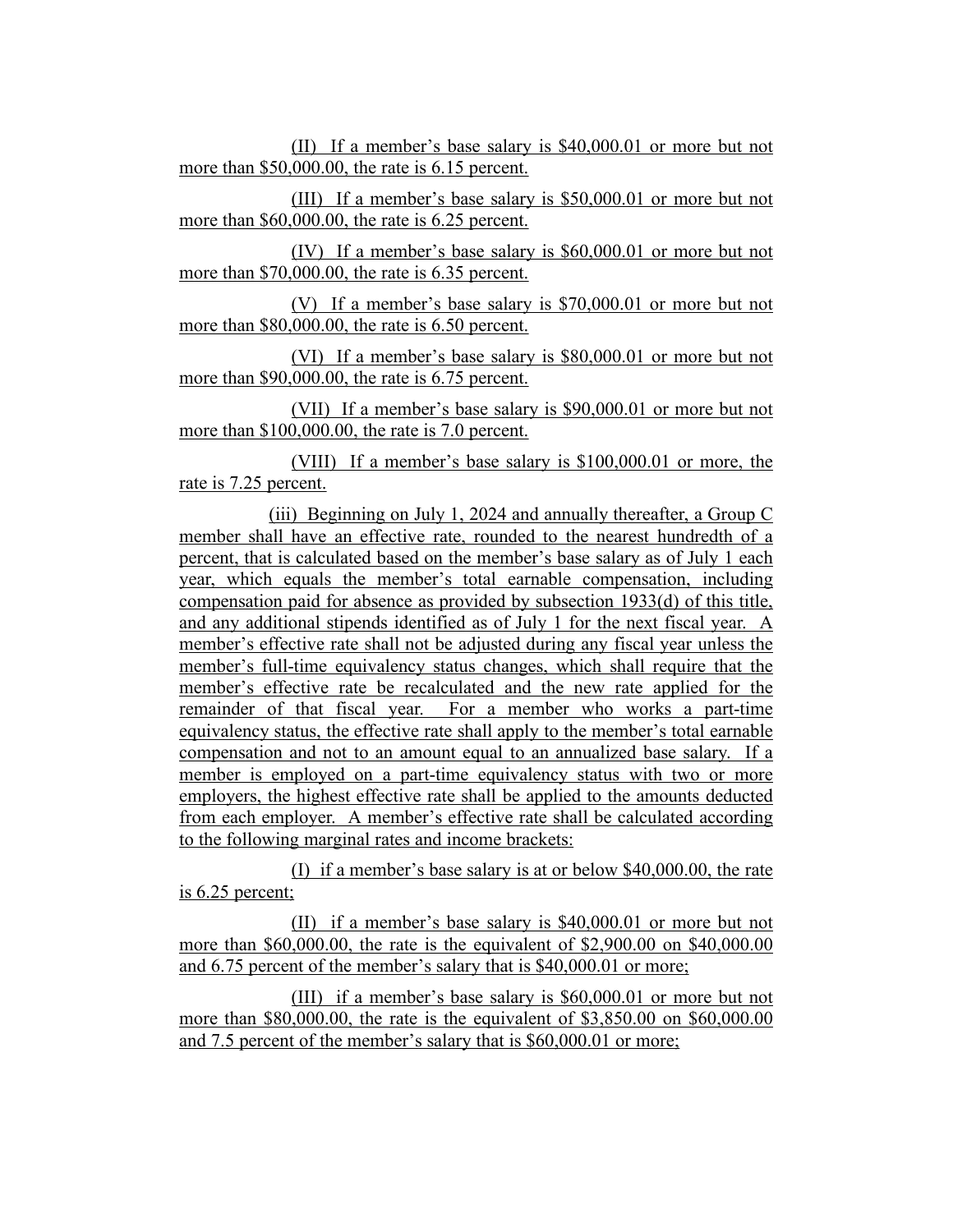(II) If a member's base salary is \$40,000.01 or more but not more than \$50,000.00, the rate is 6.15 percent.

(III) If a member's base salary is \$50,000.01 or more but not more than \$60,000.00, the rate is 6.25 percent.

(IV) If a member's base salary is \$60,000.01 or more but not more than \$70,000.00, the rate is 6.35 percent.

(V) If a member's base salary is \$70,000.01 or more but not more than \$80,000.00, the rate is 6.50 percent.

(VI) If a member's base salary is \$80,000.01 or more but not more than \$90,000.00, the rate is 6.75 percent.

(VII) If a member's base salary is \$90,000.01 or more but not more than \$100,000.00, the rate is 7.0 percent.

(VIII) If a member's base salary is \$100,000.01 or more, the rate is 7.25 percent.

(iii) Beginning on July 1, 2024 and annually thereafter, a Group C member shall have an effective rate, rounded to the nearest hundredth of a percent, that is calculated based on the member's base salary as of July 1 each year, which equals the member's total earnable compensation, including compensation paid for absence as provided by subsection 1933(d) of this title, and any additional stipends identified as of July 1 for the next fiscal year. A member's effective rate shall not be adjusted during any fiscal year unless the member's full-time equivalency status changes, which shall require that the member's effective rate be recalculated and the new rate applied for the remainder of that fiscal year. For a member who works a part-time equivalency status, the effective rate shall apply to the member's total earnable compensation and not to an amount equal to an annualized base salary. If a member is employed on a part-time equivalency status with two or more employers, the highest effective rate shall be applied to the amounts deducted from each employer. A member's effective rate shall be calculated according to the following marginal rates and income brackets:

(I) if a member's base salary is at or below \$40,000.00, the rate is 6.25 percent;

(II) if a member's base salary is \$40,000.01 or more but not more than \$60,000.00, the rate is the equivalent of \$2,900.00 on \$40,000.00 and 6.75 percent of the member's salary that is \$40,000.01 or more;

(III) if a member's base salary is \$60,000.01 or more but not more than \$80,000.00, the rate is the equivalent of \$3,850.00 on \$60,000.00 and 7.5 percent of the member's salary that is \$60,000.01 or more;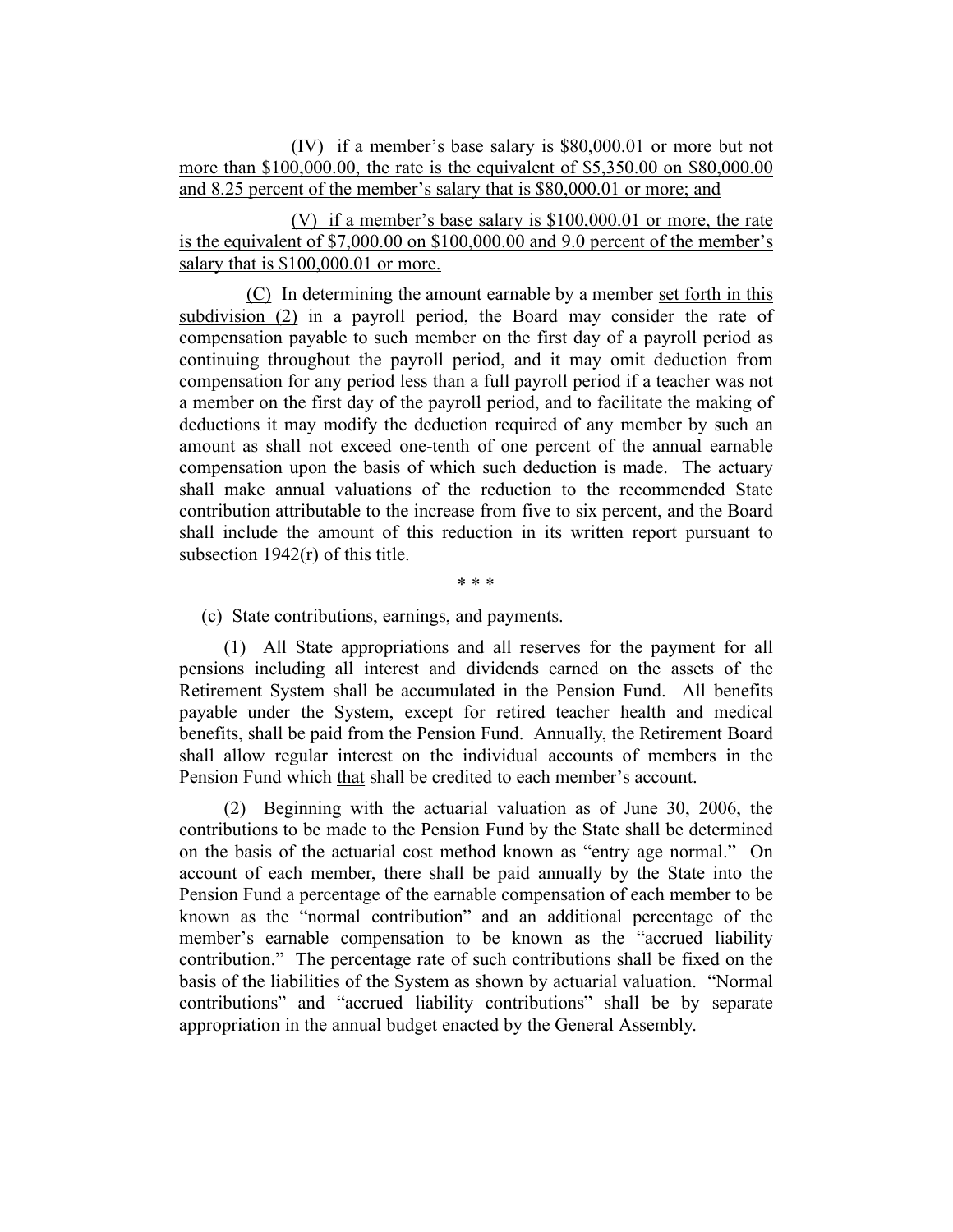(IV) if a member's base salary is \$80,000.01 or more but not more than \$100,000.00, the rate is the equivalent of \$5,350.00 on \$80,000.00 and 8.25 percent of the member's salary that is \$80,000.01 or more; and

(V) if a member's base salary is \$100,000.01 or more, the rate is the equivalent of \$7,000.00 on \$100,000.00 and 9.0 percent of the member's salary that is  $$100,000.01$  or more.

(C) In determining the amount earnable by a member set forth in this subdivision (2) in a payroll period, the Board may consider the rate of compensation payable to such member on the first day of a payroll period as continuing throughout the payroll period, and it may omit deduction from compensation for any period less than a full payroll period if a teacher was not a member on the first day of the payroll period, and to facilitate the making of deductions it may modify the deduction required of any member by such an amount as shall not exceed one-tenth of one percent of the annual earnable compensation upon the basis of which such deduction is made. The actuary shall make annual valuations of the reduction to the recommended State contribution attributable to the increase from five to six percent, and the Board shall include the amount of this reduction in its written report pursuant to subsection 1942(r) of this title.

\* \* \*

(c) State contributions, earnings, and payments.

(1) All State appropriations and all reserves for the payment for all pensions including all interest and dividends earned on the assets of the Retirement System shall be accumulated in the Pension Fund. All benefits payable under the System, except for retired teacher health and medical benefits, shall be paid from the Pension Fund. Annually, the Retirement Board shall allow regular interest on the individual accounts of members in the Pension Fund which that shall be credited to each member's account.

(2) Beginning with the actuarial valuation as of June 30, 2006, the contributions to be made to the Pension Fund by the State shall be determined on the basis of the actuarial cost method known as "entry age normal." On account of each member, there shall be paid annually by the State into the Pension Fund a percentage of the earnable compensation of each member to be known as the "normal contribution" and an additional percentage of the member's earnable compensation to be known as the "accrued liability contribution." The percentage rate of such contributions shall be fixed on the basis of the liabilities of the System as shown by actuarial valuation. "Normal contributions" and "accrued liability contributions" shall be by separate appropriation in the annual budget enacted by the General Assembly.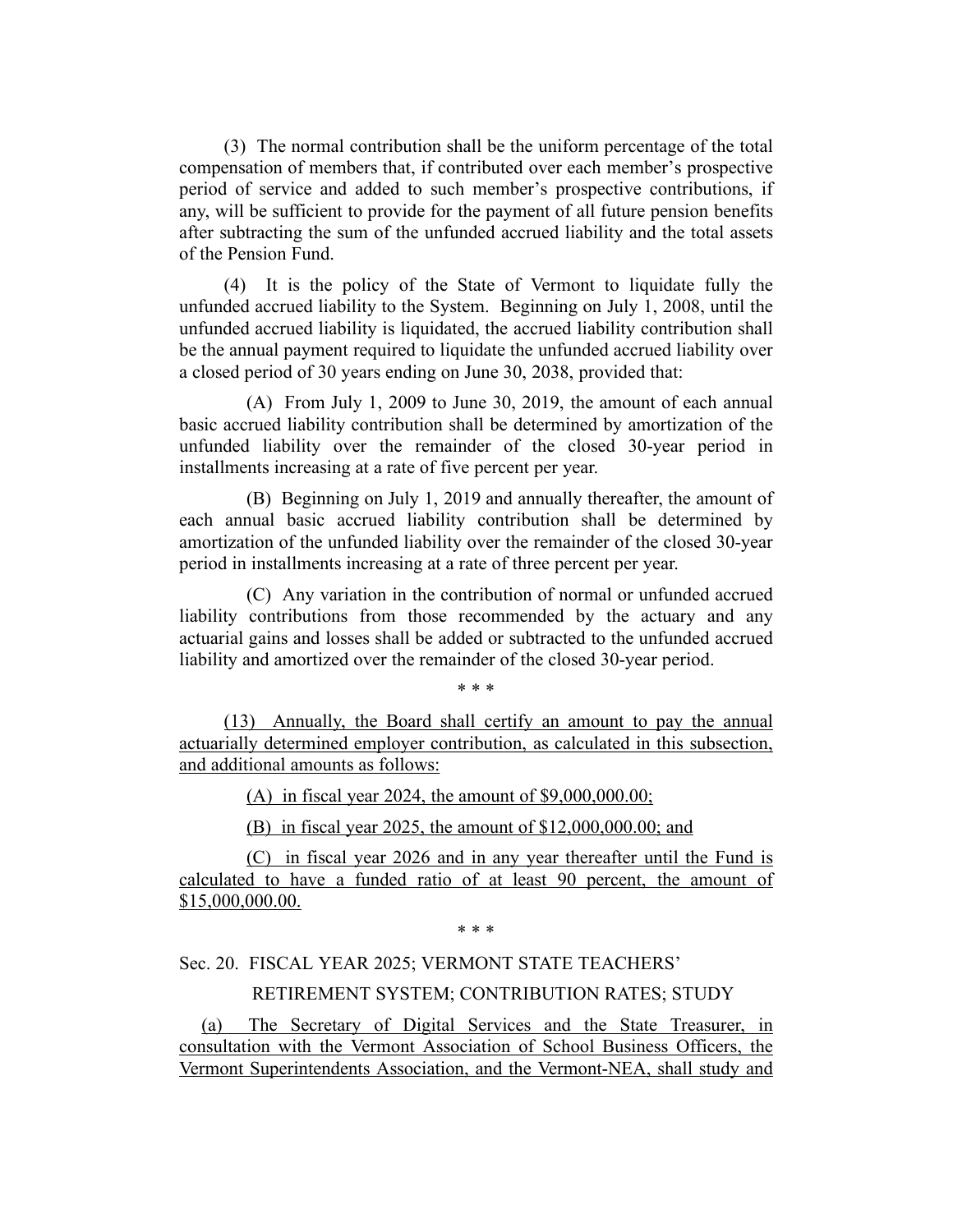(3) The normal contribution shall be the uniform percentage of the total compensation of members that, if contributed over each member's prospective period of service and added to such member's prospective contributions, if any, will be sufficient to provide for the payment of all future pension benefits after subtracting the sum of the unfunded accrued liability and the total assets of the Pension Fund.

(4) It is the policy of the State of Vermont to liquidate fully the unfunded accrued liability to the System. Beginning on July 1, 2008, until the unfunded accrued liability is liquidated, the accrued liability contribution shall be the annual payment required to liquidate the unfunded accrued liability over a closed period of 30 years ending on June 30, 2038, provided that:

(A) From July 1, 2009 to June 30, 2019, the amount of each annual basic accrued liability contribution shall be determined by amortization of the unfunded liability over the remainder of the closed 30-year period in installments increasing at a rate of five percent per year.

(B) Beginning on July 1, 2019 and annually thereafter, the amount of each annual basic accrued liability contribution shall be determined by amortization of the unfunded liability over the remainder of the closed 30-year period in installments increasing at a rate of three percent per year.

(C) Any variation in the contribution of normal or unfunded accrued liability contributions from those recommended by the actuary and any actuarial gains and losses shall be added or subtracted to the unfunded accrued liability and amortized over the remainder of the closed 30-year period.

\* \* \*

(13) Annually, the Board shall certify an amount to pay the annual actuarially determined employer contribution, as calculated in this subsection, and additional amounts as follows:

(A) in fiscal year 2024, the amount of \$9,000,000.00;

(B) in fiscal year 2025, the amount of \$12,000,000.00; and

(C) in fiscal year 2026 and in any year thereafter until the Fund is calculated to have a funded ratio of at least 90 percent, the amount of \$15,000,000.00.

\* \* \*

# Sec. 20. FISCAL YEAR 2025; VERMONT STATE TEACHERS' RETIREMENT SYSTEM; CONTRIBUTION RATES; STUDY

(a) The Secretary of Digital Services and the State Treasurer, in consultation with the Vermont Association of School Business Officers, the Vermont Superintendents Association, and the Vermont-NEA, shall study and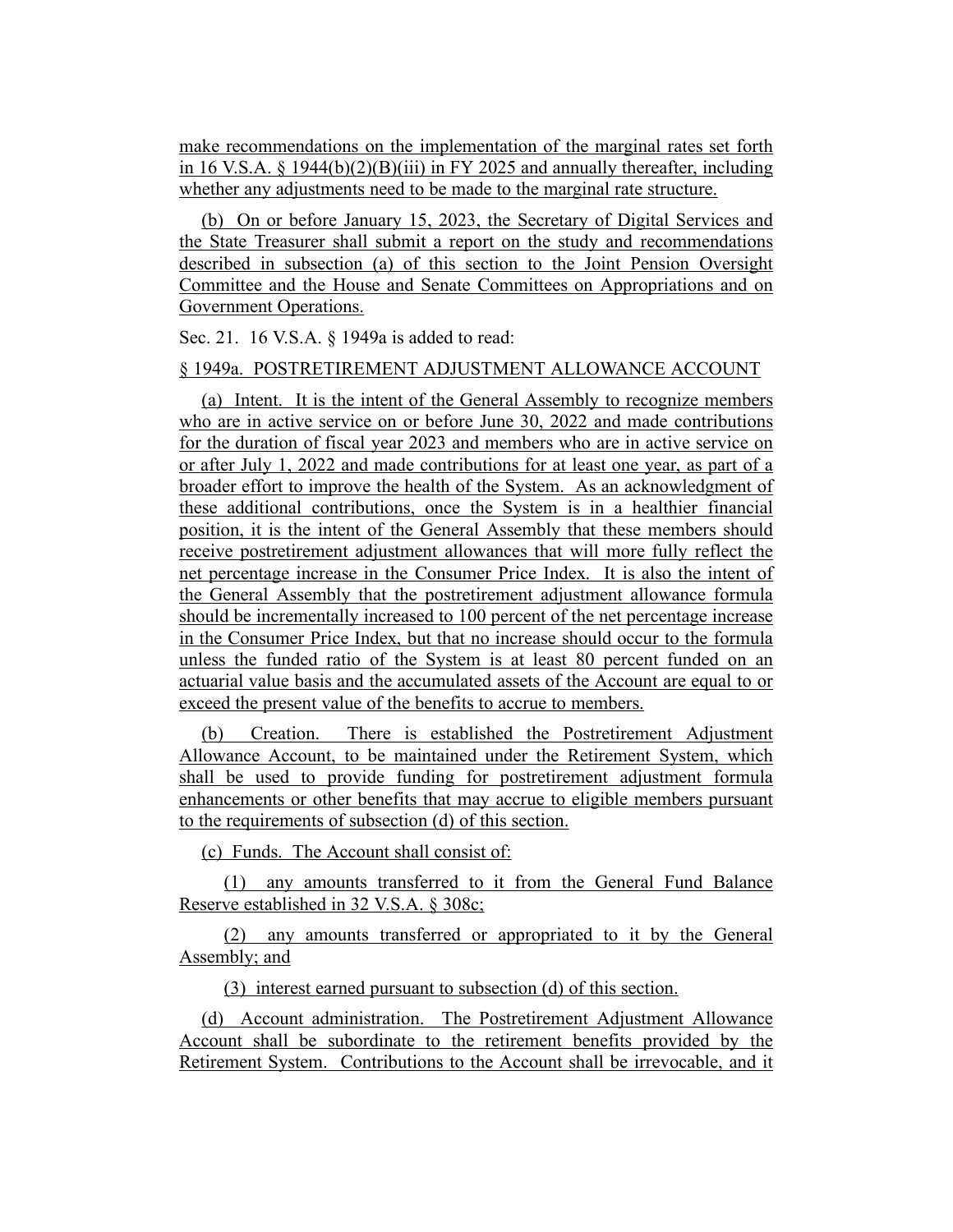make recommendations on the implementation of the marginal rates set forth in 16 V.S.A.  $\S$  1944(b)(2)(B)(iii) in FY 2025 and annually thereafter, including whether any adjustments need to be made to the marginal rate structure.

(b) On or before January 15, 2023, the Secretary of Digital Services and the State Treasurer shall submit a report on the study and recommendations described in subsection (a) of this section to the Joint Pension Oversight Committee and the House and Senate Committees on Appropriations and on Government Operations.

Sec. 21. 16 V.S.A. § 1949a is added to read:

# § 1949a. POSTRETIREMENT ADJUSTMENT ALLOWANCE ACCOUNT

(a) Intent. It is the intent of the General Assembly to recognize members who are in active service on or before June 30, 2022 and made contributions for the duration of fiscal year 2023 and members who are in active service on or after July 1, 2022 and made contributions for at least one year, as part of a broader effort to improve the health of the System. As an acknowledgment of these additional contributions, once the System is in a healthier financial position, it is the intent of the General Assembly that these members should receive postretirement adjustment allowances that will more fully reflect the net percentage increase in the Consumer Price Index. It is also the intent of the General Assembly that the postretirement adjustment allowance formula should be incrementally increased to 100 percent of the net percentage increase in the Consumer Price Index, but that no increase should occur to the formula unless the funded ratio of the System is at least 80 percent funded on an actuarial value basis and the accumulated assets of the Account are equal to or exceed the present value of the benefits to accrue to members.

(b) Creation. There is established the Postretirement Adjustment Allowance Account, to be maintained under the Retirement System, which shall be used to provide funding for postretirement adjustment formula enhancements or other benefits that may accrue to eligible members pursuant to the requirements of subsection (d) of this section.

(c) Funds. The Account shall consist of:

(1) any amounts transferred to it from the General Fund Balance Reserve established in 32 V.S.A. § 308c;

(2) any amounts transferred or appropriated to it by the General Assembly; and

(3) interest earned pursuant to subsection (d) of this section.

(d) Account administration. The Postretirement Adjustment Allowance Account shall be subordinate to the retirement benefits provided by the Retirement System. Contributions to the Account shall be irrevocable, and it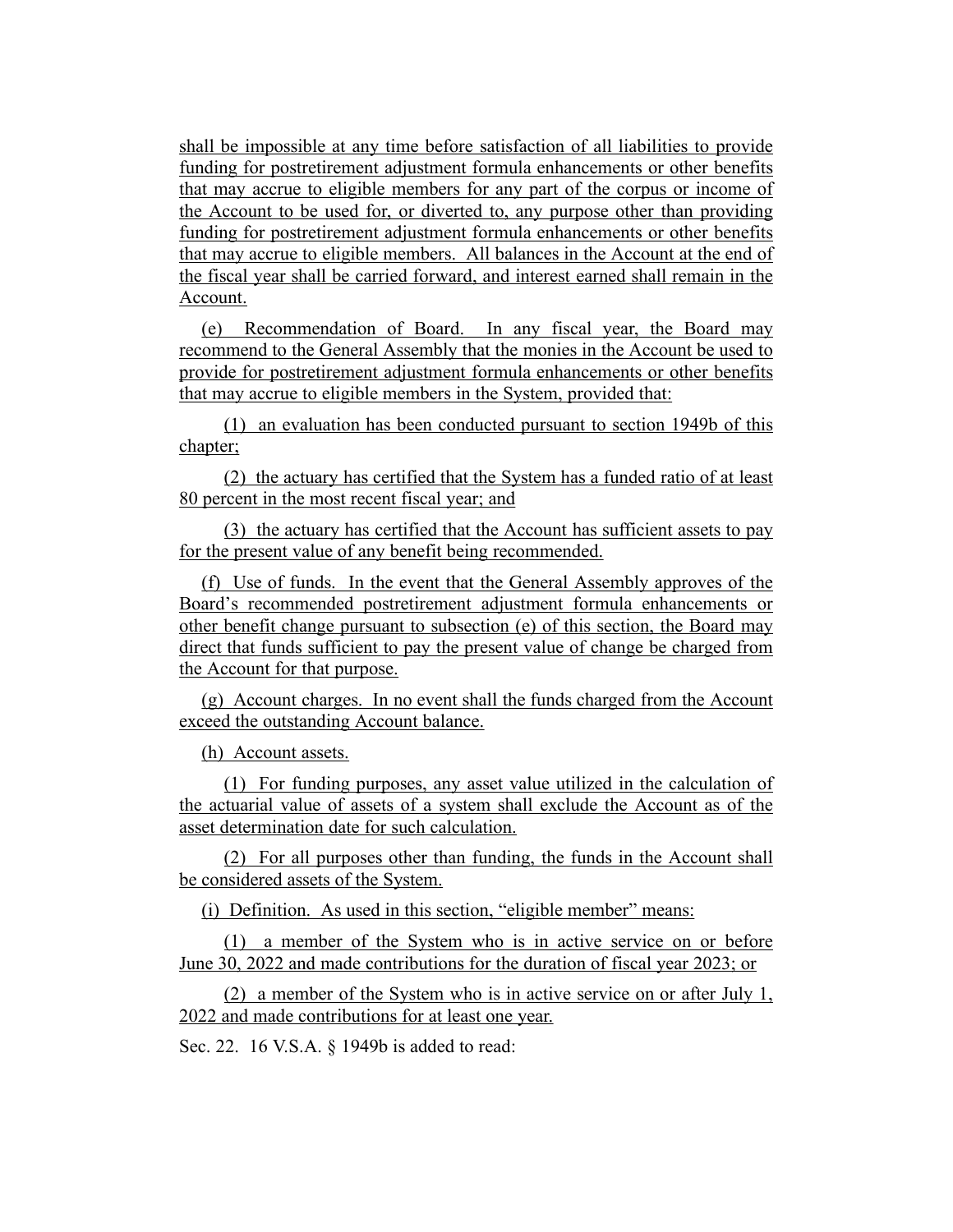shall be impossible at any time before satisfaction of all liabilities to provide funding for postretirement adjustment formula enhancements or other benefits that may accrue to eligible members for any part of the corpus or income of the Account to be used for, or diverted to, any purpose other than providing funding for postretirement adjustment formula enhancements or other benefits that may accrue to eligible members. All balances in the Account at the end of the fiscal year shall be carried forward, and interest earned shall remain in the Account.

(e) Recommendation of Board. In any fiscal year, the Board may recommend to the General Assembly that the monies in the Account be used to provide for postretirement adjustment formula enhancements or other benefits that may accrue to eligible members in the System, provided that:

(1) an evaluation has been conducted pursuant to section 1949b of this chapter;

(2) the actuary has certified that the System has a funded ratio of at least 80 percent in the most recent fiscal year; and

(3) the actuary has certified that the Account has sufficient assets to pay for the present value of any benefit being recommended.

(f) Use of funds. In the event that the General Assembly approves of the Board's recommended postretirement adjustment formula enhancements or other benefit change pursuant to subsection (e) of this section, the Board may direct that funds sufficient to pay the present value of change be charged from the Account for that purpose.

(g) Account charges. In no event shall the funds charged from the Account exceed the outstanding Account balance.

(h) Account assets.

(1) For funding purposes, any asset value utilized in the calculation of the actuarial value of assets of a system shall exclude the Account as of the asset determination date for such calculation.

(2) For all purposes other than funding, the funds in the Account shall be considered assets of the System.

(i) Definition. As used in this section, "eligible member" means:

(1) a member of the System who is in active service on or before June 30, 2022 and made contributions for the duration of fiscal year 2023; or

(2) a member of the System who is in active service on or after July 1, 2022 and made contributions for at least one year.

Sec. 22. 16 V.S.A. § 1949b is added to read: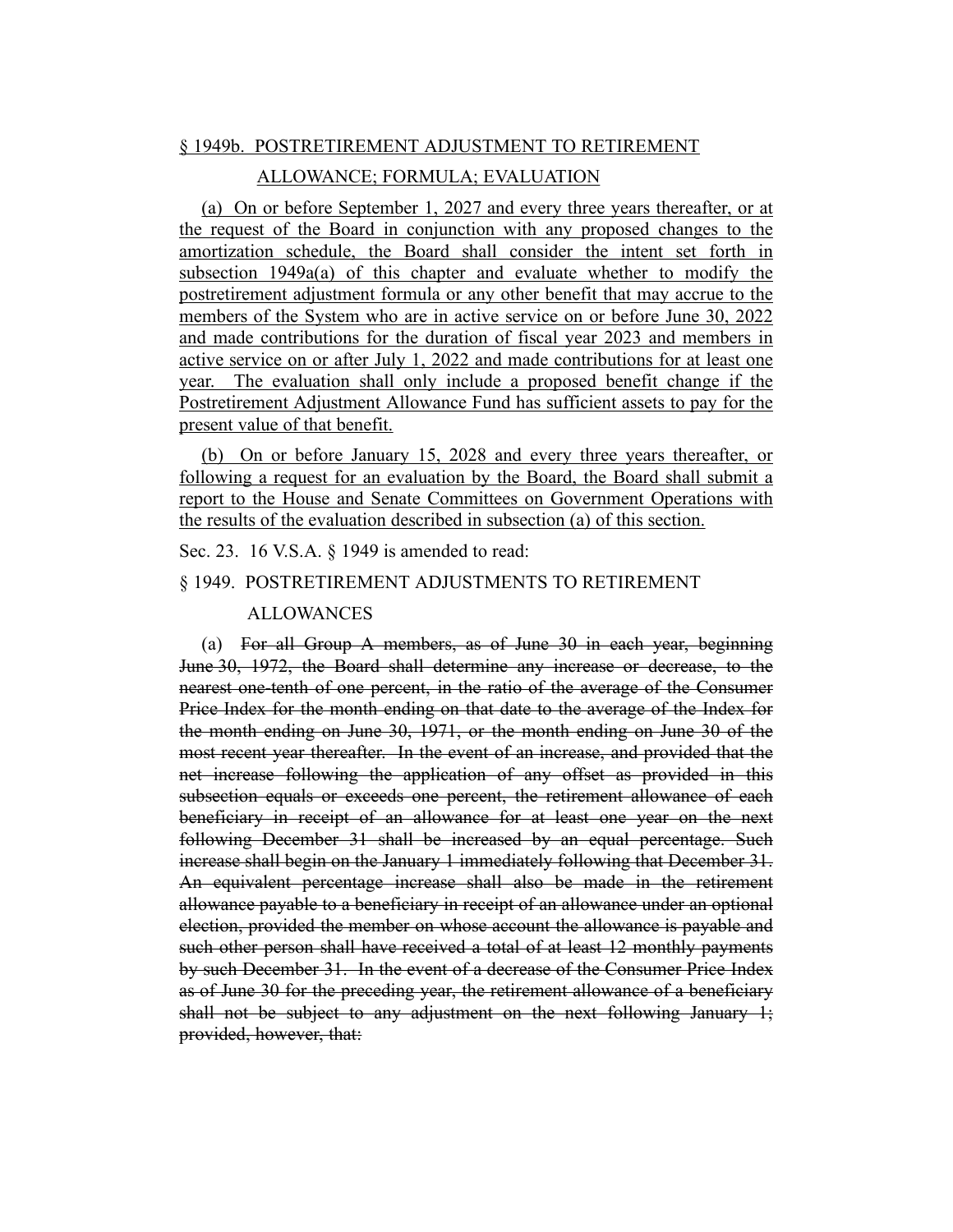#### § 1949b. POSTRETIREMENT ADJUSTMENT TO RETIREMENT

#### ALLOWANCE; FORMULA; EVALUATION

(a) On or before September 1, 2027 and every three years thereafter, or at the request of the Board in conjunction with any proposed changes to the amortization schedule, the Board shall consider the intent set forth in subsection 1949a(a) of this chapter and evaluate whether to modify the postretirement adjustment formula or any other benefit that may accrue to the members of the System who are in active service on or before June 30, 2022 and made contributions for the duration of fiscal year 2023 and members in active service on or after July 1, 2022 and made contributions for at least one year. The evaluation shall only include a proposed benefit change if the Postretirement Adjustment Allowance Fund has sufficient assets to pay for the present value of that benefit.

(b) On or before January 15, 2028 and every three years thereafter, or following a request for an evaluation by the Board, the Board shall submit a report to the House and Senate Committees on Government Operations with the results of the evaluation described in subsection (a) of this section.

Sec. 23. 16 V.S.A. § 1949 is amended to read:

#### § 1949. POSTRETIREMENT ADJUSTMENTS TO RETIREMENT

#### ALLOWANCES

(a) For all Group A members, as of June 30 in each year, beginning June 30, 1972, the Board shall determine any increase or decrease, to the nearest one-tenth of one percent, in the ratio of the average of the Consumer Price Index for the month ending on that date to the average of the Index for the month ending on June 30, 1971, or the month ending on June 30 of the most recent year thereafter. In the event of an increase, and provided that the net increase following the application of any offset as provided in this subsection equals or exceeds one percent, the retirement allowance of each beneficiary in receipt of an allowance for at least one year on the next following December 31 shall be increased by an equal percentage. Such increase shall begin on the January 1 immediately following that December 31. An equivalent percentage increase shall also be made in the retirement allowance payable to a beneficiary in receipt of an allowance under an optional election, provided the member on whose account the allowance is payable and such other person shall have received a total of at least 12 monthly payments by such December 31. In the event of a decrease of the Consumer Price Index as of June 30 for the preceding year, the retirement allowance of a beneficiary shall not be subject to any adjustment on the next following January 1; provided, however, that: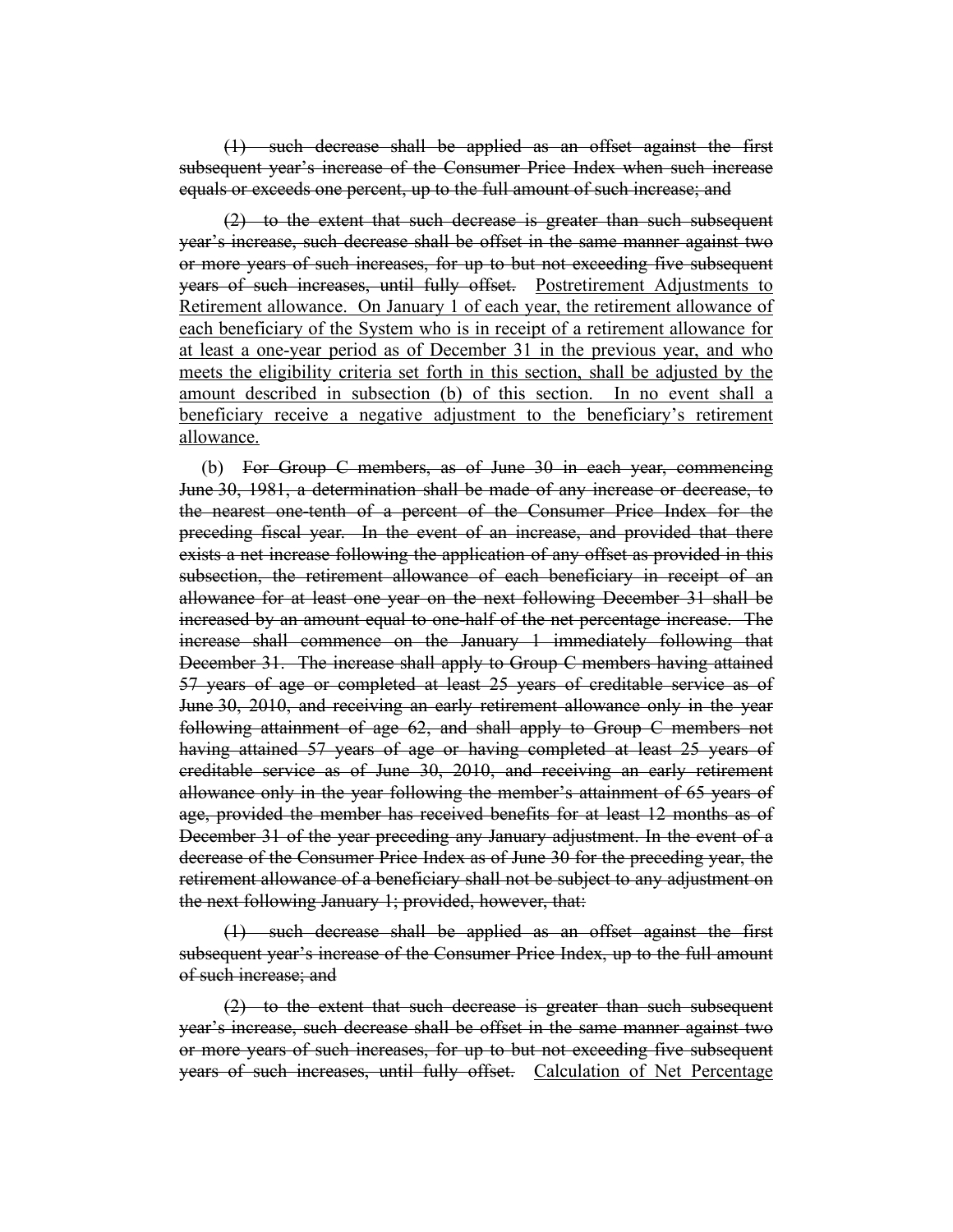(1) such decrease shall be applied as an offset against the first subsequent year's increase of the Consumer Price Index when such increase equals or exceeds one percent, up to the full amount of such increase; and

(2) to the extent that such decrease is greater than such subsequent year's increase, such decrease shall be offset in the same manner against two or more years of such increases, for up to but not exceeding five subsequent years of such increases, until fully offset. Postretirement Adjustments to Retirement allowance. On January 1 of each year, the retirement allowance of each beneficiary of the System who is in receipt of a retirement allowance for at least a one-year period as of December 31 in the previous year, and who meets the eligibility criteria set forth in this section, shall be adjusted by the amount described in subsection (b) of this section. In no event shall a beneficiary receive a negative adjustment to the beneficiary's retirement allowance.

(b) For Group C members, as of June 30 in each year, commencing June 30, 1981, a determination shall be made of any increase or decrease, to the nearest one-tenth of a percent of the Consumer Price Index for the preceding fiscal year. In the event of an increase, and provided that there exists a net increase following the application of any offset as provided in this subsection, the retirement allowance of each beneficiary in receipt of an allowance for at least one year on the next following December 31 shall be increased by an amount equal to one-half of the net percentage increase. The increase shall commence on the January 1 immediately following that December 31. The increase shall apply to Group C members having attained 57 years of age or completed at least 25 years of creditable service as of June 30, 2010, and receiving an early retirement allowance only in the year following attainment of age 62, and shall apply to Group C members not having attained 57 years of age or having completed at least 25 years of creditable service as of June 30, 2010, and receiving an early retirement allowance only in the year following the member's attainment of 65 years of age, provided the member has received benefits for at least 12 months as of December 31 of the year preceding any January adjustment. In the event of a decrease of the Consumer Price Index as of June 30 for the preceding year, the retirement allowance of a beneficiary shall not be subject to any adjustment on the next following January 1; provided, however, that:

(1) such decrease shall be applied as an offset against the first subsequent year's increase of the Consumer Price Index, up to the full amount of such increase; and

(2) to the extent that such decrease is greater than such subsequent year's increase, such decrease shall be offset in the same manner against two or more years of such increases, for up to but not exceeding five subsequent years of such increases, until fully offset. Calculation of Net Percentage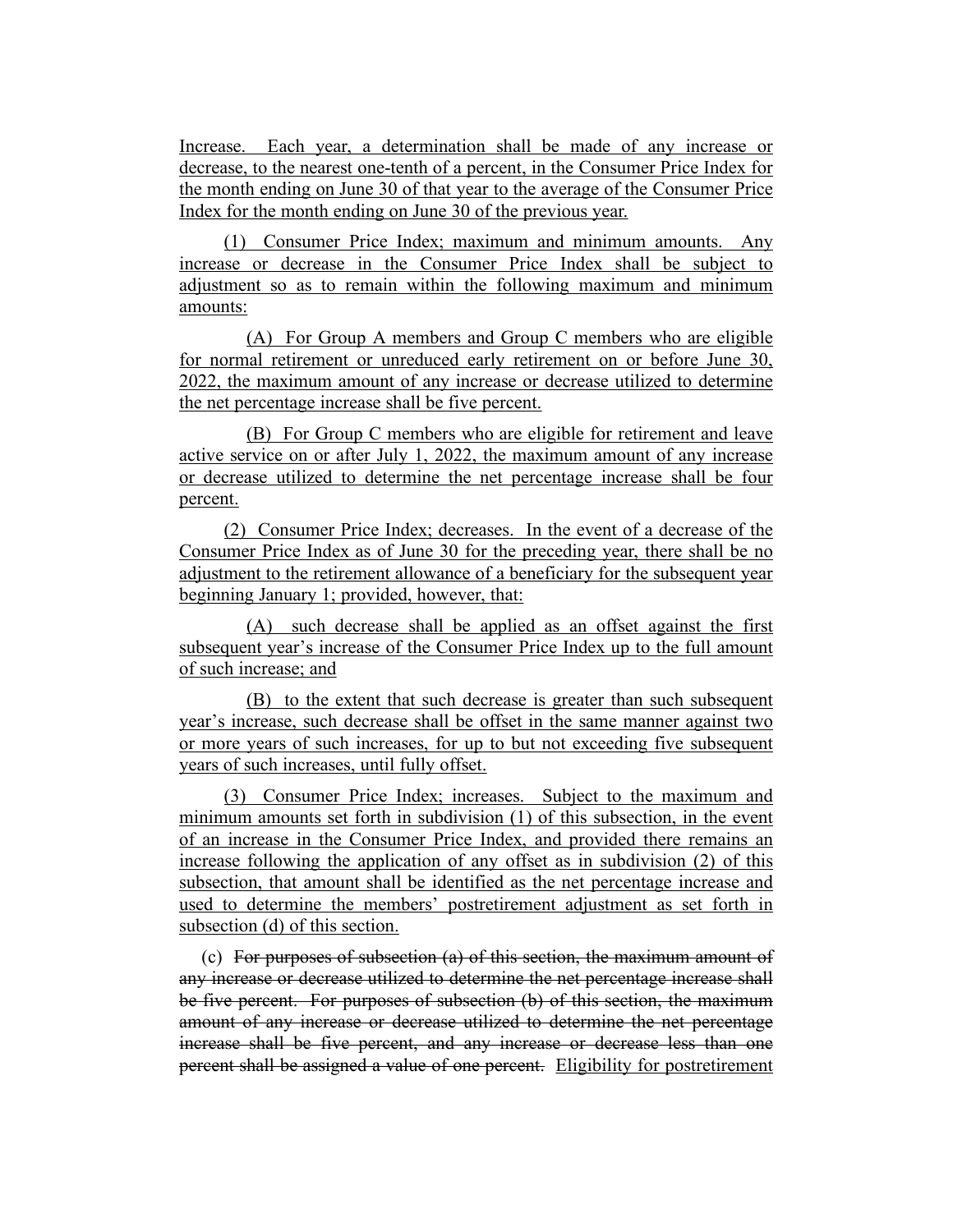Increase. Each year, a determination shall be made of any increase or decrease, to the nearest one-tenth of a percent, in the Consumer Price Index for the month ending on June 30 of that year to the average of the Consumer Price Index for the month ending on June 30 of the previous year.

(1) Consumer Price Index; maximum and minimum amounts. Any increase or decrease in the Consumer Price Index shall be subject to adjustment so as to remain within the following maximum and minimum amounts:

(A) For Group A members and Group C members who are eligible for normal retirement or unreduced early retirement on or before June 30, 2022, the maximum amount of any increase or decrease utilized to determine the net percentage increase shall be five percent.

(B) For Group C members who are eligible for retirement and leave active service on or after July 1, 2022, the maximum amount of any increase or decrease utilized to determine the net percentage increase shall be four percent.

(2) Consumer Price Index; decreases. In the event of a decrease of the Consumer Price Index as of June 30 for the preceding year, there shall be no adjustment to the retirement allowance of a beneficiary for the subsequent year beginning January 1; provided, however, that:

(A) such decrease shall be applied as an offset against the first subsequent year's increase of the Consumer Price Index up to the full amount of such increase; and

(B) to the extent that such decrease is greater than such subsequent year's increase, such decrease shall be offset in the same manner against two or more years of such increases, for up to but not exceeding five subsequent years of such increases, until fully offset.

(3) Consumer Price Index; increases. Subject to the maximum and minimum amounts set forth in subdivision (1) of this subsection, in the event of an increase in the Consumer Price Index, and provided there remains an increase following the application of any offset as in subdivision (2) of this subsection, that amount shall be identified as the net percentage increase and used to determine the members' postretirement adjustment as set forth in subsection (d) of this section.

(c) For purposes of subsection (a) of this section, the maximum amount of any increase or decrease utilized to determine the net percentage increase shall be five percent. For purposes of subsection (b) of this section, the maximum amount of any increase or decrease utilized to determine the net percentage increase shall be five percent, and any increase or decrease less than one percent shall be assigned a value of one percent. Eligibility for postretirement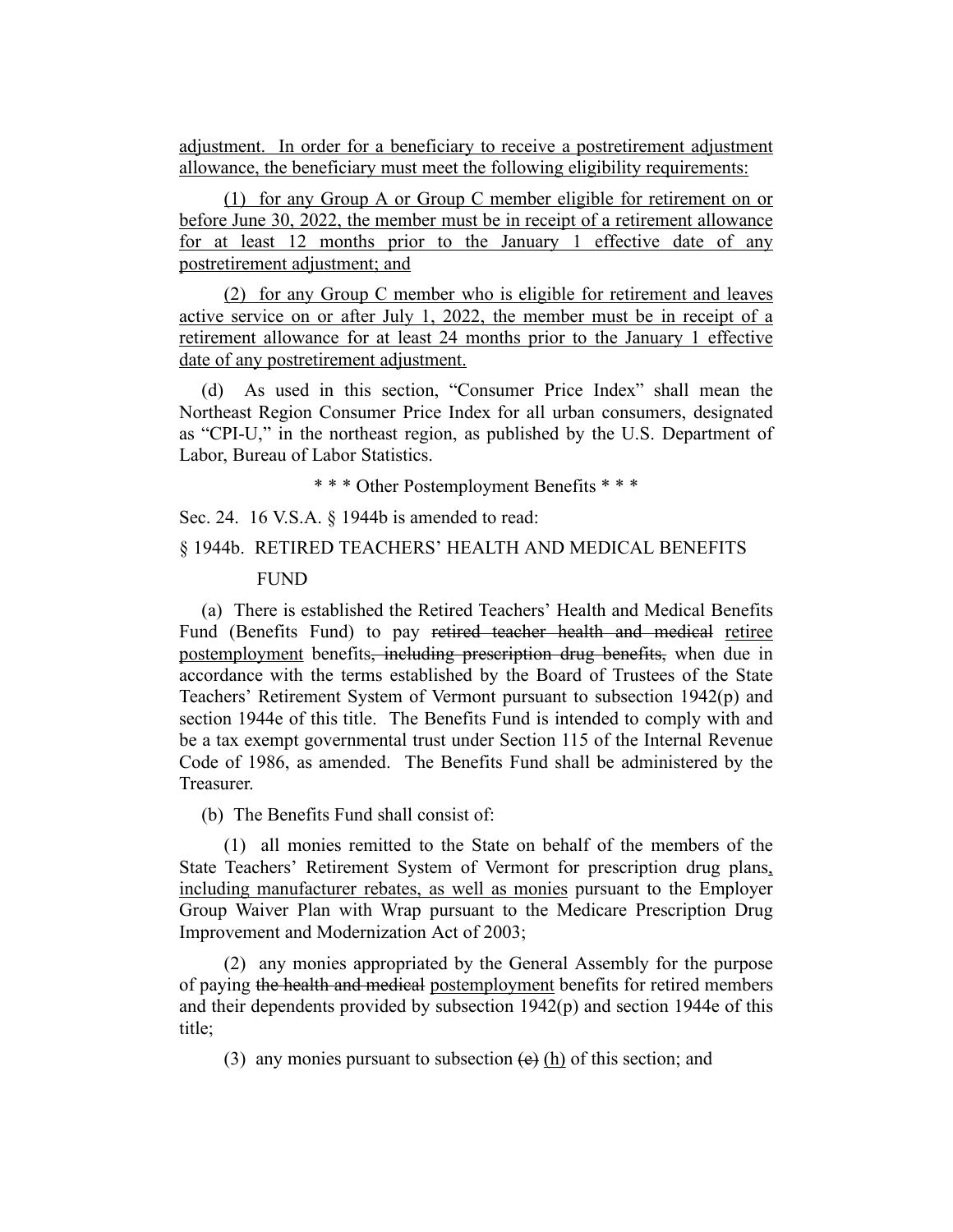adjustment. In order for a beneficiary to receive a postretirement adjustment allowance, the beneficiary must meet the following eligibility requirements:

(1) for any Group A or Group C member eligible for retirement on or before June 30, 2022, the member must be in receipt of a retirement allowance for at least 12 months prior to the January 1 effective date of any postretirement adjustment; and

(2) for any Group C member who is eligible for retirement and leaves active service on or after July 1, 2022, the member must be in receipt of a retirement allowance for at least 24 months prior to the January 1 effective date of any postretirement adjustment.

(d) As used in this section, "Consumer Price Index" shall mean the Northeast Region Consumer Price Index for all urban consumers, designated as "CPI-U," in the northeast region, as published by the U.S. Department of Labor, Bureau of Labor Statistics.

\* \* \* Other Postemployment Benefits \* \* \*

Sec. 24. 16 V.S.A. § 1944b is amended to read:

# § 1944b. RETIRED TEACHERS' HEALTH AND MEDICAL BENEFITS

#### FUND

(a) There is established the Retired Teachers' Health and Medical Benefits Fund (Benefits Fund) to pay retired teacher health and medical retiree postemployment benefits, including prescription drug benefits, when due in accordance with the terms established by the Board of Trustees of the State Teachers' Retirement System of Vermont pursuant to subsection 1942(p) and section 1944e of this title. The Benefits Fund is intended to comply with and be a tax exempt governmental trust under Section 115 of the Internal Revenue Code of 1986, as amended. The Benefits Fund shall be administered by the Treasurer.

(b) The Benefits Fund shall consist of:

(1) all monies remitted to the State on behalf of the members of the State Teachers' Retirement System of Vermont for prescription drug plans, including manufacturer rebates, as well as monies pursuant to the Employer Group Waiver Plan with Wrap pursuant to the Medicare Prescription Drug Improvement and Modernization Act of 2003;

(2) any monies appropriated by the General Assembly for the purpose of paying the health and medical postemployment benefits for retired members and their dependents provided by subsection 1942(p) and section 1944e of this title;

(3) any monies pursuant to subsection  $(e)$  (h) of this section; and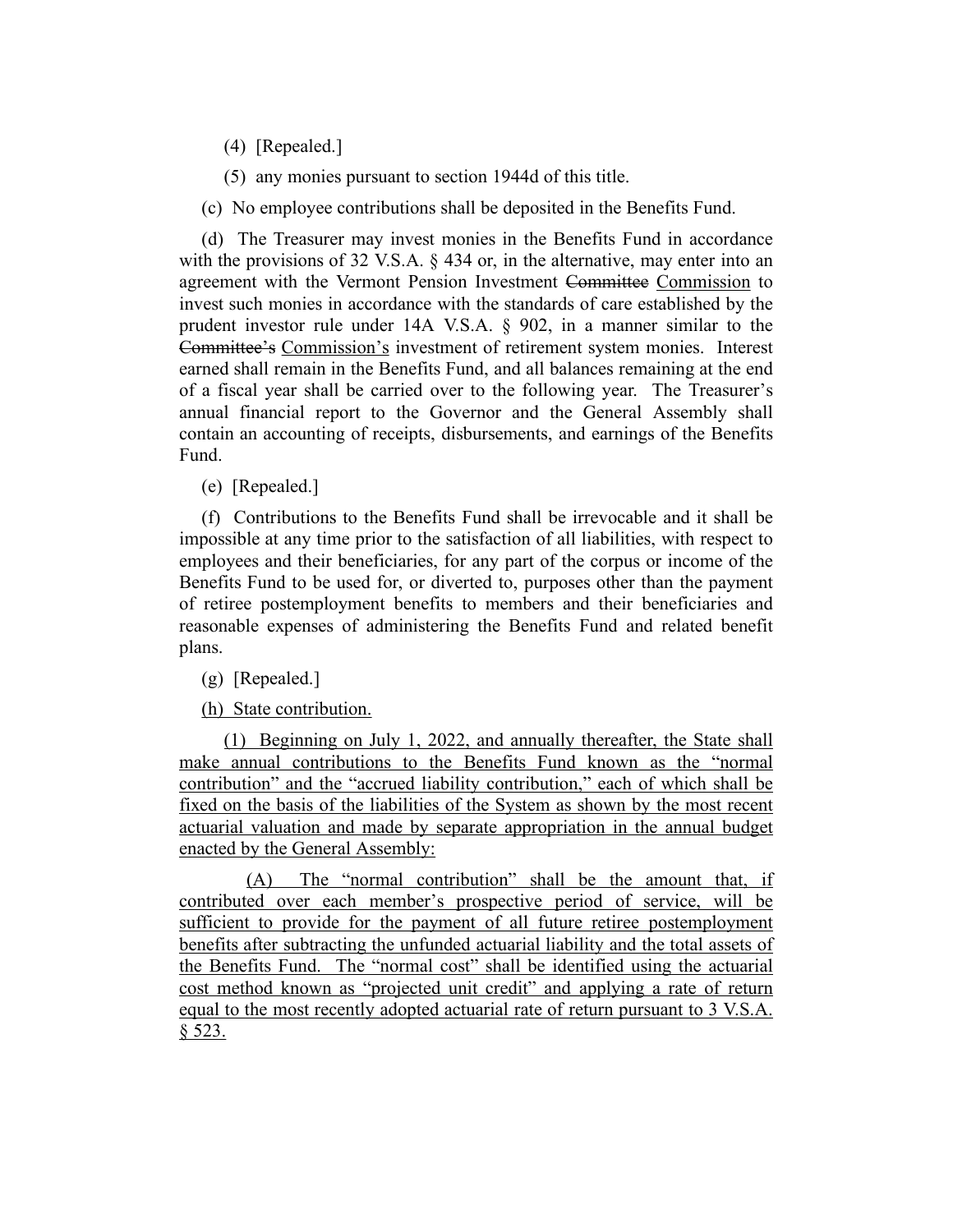(4) [Repealed.]

(5) any monies pursuant to section 1944d of this title.

(c) No employee contributions shall be deposited in the Benefits Fund.

(d) The Treasurer may invest monies in the Benefits Fund in accordance with the provisions of 32 V.S.A. § 434 or, in the alternative, may enter into an agreement with the Vermont Pension Investment Committee Commission to invest such monies in accordance with the standards of care established by the prudent investor rule under 14A V.S.A. § 902, in a manner similar to the Committee's Commission's investment of retirement system monies. Interest earned shall remain in the Benefits Fund, and all balances remaining at the end of a fiscal year shall be carried over to the following year. The Treasurer's annual financial report to the Governor and the General Assembly shall contain an accounting of receipts, disbursements, and earnings of the Benefits Fund.

(e) [Repealed.]

(f) Contributions to the Benefits Fund shall be irrevocable and it shall be impossible at any time prior to the satisfaction of all liabilities, with respect to employees and their beneficiaries, for any part of the corpus or income of the Benefits Fund to be used for, or diverted to, purposes other than the payment of retiree postemployment benefits to members and their beneficiaries and reasonable expenses of administering the Benefits Fund and related benefit plans.

(g) [Repealed.]

(h) State contribution.

(1) Beginning on July 1, 2022, and annually thereafter, the State shall make annual contributions to the Benefits Fund known as the "normal contribution" and the "accrued liability contribution," each of which shall be fixed on the basis of the liabilities of the System as shown by the most recent actuarial valuation and made by separate appropriation in the annual budget enacted by the General Assembly:

(A) The "normal contribution" shall be the amount that, if contributed over each member's prospective period of service, will be sufficient to provide for the payment of all future retiree postemployment benefits after subtracting the unfunded actuarial liability and the total assets of the Benefits Fund. The "normal cost" shall be identified using the actuarial cost method known as "projected unit credit" and applying a rate of return equal to the most recently adopted actuarial rate of return pursuant to 3 V.S.A. § 523.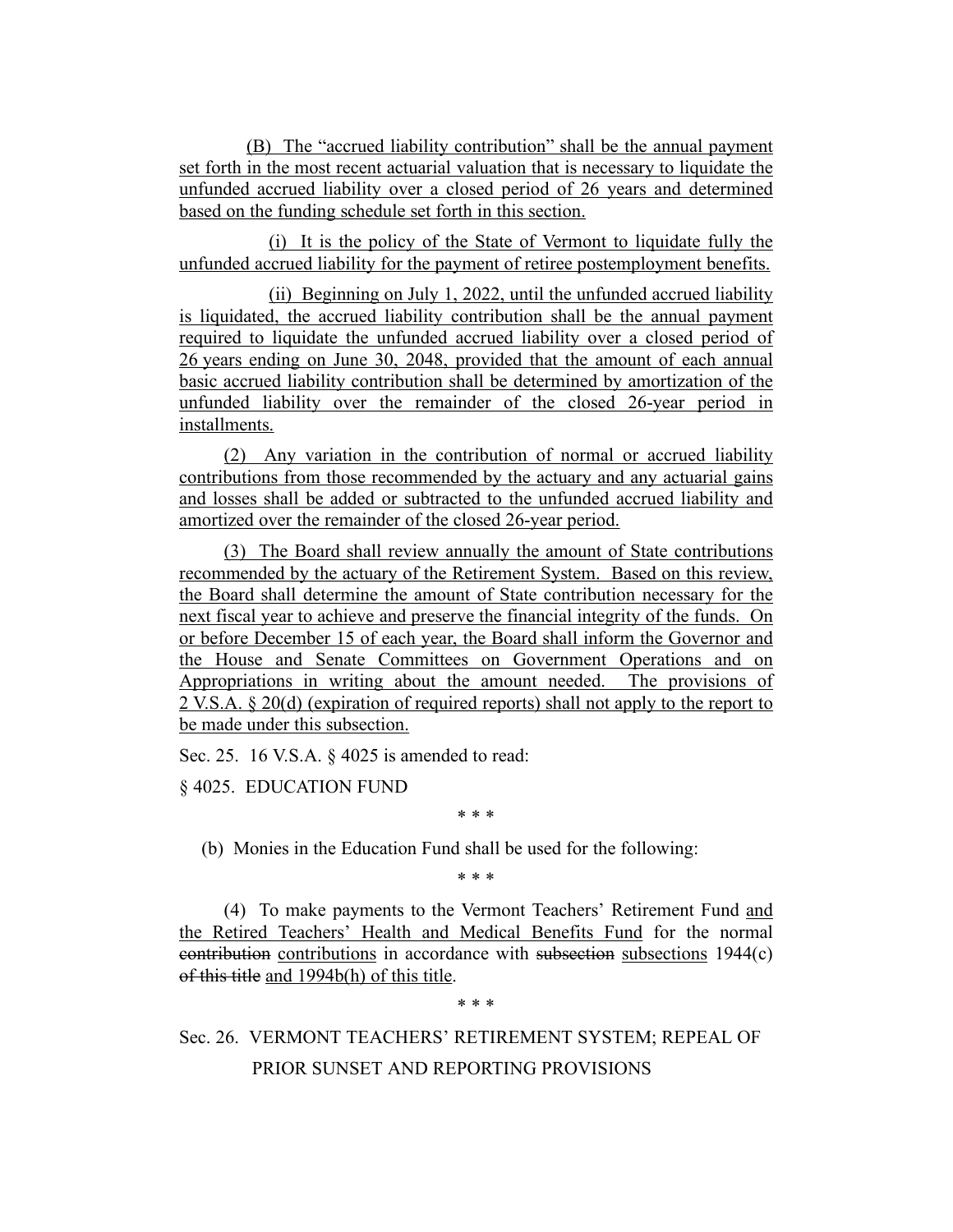(B) The "accrued liability contribution" shall be the annual payment set forth in the most recent actuarial valuation that is necessary to liquidate the unfunded accrued liability over a closed period of 26 years and determined based on the funding schedule set forth in this section.

(i) It is the policy of the State of Vermont to liquidate fully the unfunded accrued liability for the payment of retiree postemployment benefits.

(ii) Beginning on July 1, 2022, until the unfunded accrued liability is liquidated, the accrued liability contribution shall be the annual payment required to liquidate the unfunded accrued liability over a closed period of 26 years ending on June 30, 2048, provided that the amount of each annual basic accrued liability contribution shall be determined by amortization of the unfunded liability over the remainder of the closed 26-year period in installments.

(2) Any variation in the contribution of normal or accrued liability contributions from those recommended by the actuary and any actuarial gains and losses shall be added or subtracted to the unfunded accrued liability and amortized over the remainder of the closed 26-year period.

(3) The Board shall review annually the amount of State contributions recommended by the actuary of the Retirement System. Based on this review, the Board shall determine the amount of State contribution necessary for the next fiscal year to achieve and preserve the financial integrity of the funds. On or before December 15 of each year, the Board shall inform the Governor and the House and Senate Committees on Government Operations and on Appropriations in writing about the amount needed. The provisions of 2 V.S.A. § 20(d) (expiration of required reports) shall not apply to the report to be made under this subsection.

Sec. 25. 16 V.S.A. § 4025 is amended to read:

§ 4025. EDUCATION FUND

\* \* \*

(b) Monies in the Education Fund shall be used for the following:

\* \* \*

(4) To make payments to the Vermont Teachers' Retirement Fund and the Retired Teachers' Health and Medical Benefits Fund for the normal contribution contributions in accordance with subsection subsections 1944(c) of this title and 1994b(h) of this title.

\* \* \*

# Sec. 26. VERMONT TEACHERS' RETIREMENT SYSTEM; REPEAL OF PRIOR SUNSET AND REPORTING PROVISIONS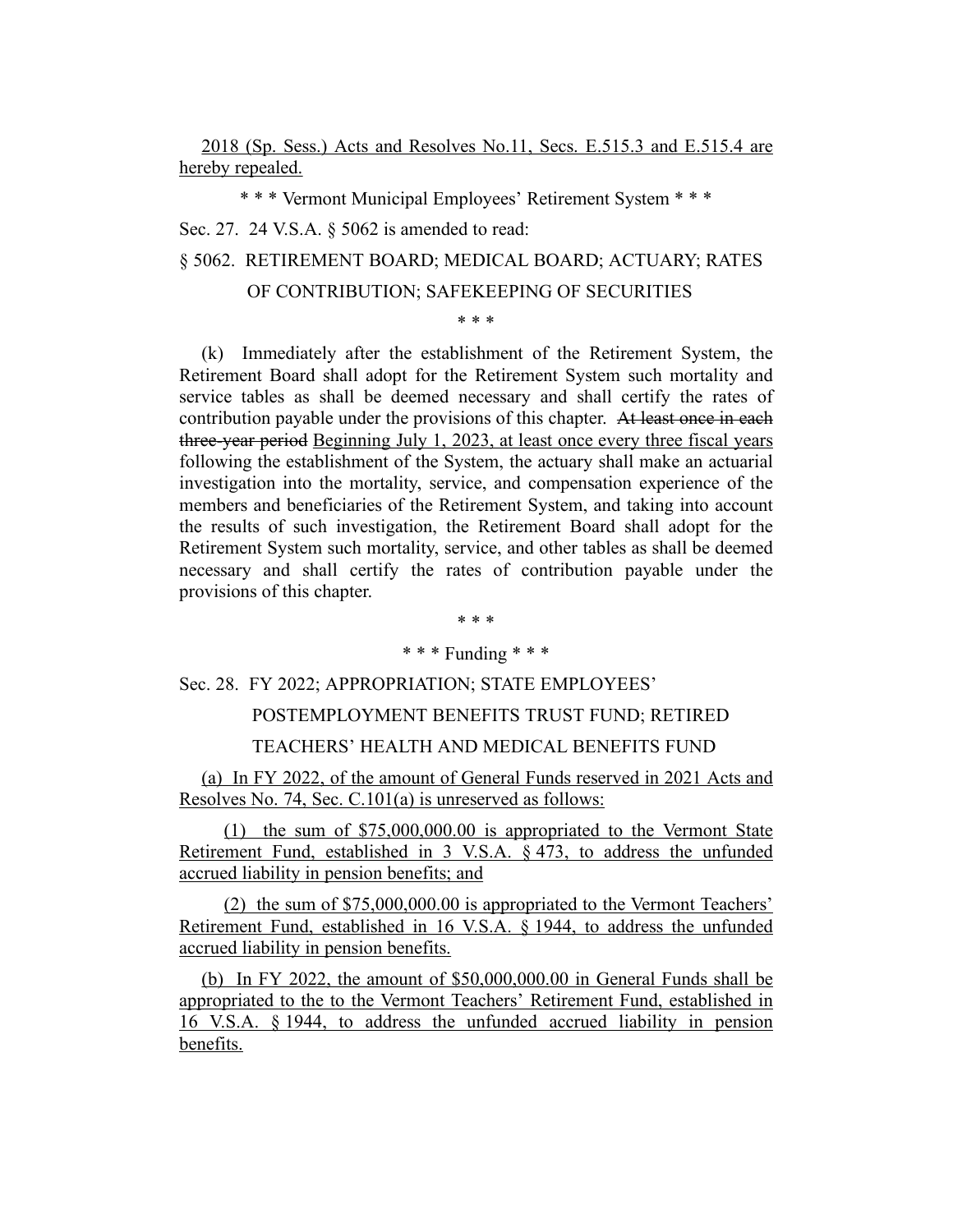2018 (Sp. Sess.) Acts and Resolves No.11, Secs. E.515.3 and E.515.4 are hereby repealed.

\* \* \* Vermont Municipal Employees' Retirement System \* \* \*

Sec. 27. 24 V.S.A. § 5062 is amended to read:

§ 5062. RETIREMENT BOARD; MEDICAL BOARD; ACTUARY; RATES

# OF CONTRIBUTION; SAFEKEEPING OF SECURITIES

\* \* \*

(k) Immediately after the establishment of the Retirement System, the Retirement Board shall adopt for the Retirement System such mortality and service tables as shall be deemed necessary and shall certify the rates of contribution payable under the provisions of this chapter. At least once in each three-year period Beginning July 1, 2023, at least once every three fiscal years following the establishment of the System, the actuary shall make an actuarial investigation into the mortality, service, and compensation experience of the members and beneficiaries of the Retirement System, and taking into account the results of such investigation, the Retirement Board shall adopt for the Retirement System such mortality, service, and other tables as shall be deemed necessary and shall certify the rates of contribution payable under the provisions of this chapter.

\* \* \*

# \* \* \* Funding \* \* \*

Sec. 28. FY 2022; APPROPRIATION; STATE EMPLOYEES'

#### POSTEMPLOYMENT BENEFITS TRUST FUND; RETIRED

# TEACHERS' HEALTH AND MEDICAL BENEFITS FUND

(a) In FY 2022, of the amount of General Funds reserved in 2021 Acts and Resolves No. 74, Sec. C.101(a) is unreserved as follows:

(1) the sum of \$75,000,000.00 is appropriated to the Vermont State Retirement Fund, established in 3 V.S.A. § 473, to address the unfunded accrued liability in pension benefits; and

(2) the sum of \$75,000,000.00 is appropriated to the Vermont Teachers' Retirement Fund, established in 16 V.S.A. § 1944, to address the unfunded accrued liability in pension benefits.

(b) In FY 2022, the amount of \$50,000,000.00 in General Funds shall be appropriated to the to the Vermont Teachers' Retirement Fund, established in 16 V.S.A. § 1944, to address the unfunded accrued liability in pension benefits.